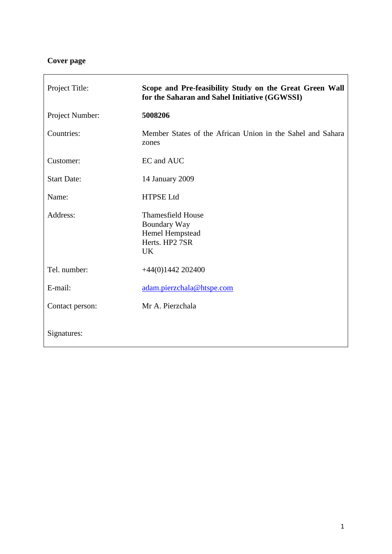# **Cover page**

 $\overline{\Gamma}$ 

| Project Title:     | Scope and Pre-feasibility Study on the Great Green Wall<br>for the Saharan and Sahel Initiative (GGWSSI) |
|--------------------|----------------------------------------------------------------------------------------------------------|
| Project Number:    | 5008206                                                                                                  |
| Countries:         | Member States of the African Union in the Sahel and Sahara<br>zones                                      |
| Customer:          | EC and AUC                                                                                               |
| <b>Start Date:</b> | 14 January 2009                                                                                          |
| Name:              | <b>HTPSE Ltd</b>                                                                                         |
| Address:           | <b>Thamesfield House</b><br><b>Boundary Way</b><br>Hemel Hempstead<br>Herts. HP2 7SR<br>UK               |
| Tel. number:       | $+44(0)1442202400$                                                                                       |
| E-mail:            | adam.pierzchala@htspe.com                                                                                |
| Contact person:    | Mr A. Pierzchala                                                                                         |
| Signatures:        |                                                                                                          |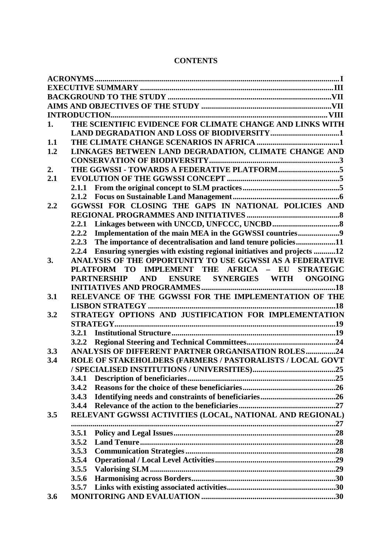| 1.  | THE SCIENTIFIC EVIDENCE FOR CLIMATE CHANGE AND LINKS WITH                      |  |
|-----|--------------------------------------------------------------------------------|--|
|     |                                                                                |  |
| 1.1 |                                                                                |  |
| 1.2 | LINKAGES BETWEEN LAND DEGRADATION, CLIMATE CHANGE AND                          |  |
|     |                                                                                |  |
| 2.  |                                                                                |  |
| 2.1 |                                                                                |  |
|     |                                                                                |  |
|     | 2.1.2                                                                          |  |
| 2.2 | GGWSSI FOR CLOSING THE GAPS IN NATIONAL POLICIES AND                           |  |
|     |                                                                                |  |
|     | 2.2.1                                                                          |  |
|     | Implementation of the main MEA in the GGWSSI countries9<br>2.2.2               |  |
|     | The importance of decentralisation and land tenure policies11<br>2.2.3         |  |
|     | Ensuring synergies with existing regional initiatives and projects 12<br>2.2.4 |  |
| 3.  | ANALYSIS OF THE OPPORTUNITY TO USE GGWSSI AS A FEDERATIVE                      |  |
|     | PLATFORM TO IMPLEMENT THE AFRICA - EU STRATEGIC                                |  |
|     | PARTNERSHIP AND ENSURE SYNERGIES WITH ONGOING                                  |  |
|     |                                                                                |  |
| 3.1 | RELEVANCE OF THE GGWSSI FOR THE IMPLEMENTATION OF THE                          |  |
|     |                                                                                |  |
| 3.2 | STRATEGY OPTIONS AND JUSTIFICATION FOR IMPLEMENTATION                          |  |
|     |                                                                                |  |
|     |                                                                                |  |
|     |                                                                                |  |
| 3.3 | <b>ANALYSIS OF DIFFERENT PARTNER ORGANISATION ROLES24</b>                      |  |
| 3.4 | ROLE OF STAKEHOLDERS (FARMERS / PASTORALISTS / LOCAL GOVT                      |  |
|     |                                                                                |  |
|     | 3.4.1                                                                          |  |
|     | 3.4.2                                                                          |  |
|     | 3.4.3                                                                          |  |
|     | 3.4.4                                                                          |  |
| 3.5 | RELEVANT GGWSSI ACTIVITIES (LOCAL, NATIONAL AND REGIONAL)                      |  |
|     |                                                                                |  |
|     | 3.5.1                                                                          |  |
|     | 3.5.2                                                                          |  |
|     | 3.5.3                                                                          |  |
|     | 3.5.4                                                                          |  |
|     | 3.5.5                                                                          |  |
|     | 3.5.6                                                                          |  |
|     | 3.5.7                                                                          |  |
| 3.6 |                                                                                |  |
|     |                                                                                |  |

#### **CONTENTS**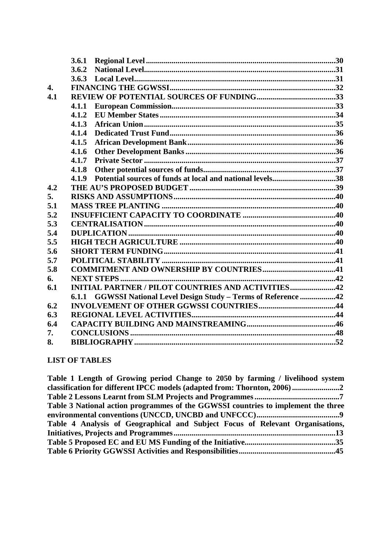|     | 3.6.1                                                            |  |
|-----|------------------------------------------------------------------|--|
|     | 3.6.2                                                            |  |
|     | 3.6.3                                                            |  |
| 4.  |                                                                  |  |
| 4.1 |                                                                  |  |
|     | 4.1.1                                                            |  |
|     | 4.1.2                                                            |  |
|     | 4.1.3                                                            |  |
|     | 4.1.4                                                            |  |
|     | 4.1.5                                                            |  |
|     | 4.1.6                                                            |  |
|     | 4.1.7                                                            |  |
|     | 4.1.8                                                            |  |
|     | 4.1.9                                                            |  |
| 4.2 |                                                                  |  |
| 5.  |                                                                  |  |
| 5.1 |                                                                  |  |
| 5.2 |                                                                  |  |
| 5.3 |                                                                  |  |
| 5.4 |                                                                  |  |
| 5.5 |                                                                  |  |
| 5.6 |                                                                  |  |
| 5.7 |                                                                  |  |
| 5.8 |                                                                  |  |
| 6.  |                                                                  |  |
| 6.1 | <b>INITIAL PARTNER / PILOT COUNTRIES AND ACTIVITIES42</b>        |  |
|     | 6.1.1 GGWSSI National Level Design Study - Terms of Reference 42 |  |
| 6.2 |                                                                  |  |
| 6.3 |                                                                  |  |
| 6.4 |                                                                  |  |
| 7.  |                                                                  |  |
| 8.  |                                                                  |  |

# **LIST OF TABLES**

| Table 1 Length of Growing period Change to 2050 by farming / livelihood system    |  |
|-----------------------------------------------------------------------------------|--|
| classification for different IPCC models (adapted from: Thornton, 2006) 2         |  |
|                                                                                   |  |
| Table 3 National action programmes of the GGWSSI countries to implement the three |  |
|                                                                                   |  |
| Table 4 Analysis of Geographical and Subject Focus of Relevant Organisations,     |  |
|                                                                                   |  |
|                                                                                   |  |
|                                                                                   |  |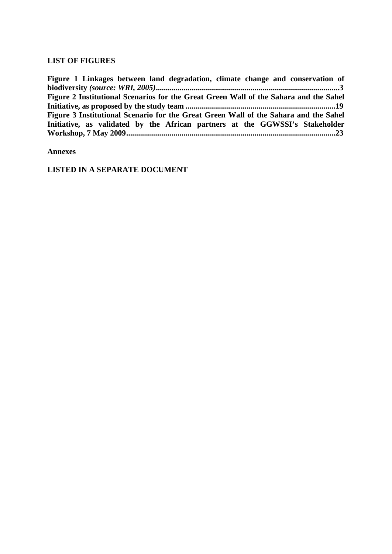#### **LIST OF FIGURES**

**[Figure 1 Linkages between land degradation, climate change and conservation of](#page-15-1)  biodiversity** *(source: WRI, 2005)***[.............................................................................................3](#page-15-1) [Figure 2 Institutional Scenarios for the Great Green Wall of the Sahara and the Sahel](#page-31-2)  Initiative, as proposed by the study team [............................................................................19](#page-31-2) [Figure 3 Institutional Scenario for the Great Green Wall of the Sahara and the Sahel](#page-34-0)  [Initiative, as validated by the African partners at the GGWSSI's Stakeholder](#page-34-0)  [Workshop, 7 May 2009..........................................................................................................23](#page-34-0)**

**Annexes**

**LISTED IN A SEPARATE DOCUMENT**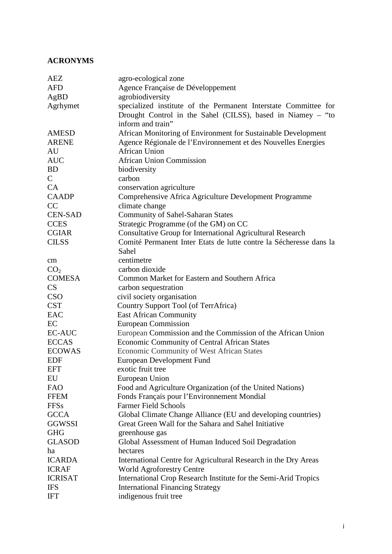## <span id="page-4-0"></span>**ACRONYMS**

| AEZ             | agro-ecological zone                                               |
|-----------------|--------------------------------------------------------------------|
| <b>AFD</b>      | Agence Française de Développement                                  |
| AgBD            | agrobiodiversity                                                   |
| Agrhymet        | specialized institute of the Permanent Interstate Committee for    |
|                 | Drought Control in the Sahel (CILSS), based in Niamey – "to        |
|                 | inform and train"                                                  |
| <b>AMESD</b>    | African Monitoring of Environment for Sustainable Development      |
| <b>ARENE</b>    | Agence Régionale de l'Environnement et des Nouvelles Energies      |
| AU              | <b>African Union</b>                                               |
| <b>AUC</b>      | <b>African Union Commission</b>                                    |
| <b>BD</b>       | biodiversity                                                       |
| $\mathcal{C}$   | carbon                                                             |
| CA              | conservation agriculture                                           |
| <b>CAADP</b>    | Comprehensive Africa Agriculture Development Programme             |
| CC              | climate change                                                     |
| <b>CEN-SAD</b>  | <b>Community of Sahel-Saharan States</b>                           |
| <b>CCES</b>     | Strategic Programme (of the GM) on CC                              |
| <b>CGIAR</b>    | <b>Consultative Group for International Agricultural Research</b>  |
| <b>CILSS</b>    | Comité Permanent Inter Etats de lutte contre la Sécheresse dans la |
|                 | Sahel                                                              |
| cm              | centimetre                                                         |
| CO <sub>2</sub> | carbon dioxide                                                     |
| <b>COMESA</b>   | Common Market for Eastern and Southern Africa                      |
| CS              | carbon sequestration                                               |
| <b>CSO</b>      | civil society organisation                                         |
| <b>CST</b>      | Country Support Tool (of TerrAfrica)                               |
| EAC             | <b>East African Community</b>                                      |
| EC              | <b>European Commission</b>                                         |
| <b>EC-AUC</b>   | European Commission and the Commission of the African Union        |
| <b>ECCAS</b>    | <b>Economic Community of Central African States</b>                |
| <b>ECOWAS</b>   | <b>Economic Community of West African States</b>                   |
| <b>EDF</b>      | <b>European Development Fund</b>                                   |
| <b>EFT</b>      | exotic fruit tree                                                  |
| EU              | European Union                                                     |
| <b>FAO</b>      | Food and Agriculture Organization (of the United Nations)          |
| <b>FFEM</b>     | Fonds Français pour l'Environnement Mondial                        |
| <b>FFSs</b>     | <b>Farmer Field Schools</b>                                        |
| <b>GCCA</b>     | Global Climate Change Alliance (EU and developing countries)       |
| <b>GGWSSI</b>   | Great Green Wall for the Sahara and Sahel Initiative               |
| <b>GHG</b>      | greenhouse gas                                                     |
| <b>GLASOD</b>   | Global Assessment of Human Induced Soil Degradation                |
| ha              | hectares                                                           |
| <b>ICARDA</b>   | International Centre for Agricultural Research in the Dry Areas    |
| <b>ICRAF</b>    | <b>World Agroforestry Centre</b>                                   |
| <b>ICRISAT</b>  | International Crop Research Institute for the Semi-Arid Tropics    |
| <b>IFS</b>      | <b>International Financing Strategy</b>                            |
| <b>IFT</b>      | indigenous fruit tree                                              |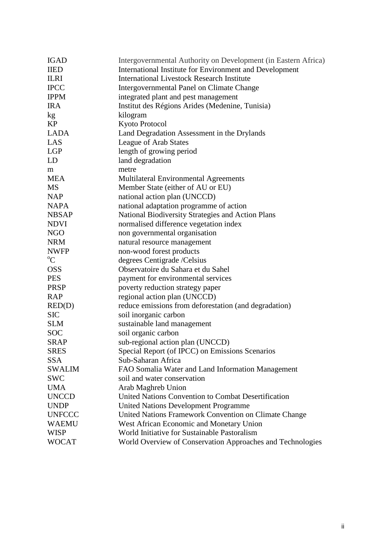| <b>IGAD</b>   | Intergovernmental Authority on Development (in Eastern Africa) |
|---------------|----------------------------------------------------------------|
| <b>IIED</b>   | International Institute for Environment and Development        |
| <b>ILRI</b>   | <b>International Livestock Research Institute</b>              |
| <b>IPCC</b>   | Intergovernmental Panel on Climate Change                      |
| <b>IPPM</b>   | integrated plant and pest management                           |
| <b>IRA</b>    | Institut des Régions Arides (Medenine, Tunisia)                |
| kg            | kilogram                                                       |
| KP            | <b>Kyoto Protocol</b>                                          |
| <b>LADA</b>   | Land Degradation Assessment in the Drylands                    |
| LAS           | <b>League of Arab States</b>                                   |
| <b>LGP</b>    | length of growing period                                       |
| LD            | land degradation                                               |
| m             | metre                                                          |
| <b>MEA</b>    | <b>Multilateral Environmental Agreements</b>                   |
| <b>MS</b>     | Member State (either of AU or EU)                              |
| <b>NAP</b>    | national action plan (UNCCD)                                   |
| <b>NAPA</b>   | national adaptation programme of action                        |
| <b>NBSAP</b>  | National Biodiversity Strategies and Action Plans              |
| <b>NDVI</b>   | normalised difference vegetation index                         |
| <b>NGO</b>    | non governmental organisation                                  |
| <b>NRM</b>    | natural resource management                                    |
| <b>NWFP</b>   | non-wood forest products                                       |
| $\rm ^{o}C$   | degrees Centigrade /Celsius                                    |
| <b>OSS</b>    | Observatoire du Sahara et du Sahel                             |
| <b>PES</b>    | payment for environmental services                             |
| PRSP          | poverty reduction strategy paper                               |
| <b>RAP</b>    | regional action plan (UNCCD)                                   |
| RED(D)        | reduce emissions from deforestation (and degradation)          |
| <b>SIC</b>    | soil inorganic carbon                                          |
| <b>SLM</b>    | sustainable land management                                    |
| <b>SOC</b>    | soil organic carbon                                            |
| <b>SRAP</b>   | sub-regional action plan (UNCCD)                               |
| <b>SRES</b>   | Special Report (of IPCC) on Emissions Scenarios                |
| <b>SSA</b>    | Sub-Saharan Africa                                             |
| <b>SWALIM</b> | FAO Somalia Water and Land Information Management              |
| <b>SWC</b>    | soil and water conservation                                    |
| <b>UMA</b>    | Arab Maghreb Union                                             |
| <b>UNCCD</b>  | United Nations Convention to Combat Desertification            |
| <b>UNDP</b>   | <b>United Nations Development Programme</b>                    |
| <b>UNFCCC</b> | United Nations Framework Convention on Climate Change          |
| <b>WAEMU</b>  | West African Economic and Monetary Union                       |
| <b>WISP</b>   | World Initiative for Sustainable Pastoralism                   |
| <b>WOCAT</b>  | World Overview of Conservation Approaches and Technologies     |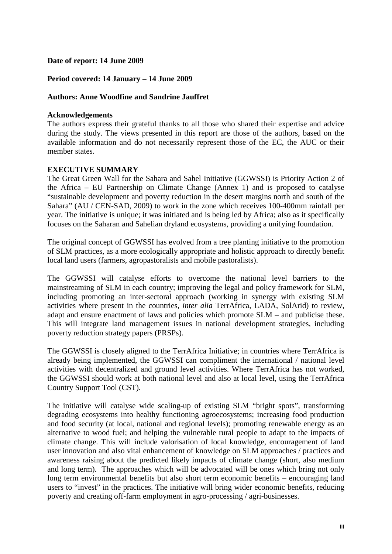#### **Date of report: 14 June 2009**

#### **Period covered: 14 January – 14 June 2009**

#### **Authors: Anne Woodfine and Sandrine Jauffret**

#### **Acknowledgements**

The authors express their grateful thanks to all those who shared their expertise and advice during the study. The views presented in this report are those of the authors, based on the available information and do not necessarily represent those of the EC, the AUC or their member states.

#### <span id="page-6-0"></span>**EXECUTIVE SUMMARY**

The Great Green Wall for the Sahara and Sahel Initiative (GGWSSI) is Priority Action 2 of the Africa – EU Partnership on Climate Change (Annex 1) and is proposed to catalyse "sustainable development and poverty reduction in the desert margins north and south of the Sahara" (AU / CEN-SAD, 2009) to work in the zone which receives 100-400mm rainfall per year. The initiative is unique; it was initiated and is being led by Africa; also as it specifically focuses on the Saharan and Sahelian dryland ecosystems, providing a unifying foundation.

The original concept of GGWSSI has evolved from a tree planting initiative to the promotion of SLM practices, as a more ecologically appropriate and holistic approach to directly benefit local land users (farmers, agropastoralists and mobile pastoralists).

The GGWSSI will catalyse efforts to overcome the national level barriers to the mainstreaming of SLM in each country; improving the legal and policy framework for SLM, including promoting an inter-sectoral approach (working in synergy with existing SLM activities where present in the countries, *inter alia* TerrAfrica, LADA, SolArid) to review, adapt and ensure enactment of laws and policies which promote SLM – and publicise these. This will integrate land management issues in national development strategies, including poverty reduction strategy papers (PRSPs).

The GGWSSI is closely aligned to the TerrAfrica Initiative; in countries where TerrAfrica is already being implemented, the GGWSSI can compliment the international / national level activities with decentralized and ground level activities. Where TerrAfrica has not worked, the GGWSSI should work at both national level and also at local level, using the TerrAfrica Country Support Tool (CST).

The initiative will catalyse wide scaling-up of existing SLM "bright spots", transforming degrading ecosystems into healthy functioning agroecosystems; increasing food production and food security (at local, national and regional levels); promoting renewable energy as an alternative to wood fuel; and helping the vulnerable rural people to adapt to the impacts of climate change. This will include valorisation of local knowledge, encouragement of land user innovation and also vital enhancement of knowledge on SLM approaches / practices and awareness raising about the predicted likely impacts of climate change (short, also medium and long term). The approaches which will be advocated will be ones which bring not only long term environmental benefits but also short term economic benefits – encouraging land users to "invest" in the practices. The initiative will bring wider economic benefits, reducing poverty and creating off-farm employment in agro-processing / agri-businesses.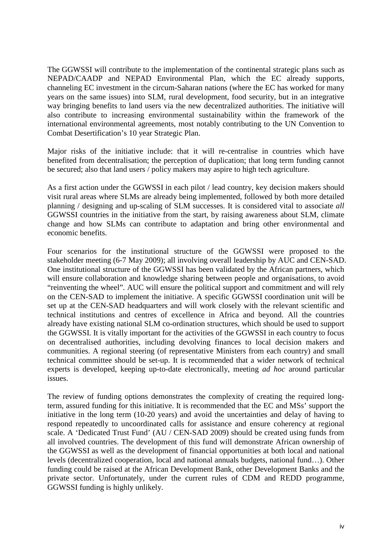The GGWSSI will contribute to the implementation of the continental strategic plans such as NEPAD/CAADP and NEPAD Environmental Plan, which the EC already supports, channeling EC investment in the circum-Saharan nations (where the EC has worked for many years on the same issues) into SLM, rural development, food security, but in an integrative way bringing benefits to land users via the new decentralized authorities. The initiative will also contribute to increasing environmental sustainability within the framework of the international environmental agreements, most notably contributing to the UN Convention to Combat Desertification's 10 year Strategic Plan.

Major risks of the initiative include: that it will re-centralise in countries which have benefited from decentralisation; the perception of duplication; that long term funding cannot be secured; also that land users / policy makers may aspire to high tech agriculture.

As a first action under the GGWSSI in each pilot / lead country, key decision makers should visit rural areas where SLMs are already being implemented, followed by both more detailed planning / designing and up-scaling of SLM successes. It is considered vital to associate *all* GGWSSI countries in the initiative from the start, by raising awareness about SLM, climate change and how SLMs can contribute to adaptation and bring other environmental and economic benefits.

Four scenarios for the institutional structure of the GGWSSI were proposed to the stakeholder meeting (6-7 May 2009); all involving overall leadership by AUC and CEN-SAD. One institutional structure of the GGWSSI has been validated by the African partners, which will ensure collaboration and knowledge sharing between people and organisations, to avoid "reinventing the wheel". AUC will ensure the political support and commitment and will rely on the CEN-SAD to implement the initiative. A specific GGWSSI coordination unit will be set up at the CEN-SAD headquarters and will work closely with the relevant scientific and technical institutions and centres of excellence in Africa and beyond. All the countries already have existing national SLM co-ordination structures, which should be used to support the GGWSSI. It is vitally important for the activities of the GGWSSI in each country to focus on decentralised authorities, including devolving finances to local decision makers and communities. A regional steering (of representative Ministers from each country) and small technical committee should be set-up. It is recommended that a wider network of technical experts is developed, keeping up-to-date electronically, meeting *ad hoc* around particular issues.

The review of funding options demonstrates the complexity of creating the required longterm, assured funding for this initiative. It is recommended that the EC and MSs' support the initiative in the long term (10-20 years) and avoid the uncertainties and delay of having to respond repeatedly to uncoordinated calls for assistance and ensure coherency at regional scale. A 'Dedicated Trust Fund' (AU / CEN-SAD 2009) should be created using funds from all involved countries. The development of this fund will demonstrate African ownership of the GGWSSI as well as the development of financial opportunities at both local and national levels (decentralized cooperation, local and national annuals budgets, national fund…). Other funding could be raised at the African Development Bank, other Development Banks and the private sector. Unfortunately, under the current rules of CDM and REDD programme, GGWSSI funding is highly unlikely.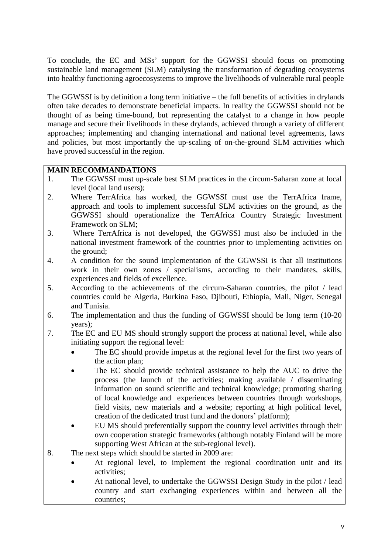To conclude, the EC and MSs' support for the GGWSSI should focus on promoting sustainable land management (SLM) catalysing the transformation of degrading ecosystems into healthy functioning agroecosystems to improve the livelihoods of vulnerable rural people

The GGWSSI is by definition a long term initiative – the full benefits of activities in drylands often take decades to demonstrate beneficial impacts. In reality the GGWSSI should not be thought of as being time-bound, but representing the catalyst to a change in how people manage and secure their livelihoods in these drylands, achieved through a variety of different approaches; implementing and changing international and national level agreements, laws and policies, but most importantly the up-scaling of on-the-ground SLM activities which have proved successful in the region.

# **MAIN RECOMMANDATIONS**

- 1. The GGWSSI must up-scale best SLM practices in the circum-Saharan zone at local level (local land users);
- 2. Where TerrAfrica has worked, the GGWSSI must use the TerrAfrica frame, approach and tools to implement successful SLM activities on the ground, as the GGWSSI should operationalize the TerrAfrica Country Strategic Investment Framework on SLM;
- 3. Where TerrAfrica is not developed, the GGWSSI must also be included in the national investment framework of the countries prior to implementing activities on the ground;
- 4. A condition for the sound implementation of the GGWSSI is that all institutions work in their own zones / specialisms, according to their mandates, skills, experiences and fields of excellence.
- 5. According to the achievements of the circum-Saharan countries, the pilot / lead countries could be Algeria, Burkina Faso, Djibouti, Ethiopia, Mali, Niger, Senegal and Tunisia.
- 6. The implementation and thus the funding of GGWSSI should be long term (10-20 years);
- 7. The EC and EU MS should strongly support the process at national level, while also initiating support the regional level:
	- The EC should provide impetus at the regional level for the first two years of the action plan;
	- The EC should provide technical assistance to help the AUC to drive the process (the launch of the activities; making available / disseminating information on sound scientific and technical knowledge; promoting sharing of local knowledge and experiences between countries through workshops, field visits, new materials and a website; reporting at high political level, creation of the dedicated trust fund and the donors' platform);
	- EU MS should preferentially support the country level activities through their own cooperation strategic frameworks (although notably Finland will be more supporting West African at the sub-regional level).
- 8. The next steps which should be started in 2009 are:
	- At regional level, to implement the regional coordination unit and its activities;
	- At national level, to undertake the GGWSSI Design Study in the pilot / lead country and start exchanging experiences within and between all the countries;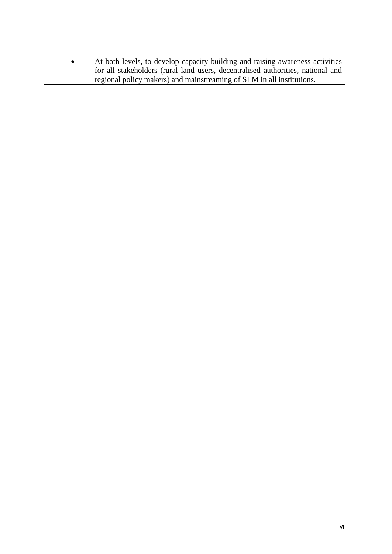| At both levels, to develop capacity building and raising awareness activities   |
|---------------------------------------------------------------------------------|
| for all stakeholders (rural land users, decentralised authorities, national and |
| regional policy makers) and mainstreaming of SLM in all institutions.           |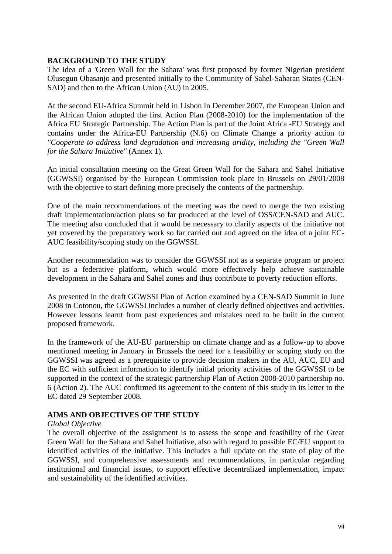#### <span id="page-10-0"></span>**BACKGROUND TO THE STUDY**

The idea of a 'Green Wall for the Sahara' was first proposed by former Nigerian president Olusegun Obasanjo and presented initially to the Community of Sahel-Saharan States (CEN-SAD) and then to the African Union (AU) in 2005.

At the second EU-Africa Summit held in Lisbon in December 2007, the European Union and the African Union adopted the first Action Plan (2008-2010) for the implementation of the Africa EU Strategic Partnership. The Action Plan is part of the Joint Africa -EU Strategy and contains under the Africa-EU Partnership (N.6) on Climate Change a priority action to *"Cooperate to address land degradation and increasing aridity, including the "Green Wall for the Sahara Initiative"* (Annex 1)*.*

An initial consultation meeting on the Great Green Wall for the Sahara and Sahel Initiative (GGWSSI) organised by the European Commission took place in Brussels on 29/01/2008 with the objective to start defining more precisely the contents of the partnership.

One of the main recommendations of the meeting was the need to merge the two existing draft implementation/action plans so far produced at the level of OSS/CEN-SAD and AUC. The meeting also concluded that it would be necessary to clarify aspects of the initiative not yet covered by the preparatory work so far carried out and agreed on the idea of a joint EC-AUC feasibility/scoping study on the GGWSSI.

Another recommendation was to consider the GGWSSI not as a separate program or project but as a federative platform**,** which would more effectively help achieve sustainable development in the Sahara and Sahel zones and thus contribute to poverty reduction efforts.

As presented in the draft GGWSSI Plan of Action examined by a CEN-SAD Summit in June 2008 in Cotonou, the GGWSSI includes a number of clearly defined objectives and activities. However lessons learnt from past experiences and mistakes need to be built in the current proposed framework.

In the framework of the AU-EU partnership on climate change and as a follow-up to above mentioned meeting in January in Brussels the need for a feasibility or scoping study on the GGWSSI was agreed as a prerequisite to provide decision makers in the AU, AUC, EU and the EC with sufficient information to identify initial priority activities of the GGWSSI to be supported in the context of the strategic partnership Plan of Action 2008-2010 partnership no. 6 (Action 2). The AUC confirmed its agreement to the content of this study in its letter to the EC dated 29 September 2008.

## <span id="page-10-1"></span>**AIMS AND OBJECTIVES OF THE STUDY**

#### *Global Objective*

The overall objective of the assignment is to assess the scope and feasibility of the Great Green Wall for the Sahara and Sahel Initiative, also with regard to possible EC/EU support to identified activities of the initiative. This includes a full update on the state of play of the GGWSSI, and comprehensive assessments and recommendations, in particular regarding institutional and financial issues, to support effective decentralized implementation, impact and sustainability of the identified activities.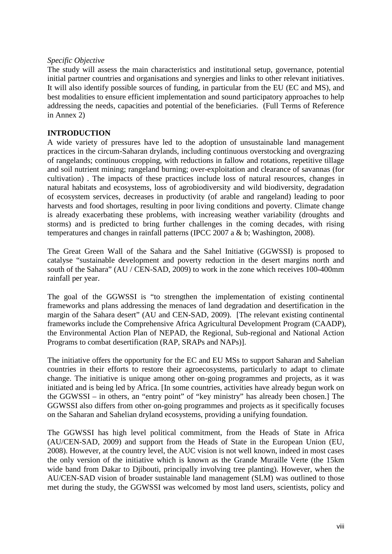#### *Specific Objective*

The study will assess the main characteristics and institutional setup, governance, potential initial partner countries and organisations and synergies and links to other relevant initiatives. It will also identify possible sources of funding, in particular from the EU (EC and MS), and best modalities to ensure efficient implementation and sound participatory approaches to help addressing the needs, capacities and potential of the beneficiaries. (Full Terms of Reference in Annex 2)

#### <span id="page-11-0"></span>**INTRODUCTION**

A wide variety of pressures have led to the adoption of unsustainable land management practices in the circum-Saharan drylands, including continuous overstocking and overgrazing of rangelands; continuous cropping, with reductions in fallow and rotations, repetitive tillage and soil nutrient mining; rangeland burning; over-exploitation and clearance of savannas (for cultivation) . The impacts of these practices include loss of natural resources, changes in natural habitats and ecosystems, loss of agrobiodiversity and wild biodiversity, degradation of ecosystem services, decreases in productivity (of arable and rangeland) leading to poor harvests and food shortages, resulting in poor living conditions and poverty. Climate change is already exacerbating these problems, with increasing weather variability (droughts and storms) and is predicted to bring further challenges in the coming decades, with rising temperatures and changes in rainfall patterns (IPCC 2007 a & b; Washington, 2008).

The Great Green Wall of the Sahara and the Sahel Initiative (GGWSSI) is proposed to catalyse "sustainable development and poverty reduction in the desert margins north and south of the Sahara" (AU / CEN-SAD, 2009) to work in the zone which receives 100-400mm rainfall per year.

The goal of the GGWSSI is "to strengthen the implementation of existing continental frameworks and plans addressing the menaces of land degradation and desertification in the margin of the Sahara desert" (AU and CEN-SAD, 2009). [The relevant existing continental frameworks include the Comprehensive Africa Agricultural Development Program (CAADP), the Environmental Action Plan of NEPAD, the Regional, Sub-regional and National Action Programs to combat desertification (RAP, SRAPs and NAPs)].

The initiative offers the opportunity for the EC and EU MSs to support Saharan and Sahelian countries in their efforts to restore their agroecosystems, particularly to adapt to climate change. The initiative is unique among other on-going programmes and projects, as it was initiated and is being led by Africa. [In some countries, activities have already begun work on the GGWSSI – in others, an "entry point" of "key ministry" has already been chosen.] The GGWSSI also differs from other on-going programmes and projects as it specifically focuses on the Saharan and Sahelian dryland ecosystems, providing a unifying foundation.

The GGWSSI has high level political commitment, from the Heads of State in Africa (AU/CEN-SAD, 2009) and support from the Heads of State in the European Union (EU, 2008). However, at the country level, the AUC vision is not well known, indeed in most cases the only version of the initiative which is known as the Grande Muraille Verte (the 15km wide band from Dakar to Djibouti, principally involving tree planting). However, when the AU/CEN-SAD vision of broader sustainable land management (SLM) was outlined to those met during the study, the GGWSSI was welcomed by most land users, scientists, policy and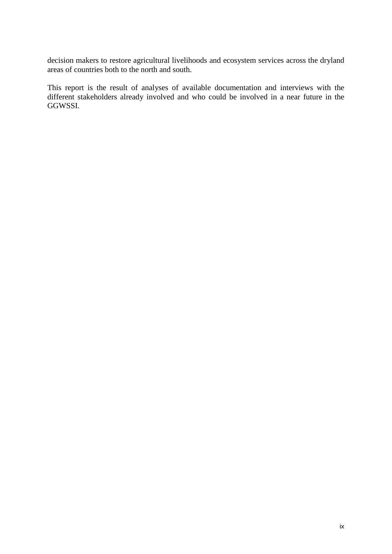decision makers to restore agricultural livelihoods and ecosystem services across the dryland areas of countries both to the north and south.

This report is the result of analyses of available documentation and interviews with the different stakeholders already involved and who could be involved in a near future in the GGWSSI.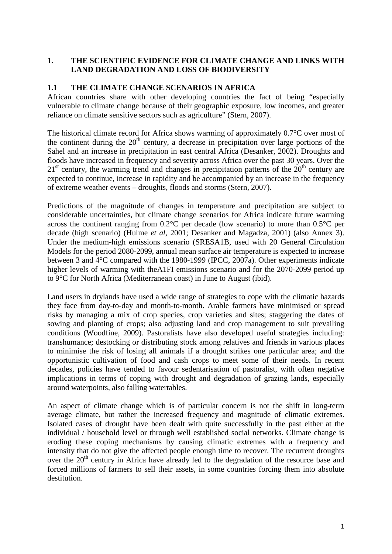## <span id="page-13-0"></span>**1. THE SCIENTIFIC EVIDENCE FOR CLIMATE CHANGE AND LINKS WITH LAND DEGRADATION AND LOSS OF BIODIVERSITY**

## <span id="page-13-1"></span>**1.1 THE CLIMATE CHANGE SCENARIOS IN AFRICA**

African countries share with other developing countries the fact of being "especially vulnerable to climate change because of their geographic exposure, low incomes, and greater reliance on climate sensitive sectors such as agriculture" (Stern, 2007).

The historical climate record for Africa shows warming of approximately 0.7°C over most of the continent during the  $20<sup>th</sup>$  century, a decrease in precipitation over large portions of the Sahel and an increase in precipitation in east central Africa (Desanker, 2002). Droughts and floods have increased in frequency and severity across Africa over the past 30 years. Over the  $21<sup>st</sup>$  century, the warming trend and changes in precipitation patterns of the  $20<sup>th</sup>$  century are expected to continue, increase in rapidity and be accompanied by an increase in the frequency of extreme weather events – droughts, floods and storms (Stern, 2007).

Predictions of the magnitude of changes in temperature and precipitation are subject to considerable uncertainties, but climate change scenarios for Africa indicate future warming across the continent ranging from 0.2°C per decade (low scenario) to more than 0.5°C per decade (high scenario) (Hulme *et al*, 2001; Desanker and Magadza, 2001) (also Annex 3). Under the medium-high emissions scenario (SRESA1B, used with 20 General Circulation Models for the period 2080-2099, annual mean surface air temperature is expected to increase between 3 and 4°C compared with the 1980-1999 (IPCC, 2007a). Other experiments indicate higher levels of warming with theA1FI emissions scenario and for the 2070-2099 period up to 9°C for North Africa (Mediterranean coast) in June to August (ibid).

Land users in drylands have used a wide range of strategies to cope with the climatic hazards they face from day-to-day and month-to-month. Arable farmers have minimised or spread risks by managing a mix of crop species, crop varieties and sites; staggering the dates of sowing and planting of crops; also adjusting land and crop management to suit prevailing conditions (Woodfine, 2009). Pastoralists have also developed useful strategies including: transhumance; destocking or distributing stock among relatives and friends in various places to minimise the risk of losing all animals if a drought strikes one particular area; and the opportunistic cultivation of food and cash crops to meet some of their needs. In recent decades, policies have tended to favour sedentarisation of pastoralist, with often negative implications in terms of coping with drought and degradation of grazing lands, especially around waterpoints, also falling watertables.

An aspect of climate change which is of particular concern is not the shift in long-term average climate, but rather the increased frequency and magnitude of climatic extremes. Isolated cases of drought have been dealt with quite successfully in the past either at the individual / household level or through well established social networks. Climate change is eroding these coping mechanisms by causing climatic extremes with a frequency and intensity that do not give the affected people enough time to recover. The recurrent droughts over the 20<sup>th</sup> century in Africa have already led to the degradation of the resource base and forced millions of farmers to sell their assets, in some countries forcing them into absolute destitution.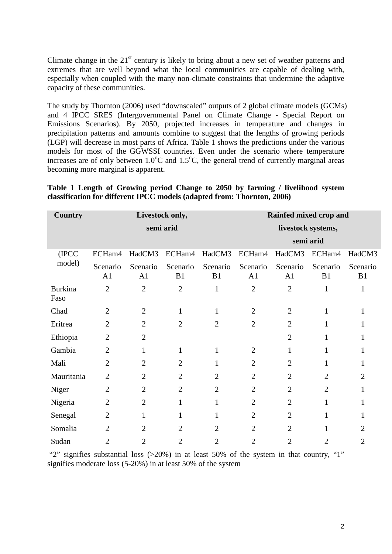Climate change in the  $21<sup>st</sup>$  century is likely to bring about a new set of weather patterns and extremes that are well beyond what the local communities are capable of dealing with, especially when coupled with the many non-climate constraints that undermine the adaptive capacity of these communities.

The study by Thornton (2006) used "downscaled" outputs of 2 global climate models (GCMs) and 4 IPCC SRES (Intergovernmental Panel on Climate Change - Special Report on Emissions Scenarios). By 2050, projected increases in temperature and changes in precipitation patterns and amounts combine to suggest that the lengths of growing periods (LGP) will decrease in most parts of Africa. Table 1 shows the predictions under the various models for most of the GGWSSI countries. Even under the scenario where temperature increases are of only between  $1.0^{\circ}$ C and  $1.5^{\circ}$ C, the general trend of currently marginal areas becoming more marginal is apparent.

| <b>Country</b>         | Livestock only,<br>semi arid |                |                |                | Rainfed mixed crop and<br>livestock systems, |                |                |                |
|------------------------|------------------------------|----------------|----------------|----------------|----------------------------------------------|----------------|----------------|----------------|
|                        |                              |                |                |                |                                              |                |                |                |
|                        |                              |                |                |                |                                              |                | semi arid      |                |
| (IPCC                  | ECHam4                       | HadCM3         | ECHam4         | HadCM3         | ECHam4                                       | HadCM3         | ECHam4         | HadCM3         |
| model)                 | Scenario<br>A1               | Scenario<br>A1 | Scenario<br>B1 | Scenario<br>B1 | Scenario<br>A1                               | Scenario<br>A1 | Scenario<br>B1 | Scenario<br>B1 |
| <b>Burkina</b><br>Faso | $\overline{2}$               | $\overline{2}$ | $\overline{2}$ | $\mathbf{1}$   | $\overline{2}$                               | $\overline{2}$ | $\mathbf{1}$   | 1              |
| Chad                   | $\overline{2}$               | $\overline{2}$ | $\mathbf{1}$   | $\mathbf{1}$   | $\overline{2}$                               | $\overline{2}$ | $\mathbf{1}$   | $\mathbf{1}$   |
| Eritrea                | $\overline{2}$               | $\overline{2}$ | $\overline{2}$ | $\overline{2}$ | $\mathfrak{2}$                               | $\overline{2}$ | 1              |                |
| Ethiopia               | $\overline{2}$               | $\overline{2}$ |                |                |                                              | $\overline{2}$ | 1              | 1              |
| Gambia                 | $\overline{2}$               | 1              | 1              | $\mathbf{1}$   | $\overline{2}$                               | 1              | 1              | 1              |
| Mali                   | $\overline{2}$               | $\overline{2}$ | $\overline{2}$ | $\mathbf{1}$   | $\overline{2}$                               | $\overline{2}$ | 1              | 1              |
| Mauritania             | $\overline{2}$               | $\overline{2}$ | $\overline{2}$ | $\overline{2}$ | $\overline{2}$                               | $\overline{2}$ | $\overline{2}$ | 2              |
| Niger                  | $\overline{2}$               | $\overline{2}$ | $\overline{2}$ | $\overline{2}$ | $\overline{2}$                               | $\overline{2}$ | $\overline{2}$ |                |
| Nigeria                | $\overline{2}$               | $\overline{2}$ | 1              | 1              | $\overline{2}$                               | $\overline{2}$ | 1              |                |
| Senegal                | $\overline{2}$               | 1              | 1              | $\mathbf{1}$   | $\overline{2}$                               | $\overline{2}$ | 1              |                |
| Somalia                | $\overline{2}$               | $\overline{2}$ | $\overline{2}$ | $\overline{2}$ | $\overline{2}$                               | $\overline{2}$ |                | 2              |
| Sudan                  | 2                            | $\overline{2}$ | $\overline{2}$ | $\overline{2}$ | $\overline{2}$                               | 2              | 2              | 2              |

## <span id="page-14-0"></span>**Table 1 Length of Growing period Change to 2050 by farming / livelihood system classification for different IPCC models (adapted from: Thornton, 2006)**

"2" signifies substantial loss (>20%) in at least 50% of the system in that country, "1" signifies moderate loss (5-20%) in at least 50% of the system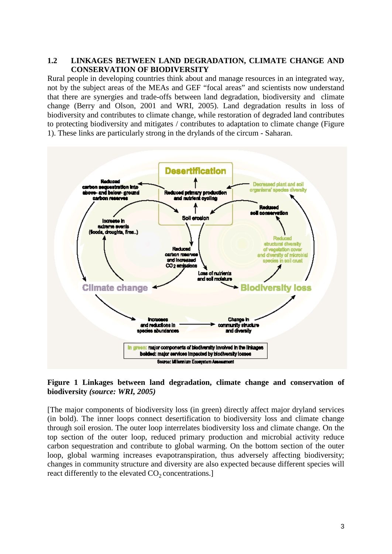#### <span id="page-15-0"></span>**1.2 LINKAGES BETWEEN LAND DEGRADATION, CLIMATE CHANGE AND CONSERVATION OF BIODIVERSITY**

Rural people in developing countries think about and manage resources in an integrated way, not by the subject areas of the MEAs and GEF "focal areas" and scientists now understand that there are synergies and trade-offs between land degradation, biodiversity and climate change (Berry and Olson, 2001 and WRI, 2005). Land degradation results in loss of biodiversity and contributes to climate change, while restoration of degraded land contributes to protecting biodiversity and mitigates / contributes to adaptation to climate change (Figure 1). These links are particularly strong in the drylands of the circum - Saharan.



#### <span id="page-15-1"></span>**Figure 1 Linkages between land degradation, climate change and conservation of biodiversity** *(source: WRI, 2005)*

[The major components of biodiversity loss (in green) directly affect major dryland services (in bold). The inner loops connect desertification to biodiversity loss and climate change through soil erosion. The outer loop interrelates biodiversity loss and climate change. On the top section of the outer loop, reduced primary production and microbial activity reduce carbon sequestration and contribute to global warming. On the bottom section of the outer loop, global warming increases evapotranspiration, thus adversely affecting biodiversity; changes in community structure and diversity are also expected because different species will react differently to the elevated  $CO<sub>2</sub>$  concentrations.]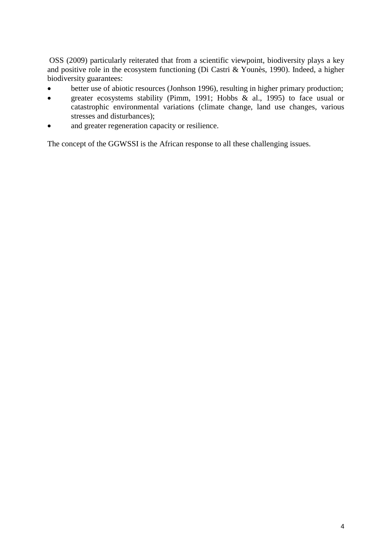OSS (2009) particularly reiterated that from a scientific viewpoint, biodiversity plays a key and positive role in the ecosystem functioning (Di Castri & Younès, 1990). Indeed, a higher biodiversity guarantees:

- better use of abiotic resources (Jonhson 1996), resulting in higher primary production;
- greater ecosystems stability (Pimm, 1991; Hobbs & al., 1995) to face usual or catastrophic environmental variations (climate change, land use changes, various stresses and disturbances);
- and greater regeneration capacity or resilience.

The concept of the GGWSSI is the African response to all these challenging issues.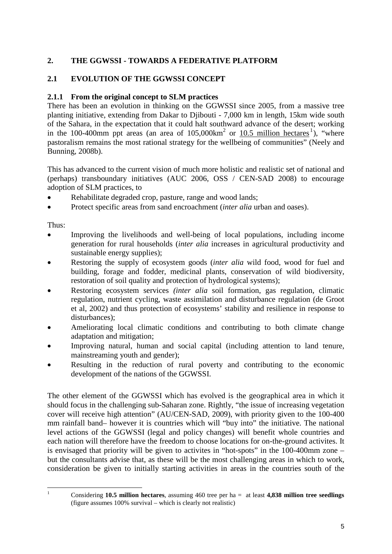# <span id="page-17-0"></span>**2. THE GGWSSI - TOWARDS A FEDERATIVE PLATFORM**

# <span id="page-17-1"></span>**2.1 EVOLUTION OF THE GGWSSI CONCEPT**

## <span id="page-17-2"></span>**2.1.1 From the original concept to SLM practices**

There has been an evolution in thinking on the GGWSSI since 2005, from a massive tree planting initiative, extending from Dakar to Djibouti - 7,000 km in length, 15km wide south of the Sahara, in the expectation that it could halt southward advance of the desert; working in the [1](#page-17-3)00-400mm ppt areas (an area of  $105,000 \text{km}^2$  or  $10.5$  million hectares<sup>1</sup>), "where pastoralism remains the most rational strategy for the wellbeing of communities" (Neely and Bunning, 2008b).

This has advanced to the current vision of much more holistic and realistic set of national and (perhaps) transboundary initiatives (AUC 2006, OSS / CEN-SAD 2008) to encourage adoption of SLM practices, to

- Rehabilitate degraded crop, pasture, range and wood lands;
- Protect specific areas from sand encroachment (*inter alia* urban and oases).

Thus:

- Improving the livelihoods and well-being of local populations, including income generation for rural households (*inter alia* increases in agricultural productivity and sustainable energy supplies);
- Restoring the supply of ecosystem goods *(inter alia* wild food, wood for fuel and building, forage and fodder, medicinal plants, conservation of wild biodiversity, restoration of soil quality and protection of hydrological systems);
- Restoring ecosystem services *(inter alia* soil formation, gas regulation, climatic regulation, nutrient cycling, waste assimilation and disturbance regulation (de Groot et al, 2002) and thus protection of ecosystems' stability and resilience in response to disturbances);
- Ameliorating local climatic conditions and contributing to both climate change adaptation and mitigation;
- Improving natural, human and social capital (including attention to land tenure, mainstreaming youth and gender);
- Resulting in the reduction of rural poverty and contributing to the economic development of the nations of the GGWSSI.

The other element of the GGWSSI which has evolved is the geographical area in which it should focus in the challenging sub-Saharan zone. Rightly, "the issue of increasing vegetation cover will receive high attention" (AU/CEN-SAD, 2009), with priority given to the 100-400 mm rainfall band– however it is countries which will "buy into" the initiative. The national level actions of the GGWSSI (legal and policy changes) will benefit whole countries and each nation will therefore have the freedom to choose locations for on-the-ground activites. It is envisaged that priority will be given to activites in "hot-spots" in the 100-400mm zone – but the consultants advise that, as these will be the most challenging areas in which to work, consideration be given to initially starting activities in areas in the countries south of the

<span id="page-17-3"></span>

 <sup>1</sup> Considering **10.5 million hectares**, assuming 460 tree per ha = at least **4,838 million tree seedlings**  (figure assumes 100% survival – which is clearly not realistic)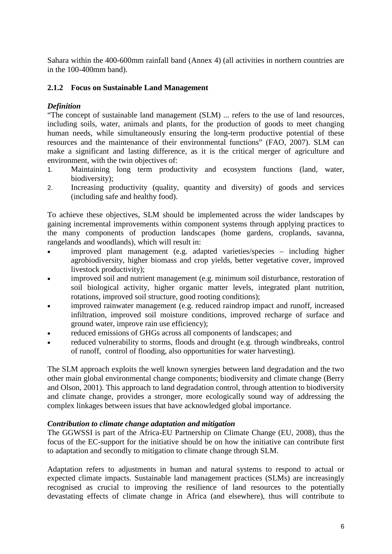Sahara within the 400-600mm rainfall band (Annex 4) (all activities in northern countries are in the 100-400mm band).

#### <span id="page-18-0"></span>**2.1.2 Focus on Sustainable Land Management**

#### *Definition*

"The concept of sustainable land management (SLM) ... refers to the use of land resources, including soils, water, animals and plants, for the production of goods to meet changing human needs, while simultaneously ensuring the long-term productive potential of these resources and the maintenance of their environmental functions" (FAO, 2007). SLM can make a significant and lasting difference, as it is the critical merger of agriculture and environment, with the twin objectives of:

- 1. Maintaining long term productivity and ecosystem functions (land, water, biodiversity);
- 2. Increasing productivity (quality, quantity and diversity) of goods and services (including safe and healthy food).

To achieve these objectives, SLM should be implemented across the wider landscapes by gaining incremental improvements within component systems through applying practices to the many components of production landscapes (home gardens, croplands, savanna, rangelands and woodlands), which will result in:

- improved plant management (e.g. adapted varieties/species including higher agrobiodiversity, higher biomass and crop yields, better vegetative cover, improved livestock productivity);
- improved soil and nutrient management (e.g. minimum soil disturbance, restoration of soil biological activity, higher organic matter levels, integrated plant nutrition, rotations, improved soil structure, good rooting conditions);
- improved rainwater management (e.g. reduced raindrop impact and runoff, increased infiltration, improved soil moisture conditions, improved recharge of surface and ground water, improve rain use efficiency);
- reduced emissions of GHGs across all components of landscapes; and
- reduced vulnerability to storms, floods and drought (e.g. through windbreaks, control of runoff, control of flooding, also opportunities for water harvesting).

The SLM approach exploits the well known synergies between land degradation and the two other main global environmental change components; biodiversity and climate change (Berry and Olson, 2001). This approach to land degradation control, through attention to biodiversity and climate change, provides a stronger, more ecologically sound way of addressing the complex linkages between issues that have acknowledged global importance.

#### *Contribution to climate change adaptation and mitigation*

The GGWSSI is part of the Africa-EU Partnership on Climate Change (EU, 2008), thus the focus of the EC-support for the initiative should be on how the initiative can contribute first to adaptation and secondly to mitigation to climate change through SLM.

Adaptation refers to adjustments in human and natural systems to respond to actual or expected climate impacts. Sustainable land management practices (SLMs) are increasingly recognised as crucial to improving the resilience of land resources to the potentially devastating effects of climate change in Africa (and elsewhere), thus will contribute to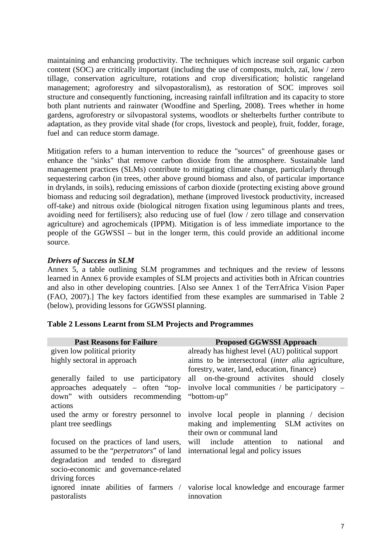maintaining and enhancing productivity. The techniques which increase soil organic carbon content (SOC) are critically important (including the use of composts, mulch, zaï, low / zero tillage, conservation agriculture, rotations and crop diversification; holistic rangeland management; agroforestry and silvopastoralism), as restoration of SOC improves soil structure and consequently functioning, increasing rainfall infiltration and its capacity to store both plant nutrients and rainwater (Woodfine and Sperling, 2008). Trees whether in home gardens, agroforestry or silvopastoral systems, woodlots or shelterbelts further contribute to adaptation, as they provide vital shade (for crops, livestock and people), fruit, fodder, forage, fuel and can reduce storm damage.

Mitigation refers to a human intervention to reduce the "sources" of greenhouse gases or enhance the "sinks" that remove carbon dioxide from the atmosphere. Sustainable land management practices (SLMs) contribute to mitigating climate change, particularly through sequestering carbon (in trees, other above ground biomass and also, of particular importance in drylands, in soils), reducing emissions of carbon dioxide (protecting existing above ground biomass and reducing soil degradation), methane (improved livestock productivity, increased off-take) and nitrous oxide (biological nitrogen fixation using leguminous plants and trees, avoiding need for fertilisers); also reducing use of fuel (low / zero tillage and conservation agriculture) and agrochemicals (IPPM). Mitigation is of less immediate importance to the people of the GGWSSI – but in the longer term, this could provide an additional income source.

## *Drivers of Success in SLM*

Annex 5, a table outlining SLM programmes and techniques and the review of lessons learned in Annex 6 provide examples of SLM projects and activities both in African countries and also in other developing countries. [Also see Annex 1 of the TerrAfrica Vision Paper (FAO, 2007).] The key factors identified from these examples are summarised in Table 2 (below), providing lessons for GGWSSI planning.

<span id="page-19-0"></span>

|  | Table 2 Lessons Learnt from SLM Projects and Programmes |  |  |
|--|---------------------------------------------------------|--|--|
|  |                                                         |  |  |

| <b>Past Reasons for Failure</b>                                                         | <b>Proposed GGWSSI Approach</b>                                                     |
|-----------------------------------------------------------------------------------------|-------------------------------------------------------------------------------------|
| given low political priority                                                            | already has highest level (AU) political support                                    |
| highly sectoral in approach                                                             | aims to be intersectoral <i>(inter alia agriculture,</i>                            |
|                                                                                         | forestry, water, land, education, finance)                                          |
| generally failed to use participatory                                                   | all on-the-ground activites should closely                                          |
| approaches adequately $-$ often "top-                                                   | involve local communities $\ell$ be participatory –                                 |
| down" with outsiders recommending                                                       | "bottom-up"                                                                         |
| actions                                                                                 |                                                                                     |
|                                                                                         | used the army or forestry personnel to involve local people in planning / decision  |
| plant tree seedlings                                                                    | making and implementing SLM activites on                                            |
|                                                                                         | their own or communal land                                                          |
| focused on the practices of land users, will include attention                          | national<br>and<br>to                                                               |
| assumed to be the " <i>perpetrators</i> " of land international legal and policy issues |                                                                                     |
| degradation and tended to disregard                                                     |                                                                                     |
| socio-economic and governance-related                                                   |                                                                                     |
| driving forces                                                                          |                                                                                     |
|                                                                                         | ignored innate abilities of farmers / valorise local knowledge and encourage farmer |
| pastoralists                                                                            | innovation                                                                          |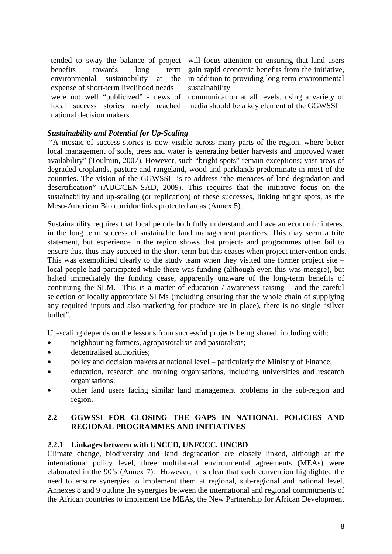benefits towards long term environmental sustainability at the expense of short-term livelihood needs national decision makers

tended to sway the balance of project will focus attention on ensuring that land users gain rapid economic benefits from the initiative, in addition to providing long term environmental sustainability

were not well "publicized" - news of communication at all levels, using a variety of local success stories rarely reached media should be a key element of the GGWSSI

#### *Sustainability and Potential for Up-Scaling*

"A mosaic of success stories is now visible across many parts of the region, where better local management of soils, trees and water is generating better harvests and improved water availability" (Toulmin, 2007). However, such "bright spots" remain exceptions; vast areas of degraded croplands, pasture and rangeland, wood and parklands predominate in most of the countries. The vision of the GGWSSI is to address "the menaces of land degradation and desertification" (AUC/CEN-SAD, 2009). This requires that the initiative focus on the sustainability and up-scaling (or replication) of these successes, linking bright spots, as the Meso-American Bio corridor links protected areas (Annex 5).

Sustainability requires that local people both fully understand and have an economic interest in the long term success of sustainable land management practices. This may seem a trite statement, but experience in the region shows that projects and programmes often fail to ensure this, thus may succeed in the short-term but this ceases when project intervention ends. This was exemplified clearly to the study team when they visited one former project site – local people had participated while there was funding (although even this was meagre), but halted immediately the funding cease, apparently unaware of the long-term benefits of continuing the SLM. This is a matter of education / awareness raising – and the careful selection of locally appropriate SLMs (including ensuring that the whole chain of supplying any required inputs and also marketing for produce are in place), there is no single "silver bullet".

Up-scaling depends on the lessons from successful projects being shared, including with:

- neighbouring farmers, agropastoralists and pastoralists;
- decentralised authorities;
- policy and decision makers at national level particularly the Ministry of Finance;
- education, research and training organisations, including universities and research organisations;
- other land users facing similar land management problems in the sub-region and region.

## <span id="page-20-0"></span>**2.2 GGWSSI FOR CLOSING THE GAPS IN NATIONAL POLICIES AND REGIONAL PROGRAMMES AND INITIATIVES**

#### <span id="page-20-1"></span>**2.2.1 Linkages between with UNCCD, UNFCCC, UNCBD**

Climate change, biodiversity and land degradation are closely linked, although at the international policy level, three multilateral environmental agreements (MEAs) were elaborated in the 90's (Annex 7). However, it is clear that each convention highlighted the need to ensure synergies to implement them at regional, sub-regional and national level. Annexes 8 and 9 outline the synergies between the international and regional commitments of the African countries to implement the MEAs, the New Partnership for African Development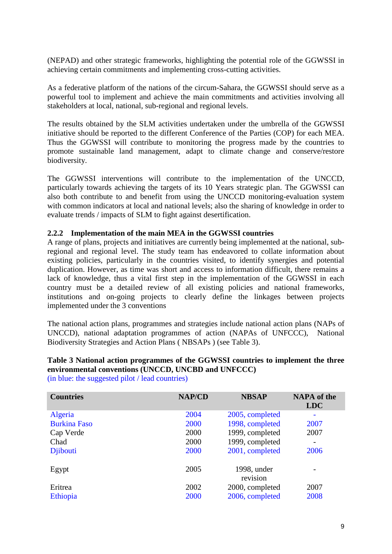(NEPAD) and other strategic frameworks, highlighting the potential role of the GGWSSI in achieving certain commitments and implementing cross-cutting activities.

As a federative platform of the nations of the circum-Sahara, the GGWSSI should serve as a powerful tool to implement and achieve the main commitments and activities involving all stakeholders at local, national, sub-regional and regional levels.

The results obtained by the SLM activities undertaken under the umbrella of the GGWSSI initiative should be reported to the different Conference of the Parties (COP) for each MEA. Thus the GGWSSI will contribute to monitoring the progress made by the countries to promote sustainable land management, adapt to climate change and conserve/restore biodiversity.

The GGWSSI interventions will contribute to the implementation of the UNCCD, particularly towards achieving the targets of its 10 Years strategic plan. The GGWSSI can also both contribute to and benefit from using the UNCCD monitoring-evaluation system with common indicators at local and national levels; also the sharing of knowledge in order to evaluate trends / impacts of SLM to fight against desertification.

#### <span id="page-21-0"></span>**2.2.2 Implementation of the main MEA in the GGWSSI countries**

A range of plans, projects and initiatives are currently being implemented at the national, subregional and regional level. The study team has endeavored to collate information about existing policies, particularly in the countries visited, to identify synergies and potential duplication. However, as time was short and access to information difficult, there remains a lack of knowledge, thus a vital first step in the implementation of the GGWSSI in each country must be a detailed review of all existing policies and national frameworks, institutions and on-going projects to clearly define the linkages between projects implemented under the 3 conventions

The national action plans, programmes and strategies include national action plans (NAPs of UNCCD), national adaptation programmes of action (NAPAs of UNFCCC), [National](http://search.orange.co.uk/redirect?ug=1&uu=00000120c851746a9bb3f0ebfcae0783&brand=ouk&sv=web&p=searchbox&pt=tab&q=NBSAP+biodiversity&pge=1&src=google_standard&pos=1&id=0&sp=zMm0Nz1sroG9xZSQb9uswg%3D%3D&ms=National++Biodiversity++Strategies+and+Action+Plans+%28+NBSAPs+%29&d=www.cbd.int&u=http%3A%2F%2Fwww.cbd.int%2Fnbsap%2F)  Biodiversity [Strategies and Action Plans \( NBSAPs \)](http://search.orange.co.uk/redirect?ug=1&uu=00000120c851746a9bb3f0ebfcae0783&brand=ouk&sv=web&p=searchbox&pt=tab&q=NBSAP+biodiversity&pge=1&src=google_standard&pos=1&id=0&sp=zMm0Nz1sroG9xZSQb9uswg%3D%3D&ms=National++Biodiversity++Strategies+and+Action+Plans+%28+NBSAPs+%29&d=www.cbd.int&u=http%3A%2F%2Fwww.cbd.int%2Fnbsap%2F) (see Table 3).

| <b>Countries</b>    | <b>NAP/CD</b> | <b>NBSAP</b>            | <b>NAPA</b> of the<br><b>LDC</b> |
|---------------------|---------------|-------------------------|----------------------------------|
| Algeria             | 2004          | 2005, completed         |                                  |
| <b>Burkina Faso</b> | 2000          | 1998, completed         | 2007                             |
| Cap Verde           | 2000          | 1999, completed         | 2007                             |
| Chad                | 2000          | 1999, completed         |                                  |
| Djibouti            | 2000          | 2001, completed         | 2006                             |
| Egypt               | 2005          | 1998, under<br>revision |                                  |
| Eritrea             | 2002          | 2000, completed         | 2007                             |
| Ethiopia            | 2000          | 2006, completed         | 2008                             |

#### <span id="page-21-1"></span>**Table 3 National action programmes of the GGWSSI countries to implement the three environmental conventions (UNCCD, UNCBD and UNFCCC)**  (in blue: the suggested pilot / lead countries)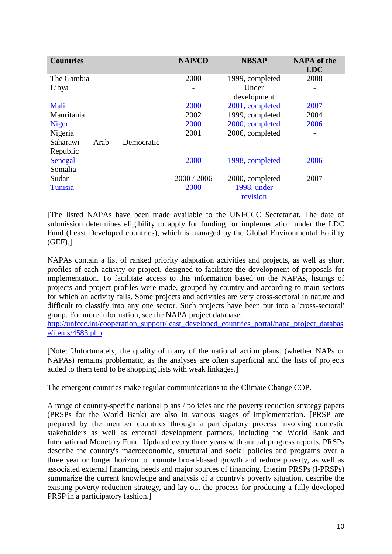| <b>Countries</b> |      |            | <b>NAP/CD</b> | <b>NBSAP</b>            | <b>NAPA</b> of the<br><b>LDC</b> |
|------------------|------|------------|---------------|-------------------------|----------------------------------|
| The Gambia       |      |            | 2000          | 1999, completed         | 2008                             |
| Libya            |      |            |               | Under                   |                                  |
|                  |      |            |               | development             |                                  |
| Mali             |      |            | 2000          | 2001, completed         | 2007                             |
| Mauritania       |      |            | 2002          | 1999, completed         | 2004                             |
| Niger            |      |            | 2000          | 2000, completed         | 2006                             |
| Nigeria          |      |            | 2001          | 2006, completed         | -                                |
| Saharawi         | Arab | Democratic |               |                         |                                  |
| Republic         |      |            |               |                         |                                  |
| Senegal          |      |            | 2000          | 1998, completed         | 2006                             |
| Somalia          |      |            |               |                         |                                  |
| Sudan            |      |            | 2000 / 2006   | 2000, completed         | 2007                             |
| Tunisia          |      |            | 2000          | 1998, under<br>revision |                                  |

[The listed NAPAs have been made available to the UNFCCC Secretariat. The date of submission determines eligibility to apply for funding for implementation under the LDC Fund (Least Developed countries), which is managed by the Global Environmental Facility (GEF).]

NAPAs contain a list of ranked priority adaptation activities and projects, as well as short profiles of each activity or project, designed to facilitate the development of proposals for implementation. To facilitate access to this information based on the NAPAs, listings of projects and project profiles were made, grouped by country and according to main sectors for which an activity falls. Some projects and activities are very cross-sectoral in nature and difficult to classify into any one sector. Such projects have been put into a 'cross-sectoral' group. For more information, see the NAPA project database:

[http://unfccc.int/cooperation\\_support/least\\_developed\\_countries\\_portal/napa\\_project\\_databas](http://unfccc.int/cooperation_support/least_developed_countries_portal/napa_project_database/items/4583.php) [e/items/4583.php](http://unfccc.int/cooperation_support/least_developed_countries_portal/napa_project_database/items/4583.php)

[Note: Unfortunately, the quality of many of the national action plans. (whether NAPs or NAPAs) remains problematic, as the analyses are often superficial and the lists of projects added to them tend to be shopping lists with weak linkages.]

The emergent countries make regular communications to the Climate Change COP.

A range of country-specific national plans / policies and the poverty reduction strategy papers (PRSPs for the World Bank) are also in various stages of implementation. [PRSP are prepared by the member countries through a participatory process involving domestic stakeholders as well as external development partners, including the World Bank and International Monetary Fund. Updated every three years with annual progress reports, PRSPs describe the country's macroeconomic, structural and social policies and programs over a three year or longer horizon to promote broad-based growth and reduce poverty, as well as associated external financing needs and major sources of financing. Interim PRSPs (I-PRSPs) summarize the current knowledge and analysis of a country's poverty situation, describe the existing poverty reduction strategy, and lay out the process for producing a fully developed PRSP in a participatory fashion.]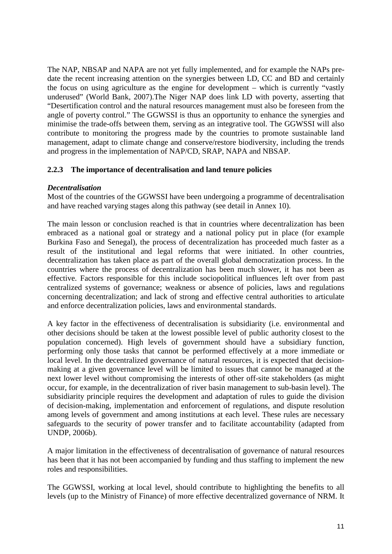The NAP, NBSAP and NAPA are not yet fully implemented, and for example the NAPs predate the recent increasing attention on the synergies between LD, CC and BD and certainly the focus on using agriculture as the engine for development – which is currently "vastly underused" (World Bank, 2007).The Niger NAP does link LD with poverty, asserting that "Desertification control and the natural resources management must also be foreseen from the angle of poverty control." The GGWSSI is thus an opportunity to enhance the synergies and minimise the trade-offs between them, serving as an integrative tool. The GGWSSI will also contribute to monitoring the progress made by the countries to promote sustainable land management, adapt to climate change and conserve/restore biodiversity, including the trends and progress in the implementation of NAP/CD, SRAP, NAPA and NBSAP.

## <span id="page-23-0"></span>**2.2.3 The importance of decentralisation and land tenure policies**

#### *Decentralisation*

Most of the countries of the GGWSSI have been undergoing a programme of decentralisation and have reached varying stages along this pathway (see detail in Annex 10).

The main lesson or conclusion reached is that in countries where decentralization has been embraced as a national goal or strategy and a national policy put in place (for example Burkina Faso and Senegal), the process of decentralization has proceeded much faster as a result of the institutional and legal reforms that were initiated. In other countries, decentralization has taken place as part of the overall global democratization process. In the countries where the process of decentralization has been much slower, it has not been as effective. Factors responsible for this include sociopolitical influences left over from past centralized systems of governance; weakness or absence of policies, laws and regulations concerning decentralization; and lack of strong and effective central authorities to articulate and enforce decentralization policies, laws and environmental standards.

A key factor in the effectiveness of decentralisation is subsidiarity (i.e. environmental and other decisions should be taken at the lowest possible level of public authority closest to the population concerned). High levels of government should have a subsidiary function, performing only those tasks that cannot be performed effectively at a more immediate or local level. In the decentralized governance of natural resources, it is expected that decisionmaking at a given governance level will be limited to issues that cannot be managed at the next lower level without compromising the interests of other off-site stakeholders (as might occur, for example, in the decentralization of river basin management to sub-basin level). The subsidiarity principle requires the development and adaptation of rules to guide the division of decision-making, implementation and enforcement of regulations, and dispute resolution among levels of government and among institutions at each level. These rules are necessary safeguards to the security of power transfer and to facilitate accountability (adapted from UNDP, 2006b).

A major limitation in the effectiveness of decentralisation of governance of natural resources has been that it has not been accompanied by funding and thus staffing to implement the new roles and responsibilities.

The GGWSSI, working at local level, should contribute to highlighting the benefits to all levels (up to the Ministry of Finance) of more effective decentralized governance of NRM. It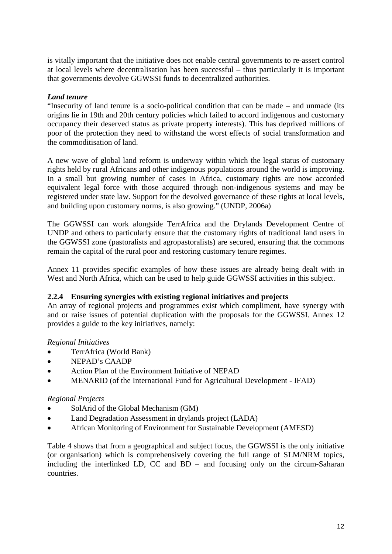is vitally important that the initiative does not enable central governments to re-assert control at local levels where decentralisation has been successful – thus particularly it is important that governments devolve GGWSSI funds to decentralized authorities.

#### *Land tenure*

"Insecurity of land tenure is a socio-political condition that can be made – and unmade (its origins lie in 19th and 20th century policies which failed to accord indigenous and customary occupancy their deserved status as private property interests). This has deprived millions of poor of the protection they need to withstand the worst effects of social transformation and the commoditisation of land.

A new wave of global land reform is underway within which the legal status of customary rights held by rural Africans and other indigenous populations around the world is improving. In a small but growing number of cases in Africa, customary rights are now accorded equivalent legal force with those acquired through non-indigenous systems and may be registered under state law. Support for the devolved governance of these rights at local levels, and building upon customary norms, is also growing." (UNDP, 2006a)

The GGWSSI can work alongside TerrAfrica and the Drylands Development Centre of UNDP and others to particularly ensure that the customary rights of traditional land users in the GGWSSI zone (pastoralists and agropastoralists) are secured, ensuring that the commons remain the capital of the rural poor and restoring customary tenure regimes.

Annex 11 provides specific examples of how these issues are already being dealt with in West and North Africa, which can be used to help guide GGWSSI activities in this subject.

#### <span id="page-24-0"></span>**2.2.4 Ensuring synergies with existing regional initiatives and projects**

An array of regional projects and programmes exist which compliment, have synergy with and or raise issues of potential duplication with the proposals for the GGWSSI. Annex 12 provides a guide to the key initiatives, namely:

## *Regional Initiatives*

- TerrAfrica (World Bank)
- NEPAD's CAADP
- Action Plan of the Environment Initiative of NEPAD
- MENARID (of the International Fund for Agricultural Development IFAD)

#### *Regional Projects*

- SolArid of the Global Mechanism (GM)
- Land Degradation Assessment in drylands project (LADA)
- African Monitoring of Environment for Sustainable Development (AMESD)

Table 4 shows that from a geographical and subject focus, the GGWSSI is the only initiative (or organisation) which is comprehensively covering the full range of SLM/NRM topics, including the interlinked LD, CC and BD – and focusing only on the circum-Saharan countries.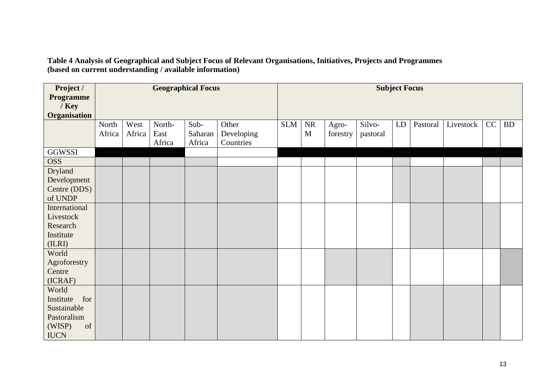#### **Table 4 Analysis of Geographical and Subject Focus of Relevant Organisations, Initiatives, Projects and Programmes (based on current understanding / available information)**

<span id="page-25-0"></span>

| Project /<br>Programme | <b>Geographical Focus</b> |        |        |         | <b>Subject Focus</b> |            |    |          |          |    |          |           |    |           |
|------------------------|---------------------------|--------|--------|---------|----------------------|------------|----|----------|----------|----|----------|-----------|----|-----------|
| $/$ Key                |                           |        |        |         |                      |            |    |          |          |    |          |           |    |           |
| Organisation           |                           |        |        |         |                      |            |    |          |          |    |          |           |    |           |
|                        | North                     | West   | North- | Sub-    | Other                | <b>SLM</b> | NR | Agro-    | Silvo-   | LD | Pastoral | Livestock | CC | <b>BD</b> |
|                        | Africa                    | Africa | East   | Saharan | Developing           |            | M  | forestry | pastoral |    |          |           |    |           |
|                        |                           |        | Africa | Africa  | Countries            |            |    |          |          |    |          |           |    |           |
| <b>GGWSSI</b>          |                           |        |        |         |                      |            |    |          |          |    |          |           |    |           |
| <b>OSS</b>             |                           |        |        |         |                      |            |    |          |          |    |          |           |    |           |
| <b>Dryland</b>         |                           |        |        |         |                      |            |    |          |          |    |          |           |    |           |
| Development            |                           |        |        |         |                      |            |    |          |          |    |          |           |    |           |
| Centre (DDS)           |                           |        |        |         |                      |            |    |          |          |    |          |           |    |           |
| of UNDP                |                           |        |        |         |                      |            |    |          |          |    |          |           |    |           |
| International          |                           |        |        |         |                      |            |    |          |          |    |          |           |    |           |
| Livestock              |                           |        |        |         |                      |            |    |          |          |    |          |           |    |           |
| Research               |                           |        |        |         |                      |            |    |          |          |    |          |           |    |           |
| Institute              |                           |        |        |         |                      |            |    |          |          |    |          |           |    |           |
| (ILRI)                 |                           |        |        |         |                      |            |    |          |          |    |          |           |    |           |
| World                  |                           |        |        |         |                      |            |    |          |          |    |          |           |    |           |
| Agroforestry           |                           |        |        |         |                      |            |    |          |          |    |          |           |    |           |
| Centre                 |                           |        |        |         |                      |            |    |          |          |    |          |           |    |           |
| (ICRAF)<br>World       |                           |        |        |         |                      |            |    |          |          |    |          |           |    |           |
| for<br>Institute       |                           |        |        |         |                      |            |    |          |          |    |          |           |    |           |
| Sustainable            |                           |        |        |         |                      |            |    |          |          |    |          |           |    |           |
| Pastoralism            |                           |        |        |         |                      |            |    |          |          |    |          |           |    |           |
| (WISP)<br>of           |                           |        |        |         |                      |            |    |          |          |    |          |           |    |           |
|                        |                           |        |        |         |                      |            |    |          |          |    |          |           |    |           |
| <b>IUCN</b>            |                           |        |        |         |                      |            |    |          |          |    |          |           |    |           |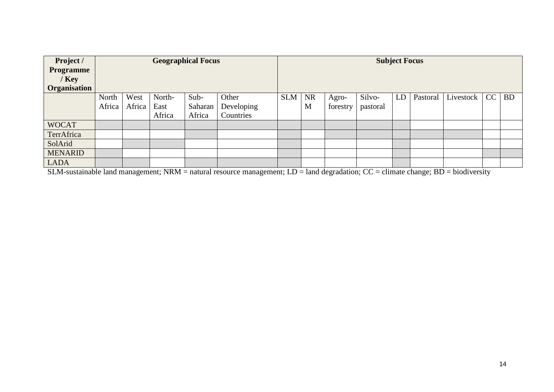| Project /<br>Programme<br>$/$ Key<br><b>Organisation</b> | <b>Geographical Focus</b> |        |        | <b>Subject Focus</b> |            |            |           |          |          |    |          |           |    |           |
|----------------------------------------------------------|---------------------------|--------|--------|----------------------|------------|------------|-----------|----------|----------|----|----------|-----------|----|-----------|
|                                                          | North                     | West   | North- | $Sub-$               | Other      | <b>SLM</b> | <b>NR</b> | Agro-    | Silvo-   | LD | Pastoral | Livestock | CC | <b>BD</b> |
|                                                          | Africa                    | Africa | East   | Saharan              | Developing |            | M         | forestry | pastoral |    |          |           |    |           |
|                                                          |                           |        | Africa | Africa               | Countries  |            |           |          |          |    |          |           |    |           |
| <b>WOCAT</b>                                             |                           |        |        |                      |            |            |           |          |          |    |          |           |    |           |
| TerrAfrica                                               |                           |        |        |                      |            |            |           |          |          |    |          |           |    |           |
| SolArid                                                  |                           |        |        |                      |            |            |           |          |          |    |          |           |    |           |
| <b>MENARID</b>                                           |                           |        |        |                      |            |            |           |          |          |    |          |           |    |           |
| <b>LADA</b>                                              |                           |        |        |                      |            |            |           |          |          |    |          |           |    |           |

SLM-sustainable land management; NRM = natural resource management; LD = land degradation; CC = climate change; BD = biodiversity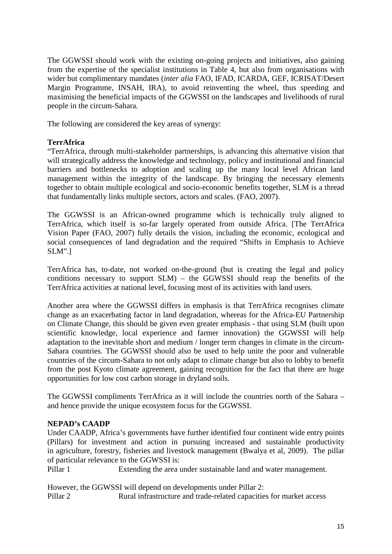The GGWSSI should work with the existing on-going projects and initiatives, also gaining from the expertise of the specialist institutions in Table 4, but also from organisations with wider but complimentary mandates (*inter alia* FAO, IFAD, ICARDA, GEF, ICRISAT/Desert Margin Programme, INSAH, IRA), to avoid reinventing the wheel, thus speeding and maximising the beneficial impacts of the GGWSSI on the landscapes and livelihoods of rural people in the circum-Sahara.

The following are considered the key areas of synergy:

#### **TerrAfrica**

"TerrAfrica, through multi-stakeholder partnerships, is advancing this alternative vision that will strategically address the knowledge and technology, policy and institutional and financial barriers and bottlenecks to adoption and scaling up the many local level African land management within the integrity of the landscape. By bringing the necessary elements together to obtain multiple ecological and socio-economic benefits together, SLM is a thread that fundamentally links multiple sectors, actors and scales. (FAO, 2007).

The GGWSSI is an African-owned programme which is technically truly aligned to TerrAfrica, which itself is so-far largely operated from outside Africa. [The TerrAfrica Vision Paper (FAO, 2007) fully details the vision, including the economic, ecological and social consequences of land degradation and the required "Shifts in Emphasis to Achieve SLM".]

TerrAfrica has, to-date, not worked on-the-ground (but is creating the legal and policy conditions necessary to support SLM) – the GGWSSI should reap the benefits of the TerrAfrica activities at national level, focusing most of its activities with land users.

Another area where the GGWSSI differs in emphasis is that TerrAfrica recognises climate change as an exacerbating factor in land degradation, whereas for the Africa-EU Partnership on Climate Change, this should be given even greater emphasis - that using SLM (built upon scientific knowledge, local experience and farmer innovation) the GGWSSI will help adaptation to the inevitable short and medium / longer term changes in climate in the circum-Sahara countries. The GGWSSI should also be used to help unite the poor and vulnerable countries of the circum-Sahara to not only adapt to climate change but also to lobby to benefit from the post Kyoto climate agreement, gaining recognition for the fact that there are huge opportunities for low cost carbon storage in dryland soils.

The GGWSSI compliments TerrAfrica as it will include the countries north of the Sahara – and hence provide the unique ecosystem focus for the GGWSSI.

#### **NEPAD's CAADP**

Under CAADP, Africa's governments have further identified four continent wide entry points (Pillars) for investment and action in pursuing increased and sustainable productivity in agriculture, forestry, fisheries and livestock management (Bwalya et al, 2009). The pillar of particular relevance to the GGWSSI is:

Pillar 1 Extending the area under sustainable land and water management.

However, the GGWSSI will depend on developments under Pillar 2: Pillar 2 Rural infrastructure and trade-related capacities for market access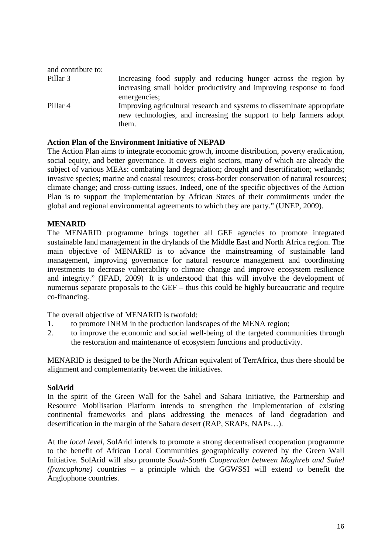| Increasing food supply and reducing hunger across the region by<br>increasing small holder productivity and improving response to food                |
|-------------------------------------------------------------------------------------------------------------------------------------------------------|
| emergencies;                                                                                                                                          |
| Improving agricultural research and systems to disseminate appropriate<br>new technologies, and increasing the support to help farmers adopt<br>them. |
|                                                                                                                                                       |

#### **Action Plan of the Environment Initiative of NEPAD**

The Action Plan aims to integrate economic growth, income distribution, poverty eradication, social equity, and better governance. It covers eight sectors, many of which are already the subject of various MEAs: combating land degradation; drought and desertification; wetlands; [invasive species;](http://www.unep.org/DEC/OnLineManual/Resources/Glossary/tabid/69/Default.aspx?high=invasive+species#high) marine and coastal resources; cross-border conservation of natural resources; [climate change;](http://www.unep.org/DEC/OnLineManual/Resources/Glossary/tabid/69/Default.aspx?high=climate+change#high) and cross-cutting issues. Indeed, one of the specific objectives of the Action Plan is to support the implementation by African States of their commitments under the global and regional environmental [agreements](http://www.unep.org/DEC/OnLineManual/Resources/Glossary/tabid/69/Default.aspx?high=agreement#high) to which they are party." (UNEP, 2009).

#### **MENARID**

The MENARID programme brings together all GEF agencies to promote integrated sustainable land management in the drylands of the Middle East and North Africa region. The main objective of MENARID is to advance the mainstreaming of sustainable land management, improving governance for natural resource management and coordinating investments to decrease vulnerability to climate change and improve ecosystem resilience and integrity." (IFAD, 2009) It is understood that this will involve the development of numerous separate proposals to the GEF – thus this could be highly bureaucratic and require co-financing.

The overall objective of MENARID is twofold:

- 1. to promote INRM in the production landscapes of the MENA region;
- 2. to improve the economic and social well-being of the targeted communities through the restoration and maintenance of ecosystem functions and productivity.

MENARID is designed to be the North African equivalent of TerrAfrica, thus there should be alignment and complementarity between the initiatives.

#### **SolArid**

In the spirit of the Green Wall for the Sahel and Sahara Initiative, the Partnership and Resource Mobilisation Platform intends to strengthen the implementation of existing continental frameworks and plans addressing the menaces of land degradation and desertification in the margin of the Sahara desert (RAP, SRAPs, NAPs…).

At the *local level,* SolArid intends to promote a strong decentralised cooperation programme to the benefit of African Local Communities geographically covered by the Green Wall Initiative. SolArid will also promote *South-South Cooperation between Maghreb and Sahel (francophone)* countries – a principle which the GGWSSI will extend to benefit the Anglophone countries.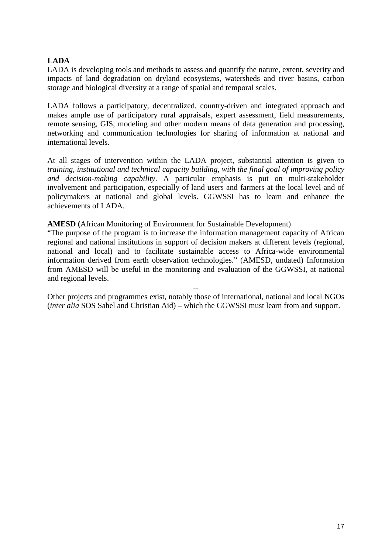## **LADA**

LADA is developing tools and methods to assess and quantify the nature, extent, severity and impacts of land degradation on dryland ecosystems, watersheds and river basins, carbon storage and biological diversity at a range of spatial and temporal scales.

LADA follows a participatory, decentralized, country-driven and integrated approach and makes ample use of participatory rural appraisals, expert assessment, field measurements, remote sensing, GIS, modeling and other modern means of data generation and processing, networking and communication technologies for sharing of information at national and international levels.

At all stages of intervention within the LADA project, substantial attention is given to *training, institutional and technical capacity building, with the final goal of improving policy and decision-making capability*. A particular emphasis is put on multi-stakeholder involvement and participation, especially of land users and farmers at the local level and of policymakers at national and global levels. GGWSSI has to learn and enhance the achievements of LADA.

**AMESD (**African Monitoring of Environment for Sustainable Development)

"The purpose of the program is to increase the information management capacity of African regional and national institutions in support of decision makers at different levels (regional, national and local) and to facilitate sustainable access to Africa-wide environmental information derived from earth observation technologies." (AMESD, undated) Information from AMESD will be useful in the monitoring and evaluation of the GGWSSI, at national and regional levels.

-- Other projects and programmes exist, notably those of international, national and local NGOs (*inter alia* SOS Sahel and Christian Aid) – which the GGWSSI must learn from and support.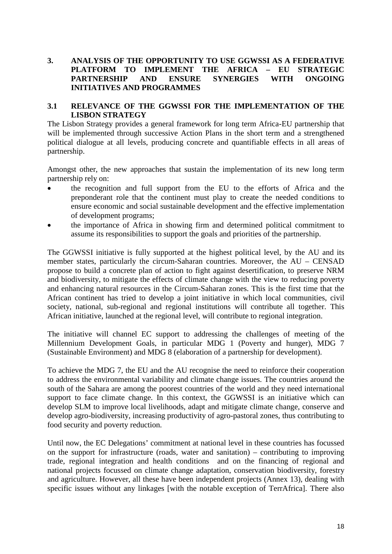## <span id="page-30-0"></span>**3. ANALYSIS OF THE OPPORTUNITY TO USE GGWSSI AS A FEDERATIVE PLATFORM TO IMPLEMENT THE AFRICA – EU STRATEGIC PARTNERSHIP AND ENSURE SYNERGIES WITH ONGOING INITIATIVES AND PROGRAMMES**

#### <span id="page-30-1"></span>**3.1 RELEVANCE OF THE GGWSSI FOR THE IMPLEMENTATION OF THE LISBON STRATEGY**

The Lisbon Strategy provides a general framework for long term Africa-EU partnership that will be implemented through successive Action Plans in the short term and a strengthened political dialogue at all levels, producing concrete and quantifiable effects in all areas of partnership.

Amongst other, the new approaches that sustain the implementation of its new long term partnership rely on:

- the recognition and full support from the EU to the efforts of Africa and the preponderant role that the continent must play to create the needed conditions to ensure economic and social sustainable development and the effective implementation of development programs;
- the importance of Africa in showing firm and determined political commitment to assume its responsibilities to support the goals and priorities of the partnership.

The GGWSSI initiative is fully supported at the highest political level, by the AU and its member states, particularly the circum-Saharan countries. Moreover, the AU – CENSAD propose to build a concrete plan of action to fight against desertification, to preserve NRM and biodiversity, to mitigate the effects of climate change with the view to reducing poverty and enhancing natural resources in the Circum-Saharan zones. This is the first time that the African continent has tried to develop a joint initiative in which local communities, civil society, national, sub-regional and regional institutions will contribute all together. This African initiative, launched at the regional level, will contribute to regional integration.

The initiative will channel EC support to addressing the challenges of meeting of the Millennium Development Goals, in particular MDG 1 (Poverty and hunger), MDG 7 (Sustainable Environment) and MDG 8 (elaboration of a partnership for development).

To achieve the MDG 7, the EU and the AU recognise the need to reinforce their cooperation to address the environmental variability and climate change issues. The countries around the south of the Sahara are among the poorest countries of the world and they need international support to face climate change. In this context, the GGWSSI is an initiative which can develop SLM to improve local livelihoods, adapt and mitigate climate change, conserve and develop agro-biodiversity, increasing productivity of agro-pastoral zones, thus contributing to food security and poverty reduction.

Until now, the EC Delegations' commitment at national level in these countries has focussed on the support for infrastructure (roads, water and sanitation) – contributing to improving trade, regional integration and health conditions and on the financing of regional and national projects focussed on climate change adaptation, conservation biodiversity, forestry and agriculture. However, all these have been independent projects (Annex 13), dealing with specific issues without any linkages [with the notable exception of TerrAfrica]. There also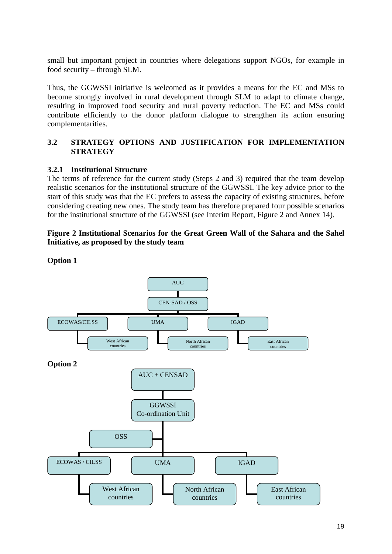small but important project in countries where delegations support NGOs, for example in food security – through SLM.

Thus, the GGWSSI initiative is welcomed as it provides a means for the EC and MSs to become strongly involved in rural development through SLM to adapt to climate change, resulting in improved food security and rural poverty reduction. The EC and MSs could contribute efficiently to the donor platform dialogue to strengthen its action ensuring complementarities.

## <span id="page-31-0"></span>**3.2 STRATEGY OPTIONS AND JUSTIFICATION FOR IMPLEMENTATION STRATEGY**

## <span id="page-31-1"></span>**3.2.1 Institutional Structure**

The terms of reference for the current study (Steps 2 and 3) required that the team develop realistic scenarios for the institutional structure of the GGWSSI. The key advice prior to the start of this study was that the EC prefers to assess the capacity of existing structures, before considering creating new ones. The study team has therefore prepared four possible scenarios for the institutional structure of the GGWSSI (see Interim Report, Figure 2 and Annex 14).

## <span id="page-31-2"></span>**Figure 2 Institutional Scenarios for the Great Green Wall of the Sahara and the Sahel Initiative, as proposed by the study team**



**Option 1**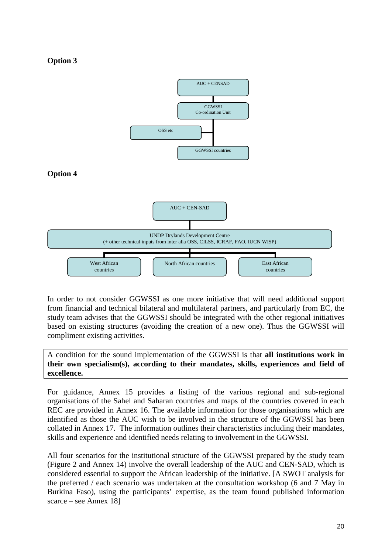## **Option 3**



In order to not consider GGWSSI as one more initiative that will need additional support from financial and technical bilateral and multilateral partners, and particularly from EC, the study team advises that the GGWSSI should be integrated with the other regional initiatives based on existing structures (avoiding the creation of a new one). Thus the GGWSSI will compliment existing activities.

A condition for the sound implementation of the GGWSSI is that **all institutions work in their own specialism(s), according to their mandates, skills, experiences and field of excellence.**

For guidance, Annex 15 provides a listing of the various regional and sub-regional organisations of the Sahel and Saharan countries and maps of the countries covered in each REC are provided in Annex 16. The available information for those organisations which are identified as those the AUC wish to be involved in the structure of the GGWSSI has been collated in Annex 17. The information outlines their characteristics including their mandates, skills and experience and identified needs relating to involvement in the GGWSSI.

All four scenarios for the institutional structure of the GGWSSI prepared by the study team (Figure 2 and Annex 14) involve the overall leadership of the AUC and CEN-SAD, which is considered essential to support the African leadership of the initiative. [A SWOT analysis for the preferred / each scenario was undertaken at the consultation workshop (6 and 7 May in Burkina Faso), using the participants' expertise, as the team found published information scarce – see Annex 18]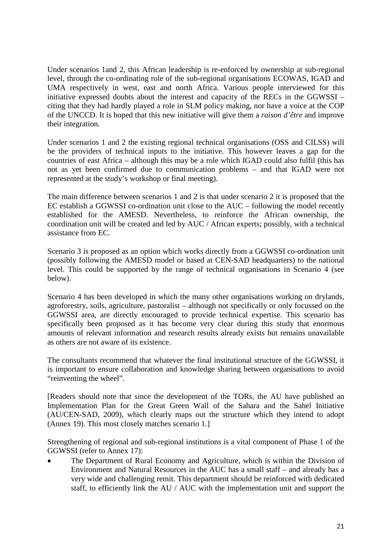Under scenarios 1and 2, this African leadership is re-enforced by ownership at sub-regional level, through the co-ordinating role of the sub-regional organisations ECOWAS, IGAD and UMA respectively in west, east and north Africa. Various people interviewed for this initiative expressed doubts about the interest and capacity of the RECs in the GGWSSI – citing that they had hardly played a role in SLM policy making, nor have a voice at the COP of the UNCCD. It is hoped that this new initiative will give them a *raison d'être* and improve their integration.

Under scenarios 1 and 2 the existing regional technical organisations (OSS and CILSS) will be the providers of technical inputs to the initiative. This however leaves a gap for the countries of east Africa – although this may be a role which IGAD could also fulfil (this has not as yet been confirmed due to communication problems – and that IGAD were not represented at the study's workshop or final meeting).

The main difference between scenarios 1 and 2 is that under scenario 2 it is proposed that the EC establish a GGWSSI co-ordination unit close to the AUC – following the model recently established for the AMESD. Nevertheless, to reinforce the African ownership, the coordination unit will be created and led by AUC / African experts; possibly, with a technical assistance from EC.

Scenario 3 is proposed as an option which works directly from a GGWSSI co-ordination unit (possibly following the AMESD model or based at CEN-SAD headquarters) to the national level. This could be supported by the range of technical organisations in Scenario 4 (see below).

Scenario 4 has been developed in which the many other organisations working on drylands, agroforestry, soils, agriculture, pastoralist – although not specifically or only focussed on the GGWSSI area, are directly encouraged to provide technical expertise. This scenario has specifically been proposed as it has become very clear during this study that enormous amounts of relevant information and research results already exists but remains unavailable as others are not aware of its existence.

The consultants recommend that whatever the final institutional structure of the GGWSSI, it is important to ensure collaboration and knowledge sharing between organisations to avoid "reinventing the wheel".

[Readers should note that since the development of the TORs, the AU have published an Implementation Plan for the Great Green Wall of the Sahara and the Sahel Initiative (AU/CEN-SAD, 2009), which clearly maps out the structure which they intend to adopt (Annex 19). This most closely matches scenario 1.]

Strengthening of regional and sub-regional institutions is a vital component of Phase 1 of the GGWSSI (refer to Annex 17):

The Department of Rural Economy and Agriculture, which is within the Division of Environment and Natural Resources in the AUC has a small staff – and already has a very wide and challenging remit. This department should be reinforced with dedicated staff, to efficiently link the AU / AUC with the implementation unit and support the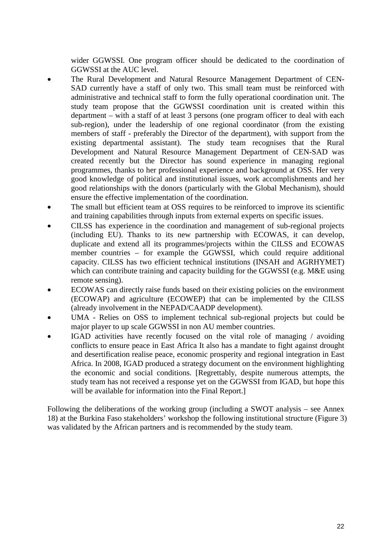wider GGWSSI. One program officer should be dedicated to the coordination of GGWSSI at the AUC level.

- The Rural Development and Natural Resource Management Department of CEN-SAD currently have a staff of only two. This small team must be reinforced with administrative and technical staff to form the fully operational coordination unit. The study team propose that the GGWSSI coordination unit is created within this department – with a staff of at least 3 persons (one program officer to deal with each sub-region), under the leadership of one regional coordinator (from the existing members of staff - preferably the Director of the department), with support from the existing departmental assistant). The study team recognises that the Rural Development and Natural Resource Management Department of CEN-SAD was created recently but the Director has sound experience in managing regional programmes, thanks to her professional experience and background at OSS. Her very good knowledge of political and institutional issues, work accomplishments and her good relationships with the donors (particularly with the Global Mechanism), should ensure the effective implementation of the coordination.
- The small but efficient team at OSS requires to be reinforced to improve its scientific and training capabilities through inputs from external experts on specific issues.
- CILSS has experience in the coordination and management of sub-regional projects (including EU). Thanks to its new partnership with ECOWAS, it can develop, duplicate and extend all its programmes/projects within the CILSS and ECOWAS member countries – for example the GGWSSI, which could require additional capacity. CILSS has two efficient technical institutions (INSAH and AGRHYMET) which can contribute training and capacity building for the GGWSSI (e.g. M&E using remote sensing).
- ECOWAS can directly raise funds based on their existing policies on the environment (ECOWAP) and agriculture (ECOWEP) that can be implemented by the CILSS (already involvement in the NEPAD/CAADP development).
- UMA Relies on OSS to implement technical sub-regional projects but could be major player to up scale GGWSSI in non AU member countries.
- IGAD activities have recently focused on the vital role of managing / avoiding conflicts to ensure peace in East Africa It also has a mandate to fight against drought and desertification realise peace, economic prosperity and regional integration in East Africa. In 2008, IGAD produced a strategy document on the environment highlighting the economic and social conditions. [Regrettably, despite numerous attempts, the study team has not received a response yet on the GGWSSI from IGAD, but hope this will be available for information into the Final Report.]

<span id="page-34-0"></span>Following the deliberations of the working group (including a SWOT analysis – see Annex 18) at the Burkina Faso stakeholders' workshop the following institutional structure (Figure 3) was validated by the African partners and is recommended by the study team.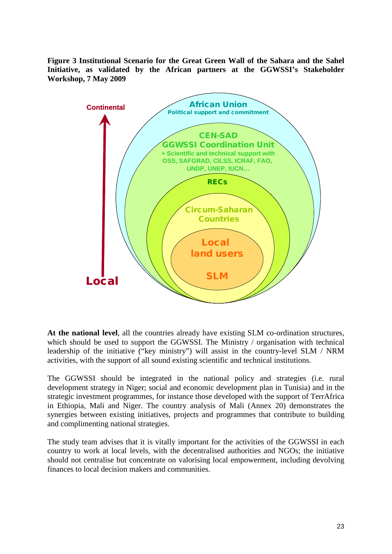**Figure 3 Institutional Scenario for the Great Green Wall of the Sahara and the Sahel Initiative, as validated by the African partners at the GGWSSI's Stakeholder Workshop, 7 May 2009**



**At the national level**, all the countries already have existing SLM co-ordination structures, which should be used to support the GGWSSI. The Ministry / organisation with technical leadership of the initiative ("key ministry") will assist in the country-level SLM / NRM activities, with the support of all sound existing scientific and technical institutions.

The GGWSSI should be integrated in the national policy and strategies (i.e. rural development strategy in Niger; social and economic development plan in Tunisia) and in the strategic investment programmes, for instance those developed with the support of TerrAfrica in Ethiopia, Mali and Niger. The country analysis of Mali (Annex 20) demonstrates the synergies between existing initiatives, projects and programmes that contribute to building and complimenting national strategies.

The study team advises that it is vitally important for the activities of the GGWSSI in each country to work at local levels, with the decentralised authorities and NGOs; the initiative should not centralise but concentrate on valorising local empowerment, including devolving finances to local decision makers and communities.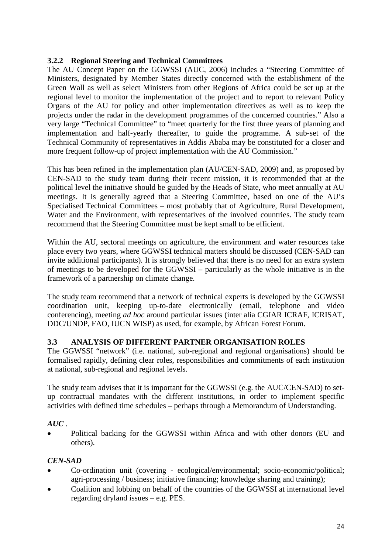## <span id="page-36-0"></span>**3.2.2 Regional Steering and Technical Committees**

The AU Concept Paper on the GGWSSI (AUC, 2006) includes a "Steering Committee of Ministers, designated by Member States directly concerned with the establishment of the Green Wall as well as select Ministers from other Regions of Africa could be set up at the regional level to monitor the implementation of the project and to report to relevant Policy Organs of the AU for policy and other implementation directives as well as to keep the projects under the radar in the development programmes of the concerned countries." Also a very large "Technical Committee" to "meet quarterly for the first three years of planning and implementation and half-yearly thereafter, to guide the programme. A sub-set of the Technical Community of representatives in Addis Ababa may be constituted for a closer and more frequent follow-up of project implementation with the AU Commission."

This has been refined in the implementation plan (AU/CEN-SAD, 2009) and, as proposed by CEN-SAD to the study team during their recent mission, it is recommended that at the political level the initiative should be guided by the Heads of State, who meet annually at AU meetings. It is generally agreed that a Steering Committee, based on one of the AU's Specialised Technical Committees – most probably that of Agriculture, Rural Development, Water and the Environment, with representatives of the involved countries. The study team recommend that the Steering Committee must be kept small to be efficient.

Within the AU, sectoral meetings on agriculture, the environment and water resources take place every two years, where GGWSSI technical matters should be discussed (CEN-SAD can invite additional participants). It is strongly believed that there is no need for an extra system of meetings to be developed for the GGWSSI – particularly as the whole initiative is in the framework of a partnership on climate change.

The study team recommend that a network of technical experts is developed by the GGWSSI coordination unit, keeping up-to-date electronically (email, telephone and video conferencing), meeting *ad hoc* around particular issues (inter alia CGIAR ICRAF, ICRISAT, DDC/UNDP, FAO, IUCN WISP) as used, for example, by African Forest Forum.

## <span id="page-36-1"></span>**3.3 ANALYSIS OF DIFFERENT PARTNER ORGANISATION ROLES**

The GGWSSI "network" (i.e. national, sub-regional and regional organisations) should be formalised rapidly, defining clear roles, responsibilities and commitments of each institution at national, sub-regional and regional levels.

The study team advises that it is important for the GGWSSI (e.g. the AUC/CEN-SAD) to setup contractual mandates with the different institutions, in order to implement specific activities with defined time schedules – perhaps through a Memorandum of Understanding.

# *AUC* .

• Political backing for the GGWSSI within Africa and with other donors (EU and others).

# *CEN-SAD*

- Co-ordination unit (covering ecological/environmental; socio-economic/political; agri-processing / business; initiative financing; knowledge sharing and training);
- Coalition and lobbing on behalf of the countries of the GGWSSI at international level regarding dryland issues – e.g. PES.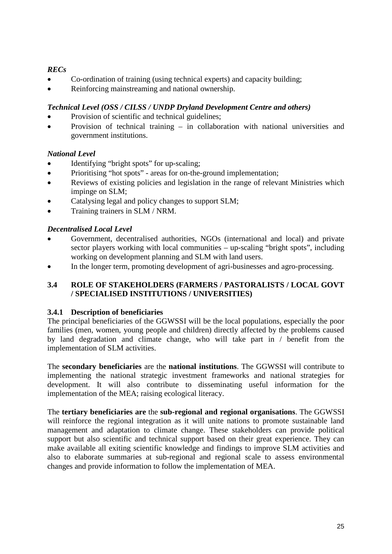## *RECs*

- Co-ordination of training (using technical experts) and capacity building;
- Reinforcing mainstreaming and national ownership.

## *Technical Level (OSS / CILSS / UNDP Dryland Development Centre and others)*

- Provision of scientific and technical guidelines;
- Provision of technical training in collaboration with national universities and government institutions.

## *National Level*

- Identifying "bright spots" for up-scaling;
- Prioritising "hot spots" areas for on-the-ground implementation;
- Reviews of existing policies and legislation in the range of relevant Ministries which impinge on SLM;
- Catalysing legal and policy changes to support SLM;
- Training trainers in SLM / NRM.

## *Decentralised Local Level*

- Government, decentralised authorities, NGOs (international and local) and private sector players working with local communities – up-scaling "bright spots", including working on development planning and SLM with land users.
- In the longer term, promoting development of agri-businesses and agro-processing.

## <span id="page-37-0"></span>**3.4 ROLE OF STAKEHOLDERS (FARMERS / PASTORALISTS / LOCAL GOVT / SPECIALISED INSTITUTIONS / UNIVERSITIES)**

## <span id="page-37-1"></span>**3.4.1 Description of beneficiaries**

The principal beneficiaries of the GGWSSI will be the local populations, especially the poor families (men, women, young people and children) directly affected by the problems caused by land degradation and climate change, who will take part in / benefit from the implementation of SLM activities.

The **secondary beneficiaries** are the **national institutions**. The GGWSSI will contribute to implementing the national strategic investment frameworks and national strategies for development. It will also contribute to disseminating useful information for the implementation of the MEA; raising ecological literacy.

The **tertiary beneficiaries are** the **sub-regional and regional organisations**. The GGWSSI will reinforce the regional integration as it will unite nations to promote sustainable land management and adaptation to climate change. These stakeholders can provide political support but also scientific and technical support based on their great experience. They can make available all exiting scientific knowledge and findings to improve SLM activities and also to elaborate summaries at sub-regional and regional scale to assess environmental changes and provide information to follow the implementation of MEA.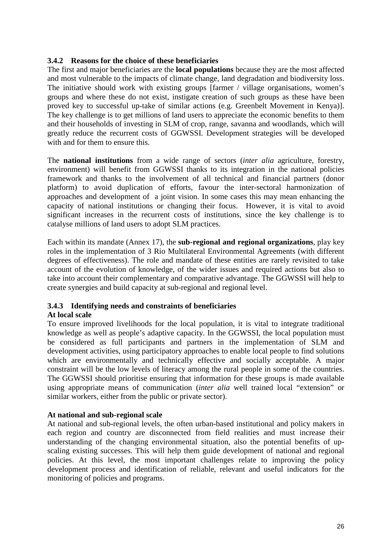#### <span id="page-38-0"></span>**3.4.2 Reasons for the choice of these beneficiaries**

The first and major beneficiaries are the **local populations** because they are the most affected and most vulnerable to the impacts of climate change, land degradation and biodiversity loss. The initiative should work with existing groups [farmer / village organisations, women's groups and where these do not exist, instigate creation of such groups as these have been proved key to successful up-take of similar actions (e.g. Greenbelt Movement in Kenya)]. The key challenge is to get millions of land users to appreciate the economic benefits to them and their households of investing in SLM of crop, range, savanna and woodlands, which will greatly reduce the recurrent costs of GGWSSI. Development strategies will be developed with and for them to ensure this.

The **national institutions** from a wide range of sectors (*inter alia* agriculture, forestry, environment) will benefit from GGWSSI thanks to its integration in the national policies framework and thanks to the involvement of all technical and financial partners (donor platform) to avoid duplication of efforts, favour the inter-sectoral harmonization of approaches and development of a joint vision. In some cases this may mean enhancing the capacity of national institutions or changing their focus. However, it is vital to avoid significant increases in the recurrent costs of institutions, since the key challenge is to catalyse millions of land users to adopt SLM practices.

Each within its mandate (Annex 17), the **sub-regional and regional organizations**, play key roles in the implementation of 3 Rio Multilateral Environmental Agreements (with different degrees of effectiveness). The role and mandate of these entities are rarely revisited to take account of the evolution of knowledge, of the wider issues and required actions but also to take into account their complementary and comparative advantage. The GGWSSI will help to create synergies and build capacity at sub-regional and regional level.

## <span id="page-38-1"></span>**3.4.3 Identifying needs and constraints of beneficiaries**

#### **At local scale**

To ensure improved livelihoods for the local population, it is vital to integrate traditional knowledge as well as people's adaptive capacity. In the GGWSSI, the local population must be considered as full participants and partners in the implementation of SLM and development activities, using participatory approaches to enable local people to find solutions which are environmentally and technically effective and socially acceptable. A major constraint will be the low levels of literacy among the rural people in some of the countries. The GGWSSI should prioritise ensuring that information for these groups is made available using appropriate means of communication (*inter alia* well trained local "extension" or similar workers, either from the public or private sector).

#### **At national and sub-regional scale**

At national and sub-regional levels, the often urban-based institutional and policy makers in each region and country are disconnected from field realities and must increase their understanding of the changing environmental situation, also the potential benefits of upscaling existing successes. This will help them guide development of national and regional policies. At this level, the most important challenges relate to improving the policy development process and identification of reliable, relevant and useful indicators for the monitoring of policies and programs.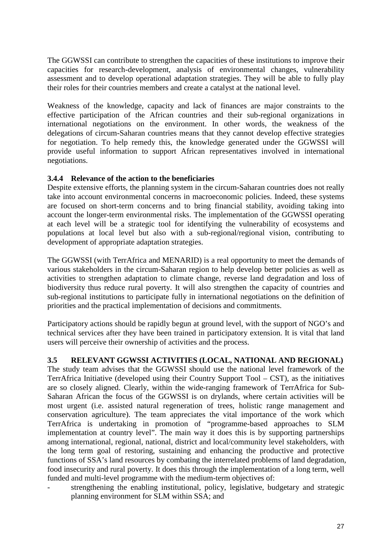The GGWSSI can contribute to strengthen the capacities of these institutions to improve their capacities for research-development, analysis of environmental changes, vulnerability assessment and to develop operational adaptation strategies. They will be able to fully play their roles for their countries members and create a catalyst at the national level.

Weakness of the knowledge, capacity and lack of finances are major constraints to the effective participation of the African countries and their sub-regional organizations in international negotiations on the environment. In other words, the weakness of the delegations of circum-Saharan countries means that they cannot develop effective strategies for negotiation. To help remedy this, the knowledge generated under the GGWSSI will provide useful information to support African representatives involved in international negotiations.

## <span id="page-39-0"></span>**3.4.4 Relevance of the action to the beneficiaries**

Despite extensive efforts, the planning system in the circum-Saharan countries does not really take into account environmental concerns in macroeconomic policies. Indeed, these systems are focused on short-term concerns and to bring financial stability, avoiding taking into account the longer-term environmental risks. The implementation of the GGWSSI operating at each level will be a strategic tool for identifying the vulnerability of ecosystems and populations at local level but also with a sub-regional/regional vision, contributing to development of appropriate adaptation strategies.

The GGWSSI (with TerrAfrica and MENARID) is a real opportunity to meet the demands of various stakeholders in the circum-Saharan region to help develop better policies as well as activities to strengthen adaptation to climate change, reverse land degradation and loss of biodiversity thus reduce rural poverty. It will also strengthen the capacity of countries and sub-regional institutions to participate fully in international negotiations on the definition of priorities and the practical implementation of decisions and commitments.

Participatory actions should be rapidly begun at ground level, with the support of NGO's and technical services after they have been trained in participatory extension. It is vital that land users will perceive their ownership of activities and the process.

## <span id="page-39-1"></span>**3.5 RELEVANT GGWSSI ACTIVITIES (LOCAL, NATIONAL AND REGIONAL)**

The study team advises that the GGWSSI should use the national level framework of the TerrAfrica Initiative (developed using their Country Support Tool – CST), as the initiatives are so closely aligned. Clearly, within the wide-ranging framework of TerrAfrica for Sub-Saharan African the focus of the GGWSSI is on drylands, where certain activities will be most urgent (i.e. assisted natural regeneration of trees, holistic range management and conservation agriculture). The team appreciates the vital importance of the work which TerrAfrica is undertaking in promotion of "programme-based approaches to SLM implementation at country level". The main way it does this is by supporting partnerships among international, regional, national, district and local/community level stakeholders, with the long term goal of restoring, sustaining and enhancing the productive and protective functions of SSA's land resources by combating the interrelated problems of land degradation, food insecurity and rural poverty. It does this through the implementation of a long term, well funded and multi-level programme with the medium-term objectives of:

strengthening the enabling institutional, policy, legislative, budgetary and strategic planning environment for SLM within SSA; and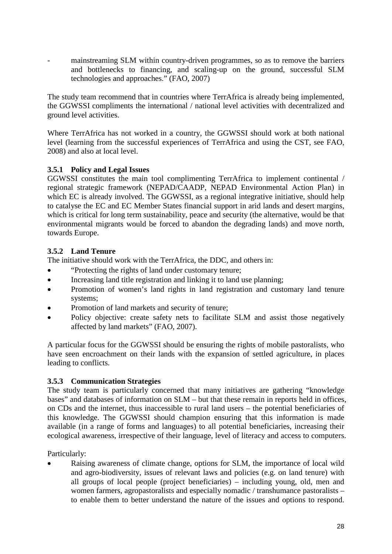mainstreaming SLM within country-driven programmes, so as to remove the barriers and bottlenecks to financing, and scaling-up on the ground, successful SLM technologies and approaches." (FAO, 2007)

The study team recommend that in countries where TerrAfrica is already being implemented, the GGWSSI compliments the international / national level activities with decentralized and ground level activities.

Where TerrAfrica has not worked in a country, the GGWSSI should work at both national level (learning from the successful experiences of TerrAfrica and using the CST, see FAO, 2008) and also at local level.

## <span id="page-40-0"></span>**3.5.1 Policy and Legal Issues**

GGWSSI constitutes the main tool complimenting TerrAfrica to implement continental / regional strategic framework (NEPAD/CAADP, NEPAD Environmental Action Plan) in which EC is already involved. The GGWSSI, as a regional integrative initiative, should help to catalyse the EC and EC Member States financial support in arid lands and desert margins, which is critical for long term sustainability, peace and security (the alternative, would be that environmental migrants would be forced to abandon the degrading lands) and move north, towards Europe.

## <span id="page-40-1"></span>**3.5.2 Land Tenure**

The initiative should work with the TerrAfrica, the DDC, and others in:

- "Protecting the rights of land under customary tenure;
- Increasing land title registration and linking it to land use planning;
- Promotion of women's land rights in land registration and customary land tenure systems;
- Promotion of land markets and security of tenure;
- Policy objective: create safety nets to facilitate SLM and assist those negatively affected by land markets" (FAO, 2007).

A particular focus for the GGWSSI should be ensuring the rights of mobile pastoralists, who have seen encroachment on their lands with the expansion of settled agriculture, in places leading to conflicts.

## <span id="page-40-2"></span>**3.5.3 Communication Strategies**

The study team is particularly concerned that many initiatives are gathering "knowledge bases" and databases of information on SLM – but that these remain in reports held in offices, on CDs and the internet, thus inaccessible to rural land users – the potential beneficiaries of this knowledge. The GGWSSI should champion ensuring that this information is made available (in a range of forms and languages) to all potential beneficiaries, increasing their ecological awareness, irrespective of their language, level of literacy and access to computers.

Particularly:

Raising awareness of climate change, options for SLM, the importance of local wild and agro-biodiversity, issues of relevant laws and policies (e.g. on land tenure) with all groups of local people (project beneficiaries) – including young, old, men and women farmers, agropastoralists and especially nomadic / transhumance pastoralists – to enable them to better understand the nature of the issues and options to respond.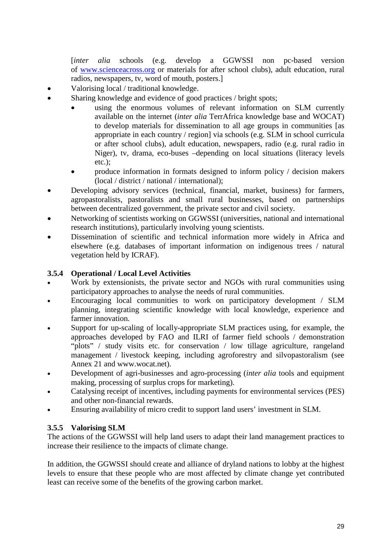[*inter alia* schools (e.g. develop a GGWSSI non pc-based version of [www.scienceacross.org](http://www.scienceacross.org/) or materials for after school clubs), adult education, rural radios, newspapers, tv, word of mouth, posters.]

- Valorising local / traditional knowledge.
- Sharing knowledge and evidence of good practices / bright spots;
	- using the enormous volumes of relevant information on SLM currently available on the internet (*inter alia* TerrAfrica knowledge base and WOCAT) to develop materials for dissemination to all age groups in communities [as appropriate in each country / region] via schools (e.g. SLM in school curricula or after school clubs), adult education, newspapers, radio (e.g. rural radio in Niger), tv, drama, eco-buses –depending on local situations (literacy levels etc.);
	- produce information in formats designed to inform policy / decision makers (local / district / national / international);
- Developing advisory services (technical, financial, market, business) for farmers, agropastoralists, pastoralists and small rural businesses, based on partnerships between decentralized government, the private sector and civil society.
- Networking of scientists working on GGWSSI (universities, national and international research institutions), particularly involving young scientists.
- Dissemination of scientific and technical information more widely in Africa and elsewhere (e.g. databases of important information on indigenous trees / natural vegetation held by ICRAF).

## <span id="page-41-0"></span>**3.5.4 Operational / Local Level Activities**

- Work by extensionists, the private sector and NGOs with rural communities using participatory approaches to analyse the needs of rural communities.
- Encouraging local communities to work on participatory development / SLM planning, integrating scientific knowledge with local knowledge, experience and farmer innovation.
- Support for up-scaling of locally-appropriate SLM practices using, for example, the approaches developed by FAO and ILRI of farmer field schools / demonstration "plots" / study visits etc. for conservation / low tillage agriculture, rangeland management / livestock keeping, including agroforestry and silvopastoralism (see Annex 21 and www.wocat.net).
- Development of agri-businesses and agro-processing (*inter alia* tools and equipment making, processing of surplus crops for marketing).
- Catalysing receipt of incentives, including payments for environmental services (PES) and other non-financial rewards.
- Ensuring availability of micro credit to support land users' investment in SLM.

# <span id="page-41-1"></span>**3.5.5 Valorising SLM**

The actions of the GGWSSI will help land users to adapt their land management practices to increase their resilience to the impacts of climate change.

In addition, the GGWSSI should create and alliance of dryland nations to lobby at the highest levels to ensure that these people who are most affected by climate change yet contributed least can receive some of the benefits of the growing carbon market.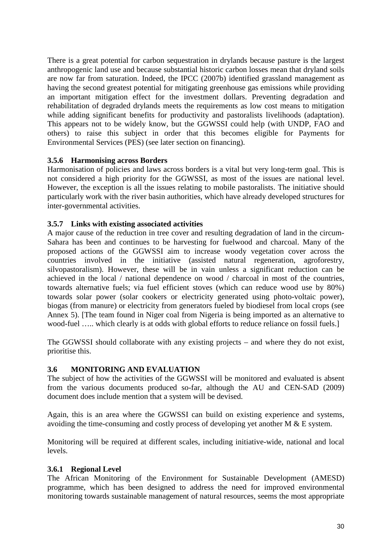There is a great potential for carbon sequestration in drylands because pasture is the largest anthropogenic land use and because substantial historic carbon losses mean that dryland soils are now far from saturation. Indeed, the IPCC (2007b) identified grassland management as having the second greatest potential for mitigating greenhouse gas emissions while providing an important mitigation effect for the investment dollars. Preventing degradation and rehabilitation of degraded drylands meets the requirements as low cost means to mitigation while adding significant benefits for productivity and pastoralists livelihoods (adaptation). This appears not to be widely know, but the GGWSSI could help (with UNDP, FAO and others) to raise this subject in order that this becomes eligible for Payments for Environmental Services (PES) (see later section on financing).

## <span id="page-42-0"></span>**3.5.6 Harmonising across Borders**

Harmonisation of policies and laws across borders is a vital but very long-term goal. This is not considered a high priority for the GGWSSI, as most of the issues are national level. However, the exception is all the issues relating to mobile pastoralists. The initiative should particularly work with the river basin authorities, which have already developed structures for inter-governmental activities.

#### <span id="page-42-1"></span>**3.5.7 Links with existing associated activities**

A major cause of the reduction in tree cover and resulting degradation of land in the circum-Sahara has been and continues to be harvesting for fuelwood and charcoal. Many of the proposed actions of the GGWSSI aim to increase woody vegetation cover across the countries involved in the initiative (assisted natural regeneration, agroforestry, silvopastoralism). However, these will be in vain unless a significant reduction can be achieved in the local / national dependence on wood / charcoal in most of the countries, towards alternative fuels; via fuel efficient stoves (which can reduce wood use by 80%) towards solar power (solar cookers or electricity generated using photo-voltaic power), biogas (from manure) or electricity from generators fueled by biodiesel from local crops (see Annex 5). [The team found in Niger coal from Nigeria is being imported as an alternative to wood-fuel ….. which clearly is at odds with global efforts to reduce reliance on fossil fuels.]

The GGWSSI should collaborate with any existing projects – and where they do not exist, prioritise this.

#### <span id="page-42-2"></span>**3.6 MONITORING AND EVALUATION**

The subject of how the activities of the GGWSSI will be monitored and evaluated is absent from the various documents produced so-far, although the AU and CEN-SAD (2009) document does include mention that a system will be devised.

Again, this is an area where the GGWSSI can build on existing experience and systems, avoiding the time-consuming and costly process of developing yet another M & E system.

Monitoring will be required at different scales, including initiative-wide, national and local levels.

#### <span id="page-42-3"></span>**3.6.1 Regional Level**

The African Monitoring of the Environment for Sustainable Development (AMESD) programme, which has been designed to address the need for improved environmental monitoring towards sustainable management of natural resources, seems the most appropriate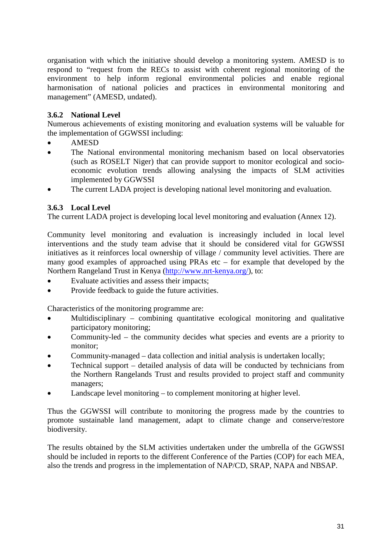organisation with which the initiative should develop a monitoring system. AMESD is to respond to "request from the RECs to assist with coherent regional monitoring of the environment to help inform regional environmental policies and enable regional harmonisation of national policies and practices in environmental monitoring and management" (AMESD, undated).

## <span id="page-43-0"></span>**3.6.2 National Level**

Numerous achievements of existing monitoring and evaluation systems will be valuable for the implementation of GGWSSI including:

- AMESD
- The National environmental monitoring mechanism based on local observatories (such as ROSELT Niger) that can provide support to monitor ecological and socioeconomic evolution trends allowing analysing the impacts of SLM activities implemented by GGWSSI
- The current LADA project is developing national level monitoring and evaluation.

## <span id="page-43-1"></span>**3.6.3 Local Level**

The current LADA project is developing local level monitoring and evaluation (Annex 12).

Community level monitoring and evaluation is increasingly included in local level interventions and the study team advise that it should be considered vital for GGWSSI initiatives as it reinforces local ownership of village / community level activities. There are many good examples of approached using PRAs etc – for example that developed by the Northern Rangeland Trust in Kenya [\(http://www.nrt-kenya.org/\)](http://www.nrt-kenya.org/), to:

- Evaluate activities and assess their impacts;
- Provide feedback to guide the future activities.

Characteristics of the monitoring programme are:

- Multidisciplinary combining quantitative ecological monitoring and qualitative participatory monitoring;
- Community-led the community decides what species and events are a priority to monitor;
- Community-managed data collection and initial analysis is undertaken locally;
- Technical support detailed analysis of data will be conducted by technicians from the Northern Rangelands Trust and results provided to project staff and community managers;
- Landscape level monitoring to complement monitoring at higher level.

Thus the GGWSSI will contribute to monitoring the progress made by the countries to promote sustainable land management, adapt to climate change and conserve/restore biodiversity.

The results obtained by the SLM activities undertaken under the umbrella of the GGWSSI should be included in reports to the different Conference of the Parties (COP) for each MEA, also the trends and progress in the implementation of NAP/CD, SRAP, NAPA and NBSAP.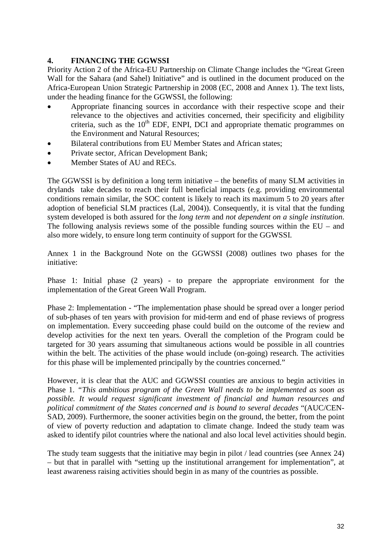## <span id="page-44-0"></span>**4. FINANCING THE GGWSSI**

Priority Action 2 of the Africa-EU Partnership on Climate Change includes the "Great Green Wall for the Sahara (and Sahel) Initiative" and is outlined in the document produced on the Africa-European Union Strategic Partnership in 2008 (EC, 2008 and Annex 1). The text lists, under the heading finance for the GGWSSI, the following:

- Appropriate financing sources in accordance with their respective scope and their relevance to the objectives and activities concerned, their specificity and eligibility criteria, such as the  $10<sup>th</sup>$  EDF, ENPI, DCI and appropriate thematic programmes on the Environment and Natural Resources;
- Bilateral contributions from EU Member States and African states;
- Private sector, African Development Bank;
- Member States of AU and RECs.

The GGWSSI is by definition a long term initiative – the benefits of many SLM activities in drylands take decades to reach their full beneficial impacts (e.g. providing environmental conditions remain similar, the SOC content is likely to reach its maximum 5 to 20 years after adoption of beneficial SLM practices (Lal, 2004)). Consequently, it is vital that the funding system developed is both assured for the *long term* and *not dependent on a single institution*. The following analysis reviews some of the possible funding sources within the  $EU -$  and also more widely, to ensure long term continuity of support for the GGWSSI.

Annex 1 in the Background Note on the GGWSSI (2008) outlines two phases for the initiative:

Phase 1: Initial phase (2 years) - to prepare the appropriate environment for the implementation of the Great Green Wall Program.

Phase 2: Implementation - "The implementation phase should be spread over a longer period of sub-phases of ten years with provision for mid-term and end of phase reviews of progress on implementation. Every succeeding phase could build on the outcome of the review and develop activities for the next ten years. Overall the completion of the Program could be targeted for 30 years assuming that simultaneous actions would be possible in all countries within the belt. The activities of the phase would include (on-going) research. The activities for this phase will be implemented principally by the countries concerned."

However, it is clear that the AUC and GGWSSI counties are anxious to begin activities in Phase 1. *"This ambitious program of the Green Wall needs to be implemented as soon as possible. It would request significant investment of financial and human resources and political commitment of the States concerned and is bound to several decades* "(AUC/CEN-SAD, 2009). Furthermore, the sooner activities begin on the ground, the better, from the point of view of poverty reduction and adaptation to climate change. Indeed the study team was asked to identify pilot countries where the national and also local level activities should begin.

The study team suggests that the initiative may begin in pilot / lead countries (see Annex 24) – but that in parallel with "setting up the institutional arrangement for implementation", at least awareness raising activities should begin in as many of the countries as possible.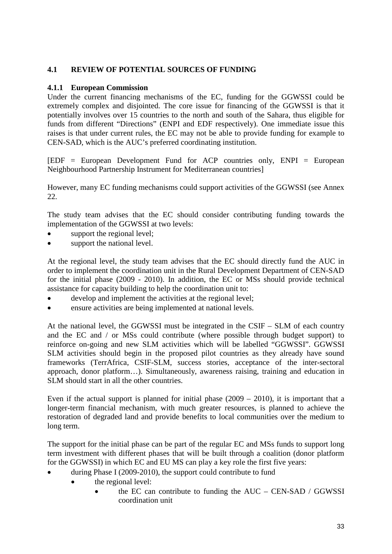## <span id="page-45-0"></span>**4.1 REVIEW OF POTENTIAL SOURCES OF FUNDING**

## <span id="page-45-1"></span>**4.1.1 European Commission**

Under the current financing mechanisms of the EC, funding for the GGWSSI could be extremely complex and disjointed. The core issue for financing of the GGWSSI is that it potentially involves over 15 countries to the north and south of the Sahara, thus eligible for funds from different "Directions" (ENPI and EDF respectively). One immediate issue this raises is that under current rules, the EC may not be able to provide funding for example to CEN-SAD, which is the AUC's preferred coordinating institution.

[EDF = European Development Fund for ACP countries only, ENPI = European Neighbourhood Partnership Instrument for Mediterranean countries]

However, many EC funding mechanisms could support activities of the GGWSSI (see Annex 22.

The study team advises that the EC should consider contributing funding towards the implementation of the GGWSSI at two levels:

- support the regional level;
- support the national level.

At the regional level, the study team advises that the EC should directly fund the AUC in order to implement the coordination unit in the Rural Development Department of CEN-SAD for the initial phase (2009 - 2010). In addition, the EC or MSs should provide technical assistance for capacity building to help the coordination unit to:

- develop and implement the activities at the regional level;
- ensure activities are being implemented at national levels.

At the national level, the GGWSSI must be integrated in the CSIF – SLM of each country and the EC and / or MSs could contribute (where possible through budget support) to reinforce on-going and new SLM activities which will be labelled "GGWSSI". GGWSSI SLM activities should begin in the proposed pilot countries as they already have sound frameworks (TerrAfrica, CSIF-SLM, success stories, acceptance of the inter-sectoral approach, donor platform…). Simultaneously, awareness raising, training and education in SLM should start in all the other countries.

Even if the actual support is planned for initial phase  $(2009 - 2010)$ , it is important that a longer-term financial mechanism, with much greater resources, is planned to achieve the restoration of degraded land and provide benefits to local communities over the medium to long term.

The support for the initial phase can be part of the regular EC and MSs funds to support long term investment with different phases that will be built through a coalition (donor platform for the GGWSSI) in which EC and EU MS can play a key role the first five years:

- during Phase I (2009-2010), the support could contribute to fund
	- the regional level:
		- the EC can contribute to funding the AUC CEN-SAD / GGWSSI coordination unit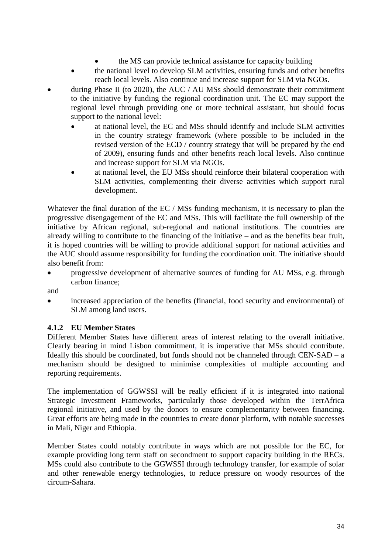- the MS can provide technical assistance for capacity building
- the national level to develop SLM activities, ensuring funds and other benefits reach local levels. Also continue and increase support for SLM via NGOs.
- during Phase II (to 2020), the AUC / AU MSs should demonstrate their commitment to the initiative by funding the regional coordination unit. The EC may support the regional level through providing one or more technical assistant, but should focus support to the national level:
	- at national level, the EC and MSs should identify and include SLM activities in the country strategy framework (where possible to be included in the revised version of the ECD / country strategy that will be prepared by the end of 2009), ensuring funds and other benefits reach local levels. Also continue and increase support for SLM via NGOs.
	- at national level, the EU MSs should reinforce their bilateral cooperation with SLM activities, complementing their diverse activities which support rural development.

Whatever the final duration of the EC / MSs funding mechanism, it is necessary to plan the progressive disengagement of the EC and MSs. This will facilitate the full ownership of the initiative by African regional, sub-regional and national institutions. The countries are already willing to contribute to the financing of the initiative – and as the benefits bear fruit, it is hoped countries will be willing to provide additional support for national activities and the AUC should assume responsibility for funding the coordination unit. The initiative should also benefit from:

• progressive development of alternative sources of funding for AU MSs, e.g. through carbon finance;

and

• increased appreciation of the benefits (financial, food security and environmental) of SLM among land users.

# <span id="page-46-0"></span>**4.1.2 EU Member States**

Different Member States have different areas of interest relating to the overall initiative. Clearly bearing in mind Lisbon commitment, it is imperative that MSs should contribute. Ideally this should be coordinated, but funds should not be channeled through  $CEN-SAD - a$ mechanism should be designed to minimise complexities of multiple accounting and reporting requirements.

The implementation of GGWSSI will be really efficient if it is integrated into national Strategic Investment Frameworks, particularly those developed within the TerrAfrica regional initiative, and used by the donors to ensure complementarity between financing. Great efforts are being made in the countries to create donor platform, with notable successes in Mali, Niger and Ethiopia.

<span id="page-46-1"></span>Member States could notably contribute in ways which are not possible for the EC, for example providing long term staff on secondment to support capacity building in the RECs. MSs could also contribute to the GGWSSI through technology transfer, for example of solar and other renewable energy technologies, to reduce pressure on woody resources of the circum-Sahara.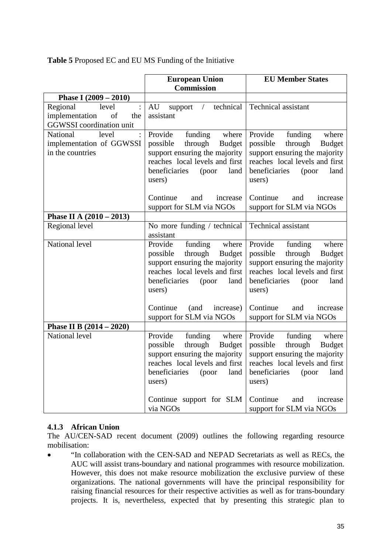|                                                                                                | <b>European Union</b><br><b>Commission</b>                                                                                                                               | <b>EU Member States</b>                                                                                                                                                            |  |  |  |
|------------------------------------------------------------------------------------------------|--------------------------------------------------------------------------------------------------------------------------------------------------------------------------|------------------------------------------------------------------------------------------------------------------------------------------------------------------------------------|--|--|--|
| Phase I $(2009 - 2010)$                                                                        |                                                                                                                                                                          |                                                                                                                                                                                    |  |  |  |
| level<br>Regional<br>$\ddot{\cdot}$<br>implementation<br>of<br>the<br>GGWSSI coordination unit | AU<br>support / technical Technical assistant<br>assistant                                                                                                               |                                                                                                                                                                                    |  |  |  |
| level<br>National<br>implementation of GGWSSI<br>in the countries                              | Provide<br>funding<br>where<br>possible<br>through Budget<br>support ensuring the majority<br>reaches local levels and first<br>beneficiaries<br>(poor<br>land<br>users) | Provide<br>funding<br>where<br>through<br>possible<br><b>Budget</b><br>support ensuring the majority<br>reaches local levels and first<br>beneficiaries (poor<br>land<br>users)    |  |  |  |
|                                                                                                | Continue<br>and<br>increase<br>support for SLM via NGOs                                                                                                                  | Continue<br>and<br>increase<br>support for SLM via NGOs                                                                                                                            |  |  |  |
| Phase II A $(2010 - 2013)$                                                                     |                                                                                                                                                                          |                                                                                                                                                                                    |  |  |  |
| Regional level                                                                                 | No more funding / technical<br>assistant                                                                                                                                 | Technical assistant                                                                                                                                                                |  |  |  |
| National level                                                                                 | Provide<br>funding<br>where<br>possible<br>through Budget<br>support ensuring the majority<br>reaches local levels and first<br>land<br>beneficiaries<br>(poor<br>users) | Provide<br>funding<br>where<br>possible<br>through<br><b>Budget</b><br>support ensuring the majority<br>reaches local levels and first<br>beneficiaries (poor<br>land<br>users)    |  |  |  |
|                                                                                                | Continue<br>(and<br>increase)<br>support for SLM via NGOs                                                                                                                | Continue<br>and<br>increase<br>support for SLM via NGOs                                                                                                                            |  |  |  |
| Phase II B $(2014 - 2020)$                                                                     |                                                                                                                                                                          |                                                                                                                                                                                    |  |  |  |
| National level                                                                                 | Provide<br>funding<br>where<br>possible<br>through Budget<br>support ensuring the majority<br>reaches local levels and first<br>beneficiaries<br>(poor<br>land<br>users) | Provide<br>funding<br>where<br>possible<br>through<br><b>Budget</b><br>support ensuring the majority<br>reaches local levels and first<br>beneficiaries<br>(poor<br>land<br>users) |  |  |  |
|                                                                                                | Continue support for SLM<br>via NGOs                                                                                                                                     | Continue<br>and<br>increase<br>support for SLM via NGOs                                                                                                                            |  |  |  |

#### **Table 5** Proposed EC and EU MS Funding of the Initiative

## <span id="page-47-0"></span>**4.1.3 African Union**

The AU/CEN-SAD recent document (2009) outlines the following regarding resource mobilisation:

• "In collaboration with the CEN-SAD and NEPAD Secretariats as well as RECs, the AUC will assist trans-boundary and national programmes with resource mobilization. However, this does not make resource mobilization the exclusive purview of these organizations. The national governments will have the principal responsibility for raising financial resources for their respective activities as well as for trans-boundary projects. It is, nevertheless, expected that by presenting this strategic plan to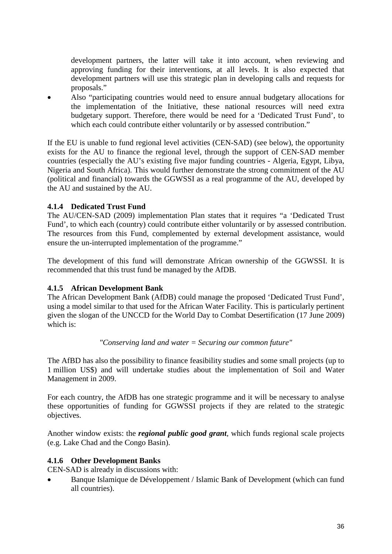development partners, the latter will take it into account, when reviewing and approving funding for their interventions, at all levels. It is also expected that development partners will use this strategic plan in developing calls and requests for proposals."

• Also "participating countries would need to ensure annual budgetary allocations for the implementation of the Initiative, these national resources will need extra budgetary support. Therefore, there would be need for a 'Dedicated Trust Fund', to which each could contribute either voluntarily or by assessed contribution."

If the EU is unable to fund regional level activities (CEN-SAD) (see below), the opportunity exists for the AU to finance the regional level, through the support of CEN-SAD member countries (especially the AU's existing five major funding countries - Algeria, Egypt, Libya, Nigeria and South Africa). This would further demonstrate the strong commitment of the AU (political and financial) towards the GGWSSI as a real programme of the AU, developed by the AU and sustained by the AU.

## <span id="page-48-0"></span>**4.1.4 Dedicated Trust Fund**

The AU/CEN-SAD (2009) implementation Plan states that it requires "a 'Dedicated Trust Fund', to which each (country) could contribute either voluntarily or by assessed contribution. The resources from this Fund, complemented by external development assistance, would ensure the un-interrupted implementation of the programme."

The development of this fund will demonstrate African ownership of the GGWSSI. It is recommended that this trust fund be managed by the AfDB.

## <span id="page-48-1"></span>**4.1.5 African Development Bank**

The African Development Bank (AfDB) could manage the proposed 'Dedicated Trust Fund', using a model similar to that used for the African Water Facility. This is particularly pertinent given the slogan of the UNCCD for the World Day to Combat Desertification (17 June 2009) which is:

*"Conserving land and water = Securing our common future"*

The AfBD has also the possibility to finance feasibility studies and some small projects (up to 1 million US\$) and will undertake studies about the implementation of Soil and Water Management in 2009.

For each country, the AfDB has one strategic programme and it will be necessary to analyse these opportunities of funding for GGWSSI projects if they are related to the strategic objectives.

Another window exists: the *regional public good grant,* which funds regional scale projects (e.g. Lake Chad and the Congo Basin).

## <span id="page-48-2"></span>**4.1.6 Other Development Banks**

CEN-SAD is already in discussions with:

• Banque Islamique de Développement / Islamic Bank of Development (which can fund all countries).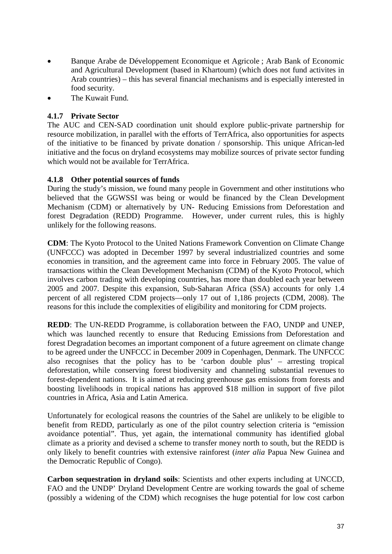- Banque Arabe de Développement Economique et Agricole ; Arab Bank of Economic and Agricultural Development (based in Khartoum) (which does not fund activites in Arab countries) – this has several financial mechanisms and is especially interested in food security.
- The Kuwait Fund.

## <span id="page-49-0"></span>**4.1.7 Private Sector**

The AUC and CEN-SAD coordination unit should explore public-private partnership for resource mobilization, in parallel with the efforts of TerrAfrica, also opportunities for aspects of the initiative to be financed by private donation / sponsorship. This unique African-led initiative and the focus on dryland ecosystems may mobilize sources of private sector funding which would not be available for TerrAfrica.

## <span id="page-49-1"></span>**4.1.8 Other potential sources of funds**

During the study's mission, we found many people in Government and other institutions who believed that the GGWSSI was being or would be financed by the Clean Development Mechanism (CDM) or alternatively by UN- Reducing Emissions from Deforestation and forest Degradation (REDD) Programme. However, under current rules, this is highly unlikely for the following reasons.

**CDM**: The Kyoto Protocol to the United Nations Framework Convention on Climate Change (UNFCCC) was adopted in December 1997 by several industrialized countries and some economies in transition, and the agreement came into force in February 2005. The value of transactions within the Clean Development Mechanism (CDM) of the Kyoto Protocol, which involves carbon trading with developing countries, has more than doubled each year between 2005 and 2007. Despite this expansion, Sub-Saharan Africa (SSA) accounts for only 1.4 percent of all registered CDM projects—only 17 out of 1,186 projects (CDM, 2008). The reasons for this include the complexities of eligibility and monitoring for CDM projects.

**REDD**: The UN-REDD Programme, is collaboration between the FAO, UNDP and UNEP, which was launched recently to ensure that Reducing Emissions from Deforestation and forest Degradation becomes an important component of a future agreement on climate change to be agreed under the UNFCCC in December 2009 in Copenhagen, Denmark. The UNFCCC also recognises that the policy has to be 'carbon double plus' – arresting tropical deforestation, while conserving forest biodiversity and channeling substantial revenues to forest-dependent nations. It is aimed at reducing greenhouse gas emissions from forests and boosting livelihoods in tropical nations has approved \$18 million in support of five pilot countries in Africa, Asia and Latin America.

Unfortunately for ecological reasons the countries of the Sahel are unlikely to be eligible to benefit from REDD, particularly as one of the pilot country selection criteria is "emission avoidance potential". Thus, yet again, the international community has identified global climate as a priority and devised a scheme to transfer money north to south, but the REDD is only likely to benefit countries with extensive rainforest (*inter alia* Papua New Guinea and the Democratic Republic of Congo).

**Carbon sequestration in dryland soils**: Scientists and other experts including at UNCCD, FAO and the UNDP' Dryland Development Centre are working towards the goal of scheme (possibly a widening of the CDM) which recognises the huge potential for low cost carbon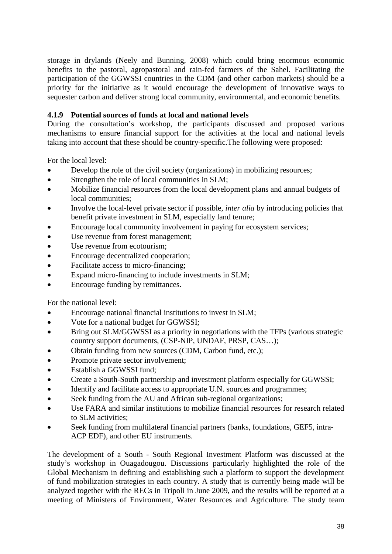storage in drylands (Neely and Bunning, 2008) which could bring enormous economic benefits to the pastoral, agropastoral and rain-fed farmers of the Sahel. Facilitating the participation of the GGWSSI countries in the CDM (and other carbon markets) should be a priority for the initiative as it would encourage the development of innovative ways to sequester carbon and deliver strong local community, environmental, and economic benefits.

## <span id="page-50-0"></span>**4.1.9 Potential sources of funds at local and national levels**

During the consultation's workshop, the participants discussed and proposed various mechanisms to ensure financial support for the activities at the local and national levels taking into account that these should be country-specific.The following were proposed:

For the local level:

- Develop the role of the civil society (organizations) in mobilizing resources;
- Strengthen the role of local communities in SLM;
- Mobilize financial resources from the local development plans and annual budgets of local communities;
- Involve the local-level private sector if possible, *inter alia* by introducing policies that benefit private investment in SLM, especially land tenure;
- Encourage local community involvement in paying for ecosystem services;
- Use revenue from forest management:
- Use revenue from ecotourism;
- Encourage decentralized cooperation;
- Facilitate access to micro-financing;
- Expand micro-financing to include investments in SLM;
- Encourage funding by remittances.

For the national level:

- Encourage national financial institutions to invest in SLM;
- Vote for a national budget for GGWSSI;
- Bring out SLM/GGWSSI as a priority in negotiations with the TFPs (various strategic country support documents, (CSP-NIP, UNDAF, PRSP, CAS…);
- Obtain funding from new sources (CDM, Carbon fund, etc.);
- Promote private sector involvement;
- Establish a GGWSSI fund;
- Create a South-South partnership and investment platform especially for GGWSSI;
- Identify and facilitate access to appropriate U.N. sources and programmes;
- Seek funding from the AU and African sub-regional organizations;
- Use FARA and similar institutions to mobilize financial resources for research related to SLM activities;
- Seek funding from multilateral financial partners (banks, foundations, GEF5, intra-ACP EDF), and other EU instruments.

The development of a South - South Regional Investment Platform was discussed at the study's workshop in Ouagadougou. Discussions particularly highlighted the role of the Global Mechanism in defining and establishing such a platform to support the development of fund mobilization strategies in each country. A study that is currently being made will be analyzed together with the RECs in Tripoli in June 2009, and the results will be reported at a meeting of Ministers of Environment, Water Resources and Agriculture. The study team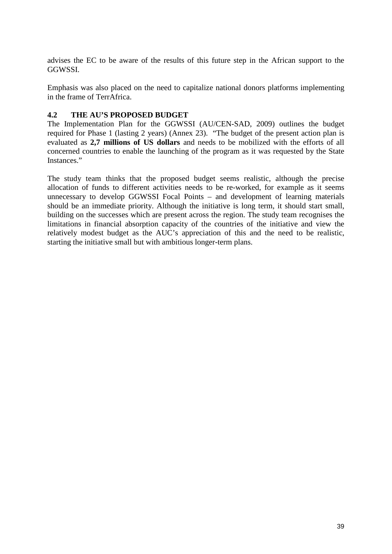advises the EC to be aware of the results of this future step in the African support to the GGWSSI.

Emphasis was also placed on the need to capitalize national donors platforms implementing in the frame of TerrAfrica.

#### <span id="page-51-0"></span>**4.2 THE AU'S PROPOSED BUDGET**

The Implementation Plan for the GGWSSI (AU/CEN-SAD, 2009) outlines the budget required for Phase 1 (lasting 2 years) (Annex 23). "The budget of the present action plan is evaluated as **2,7 millions of US dollars** and needs to be mobilized with the efforts of all concerned countries to enable the launching of the program as it was requested by the State Instances."

The study team thinks that the proposed budget seems realistic, although the precise allocation of funds to different activities needs to be re-worked, for example as it seems unnecessary to develop GGWSSI Focal Points – and development of learning materials should be an immediate priority. Although the initiative is long term, it should start small, building on the successes which are present across the region. The study team recognises the limitations in financial absorption capacity of the countries of the initiative and view the relatively modest budget as the AUC's appreciation of this and the need to be realistic, starting the initiative small but with ambitious longer-term plans.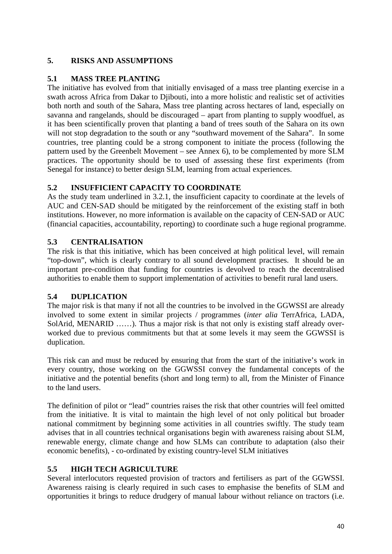## <span id="page-52-0"></span>**5. RISKS AND ASSUMPTIONS**

## <span id="page-52-1"></span>**5.1 MASS TREE PLANTING**

The initiative has evolved from that initially envisaged of a mass tree planting exercise in a swath across Africa from Dakar to Djibouti, into a more holistic and realistic set of activities both north and south of the Sahara, Mass tree planting across hectares of land, especially on savanna and rangelands, should be discouraged – apart from planting to supply woodfuel, as it has been scientifically proven that planting a band of trees south of the Sahara on its own will not stop degradation to the south or any "southward movement of the Sahara". In some countries, tree planting could be a strong component to initiate the process (following the pattern used by the Greenbelt Movement – see Annex 6), to be complemented by more SLM practices. The opportunity should be to used of assessing these first experiments (from Senegal for instance) to better design SLM, learning from actual experiences.

## <span id="page-52-2"></span>**5.2 INSUFFICIENT CAPACITY TO COORDINATE**

As the study team underlined in 3.2.1, the insufficient capacity to coordinate at the levels of AUC and CEN-SAD should be mitigated by the reinforcement of the existing staff in both institutions. However, no more information is available on the capacity of CEN-SAD or AUC (financial capacities, accountability, reporting) to coordinate such a huge regional programme.

## <span id="page-52-3"></span>**5.3 CENTRALISATION**

The risk is that this initiative, which has been conceived at high political level, will remain "top-down", which is clearly contrary to all sound development practises. It should be an important pre-condition that funding for countries is devolved to reach the decentralised authorities to enable them to support implementation of activities to benefit rural land users.

## <span id="page-52-4"></span>**5.4 DUPLICATION**

The major risk is that many if not all the countries to be involved in the GGWSSI are already involved to some extent in similar projects / programmes (*inter alia* TerrAfrica, LADA, SolArid, MENARID ……). Thus a major risk is that not only is existing staff already overworked due to previous commitments but that at some levels it may seem the GGWSSI is duplication.

This risk can and must be reduced by ensuring that from the start of the initiative's work in every country, those working on the GGWSSI convey the fundamental concepts of the initiative and the potential benefits (short and long term) to all, from the Minister of Finance to the land users.

The definition of pilot or "lead" countries raises the risk that other countries will feel omitted from the initiative. It is vital to maintain the high level of not only political but broader national commitment by beginning some activities in all countries swiftly. The study team advises that in all countries technical organisations begin with awareness raising about SLM, renewable energy, climate change and how SLMs can contribute to adaptation (also their economic benefits), - co-ordinated by existing country-level SLM initiatives

# <span id="page-52-5"></span>**5.5 HIGH TECH AGRICULTURE**

Several interlocutors requested provision of tractors and fertilisers as part of the GGWSSI. Awareness raising is clearly required in such cases to emphasise the benefits of SLM and opportunities it brings to reduce drudgery of manual labour without reliance on tractors (i.e.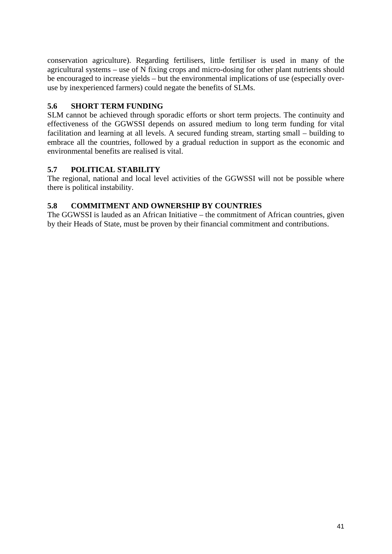conservation agriculture). Regarding fertilisers, little fertiliser is used in many of the agricultural systems – use of N fixing crops and micro-dosing for other plant nutrients should be encouraged to increase yields – but the environmental implications of use (especially overuse by inexperienced farmers) could negate the benefits of SLMs.

## <span id="page-53-0"></span>**5.6 SHORT TERM FUNDING**

SLM cannot be achieved through sporadic efforts or short term projects. The continuity and effectiveness of the GGWSSI depends on assured medium to long term funding for vital facilitation and learning at all levels. A secured funding stream, starting small – building to embrace all the countries, followed by a gradual reduction in support as the economic and environmental benefits are realised is vital.

# <span id="page-53-1"></span>**5.7 POLITICAL STABILITY**

The regional, national and local level activities of the GGWSSI will not be possible where there is political instability.

## <span id="page-53-2"></span>**5.8 COMMITMENT AND OWNERSHIP BY COUNTRIES**

The GGWSSI is lauded as an African Initiative – the commitment of African countries, given by their Heads of State, must be proven by their financial commitment and contributions.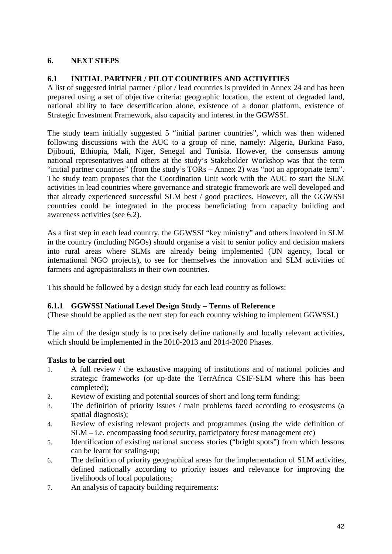# <span id="page-54-0"></span>**6. NEXT STEPS**

# <span id="page-54-1"></span>**6.1 INITIAL PARTNER / PILOT COUNTRIES AND ACTIVITIES**

A list of suggested initial partner / pilot / lead countries is provided in Annex 24 and has been prepared using a set of objective criteria: geographic location, the extent of degraded land, national ability to face desertification alone, existence of a donor platform, existence of Strategic Investment Framework, also capacity and interest in the GGWSSI.

The study team initially suggested 5 "initial partner countries", which was then widened following discussions with the AUC to a group of nine, namely: Algeria, Burkina Faso, Djibouti, Ethiopia, Mali, Niger, Senegal and Tunisia. However, the consensus among national representatives and others at the study's Stakeholder Workshop was that the term "initial partner countries" (from the study's TORs – Annex 2) was "not an appropriate term". The study team proposes that the Coordination Unit work with the AUC to start the SLM activities in lead countries where governance and strategic framework are well developed and that already experienced successful SLM best / good practices. However, all the GGWSSI countries could be integrated in the process beneficiating from capacity building and awareness activities (see 6.2).

As a first step in each lead country, the GGWSSI "key ministry" and others involved in SLM in the country (including NGOs) should organise a visit to senior policy and decision makers into rural areas where SLMs are already being implemented (UN agency, local or international NGO projects), to see for themselves the innovation and SLM activities of farmers and agropastoralists in their own countries.

This should be followed by a design study for each lead country as follows:

## <span id="page-54-2"></span>**6.1.1 GGWSSI National Level Design Study – Terms of Reference**

(These should be applied as the next step for each country wishing to implement GGWSSI.)

The aim of the design study is to precisely define nationally and locally relevant activities, which should be implemented in the 2010-2013 and 2014-2020 Phases.

#### **Tasks to be carried out**

- 1. A full review / the exhaustive mapping of institutions and of national policies and strategic frameworks (or up-date the TerrAfrica CSIF-SLM where this has been completed);
- 2. Review of existing and potential sources of short and long term funding;
- 3. The definition of priority issues / main problems faced according to ecosystems (a spatial diagnosis);
- 4. Review of existing relevant projects and programmes (using the wide definition of SLM – i.e. encompassing food security, participatory forest management etc)
- 5. Identification of existing national success stories ("bright spots") from which lessons can be learnt for scaling-up;
- 6. The definition of priority geographical areas for the implementation of SLM activities, defined nationally according to priority issues and relevance for improving the livelihoods of local populations;
- 7. An analysis of capacity building requirements: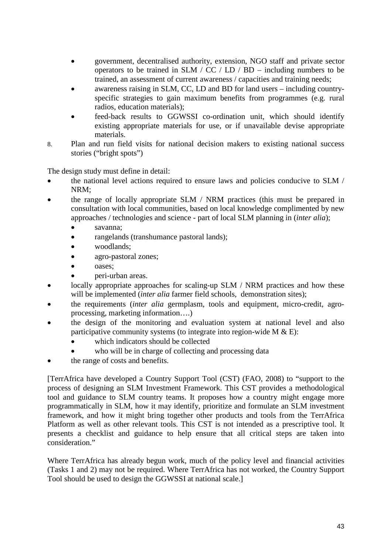- government, decentralised authority, extension, NGO staff and private sector operators to be trained in SLM / CC / LD / BD – including numbers to be trained, an assessment of current awareness / capacities and training needs;
- awareness raising in SLM, CC, LD and BD for land users including countryspecific strategies to gain maximum benefits from programmes (e.g. rural radios, education materials);
- feed-back results to GGWSSI co-ordination unit, which should identify existing appropriate materials for use, or if unavailable devise appropriate materials.
- 8. Plan and run field visits for national decision makers to existing national success stories ("bright spots")

The design study must define in detail:

- the national level actions required to ensure laws and policies conducive to SLM / NRM;
- the range of locally appropriate SLM / NRM practices (this must be prepared in consultation with local communities, based on local knowledge complimented by new approaches / technologies and science - part of local SLM planning in (*inter alia*);
	- savanna:
	- rangelands (transhumance pastoral lands);
	- woodlands;
	- agro-pastoral zones;
	- oases;
	- peri-urban areas.
- locally appropriate approaches for scaling-up SLM / NRM practices and how these will be implemented (*inter alia* farmer field schools, demonstration sites);
- the requirements (*inter alia* germplasm, tools and equipment, micro-credit, agroprocessing, marketing information….)
- the design of the monitoring and evaluation system at national level and also participative community systems (to integrate into region-wide  $M \& E$ ):
	- which indicators should be collected
	- who will be in charge of collecting and processing data
- the range of costs and benefits.

[TerrAfrica have developed a Country Support Tool (CST) (FAO, 2008) to "support to the process of designing an SLM Investment Framework. This CST provides a methodological tool and guidance to SLM country teams. It proposes how a country might engage more programmatically in SLM, how it may identify, prioritize and formulate an SLM investment framework, and how it might bring together other products and tools from the TerrAfrica Platform as well as other relevant tools. This CST is not intended as a prescriptive tool. It presents a checklist and guidance to help ensure that all critical steps are taken into consideration."

Where TerrAfrica has already begun work, much of the policy level and financial activities (Tasks 1 and 2) may not be required. Where TerrAfrica has not worked, the Country Support Tool should be used to design the GGWSSI at national scale.]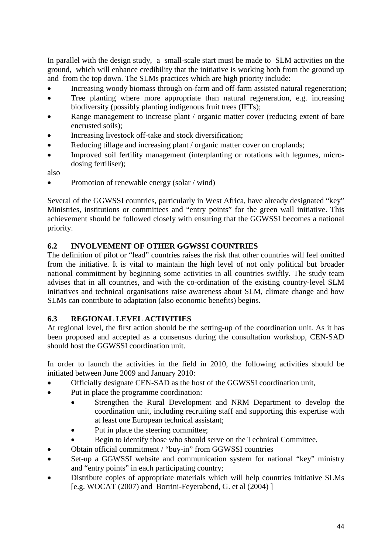In parallel with the design study, a small-scale start must be made to SLM activities on the ground, which will enhance credibility that the initiative is working both from the ground up and from the top down. The SLMs practices which are high priority include:

- Increasing woody biomass through on-farm and off-farm assisted natural regeneration;
- Tree planting where more appropriate than natural regeneration, e.g. increasing biodiversity (possibly planting indigenous fruit trees (IFTs);
- Range management to increase plant / organic matter cover (reducing extent of bare encrusted soils);
- Increasing livestock off-take and stock diversification;
- Reducing tillage and increasing plant / organic matter cover on croplands;
- Improved soil fertility management (interplanting or rotations with legumes, microdosing fertiliser);

also

• Promotion of renewable energy (solar / wind)

Several of the GGWSSI countries, particularly in West Africa, have already designated "key" Ministries, institutions or committees and "entry points" for the green wall initiative. This achievement should be followed closely with ensuring that the GGWSSI becomes a national priority.

## <span id="page-56-0"></span>**6.2 INVOLVEMENT OF OTHER GGWSSI COUNTRIES**

The definition of pilot or "lead" countries raises the risk that other countries will feel omitted from the initiative. It is vital to maintain the high level of not only political but broader national commitment by beginning some activities in all countries swiftly. The study team advises that in all countries, and with the co-ordination of the existing country-level SLM initiatives and technical organisations raise awareness about SLM, climate change and how SLMs can contribute to adaptation (also economic benefits) begins.

## <span id="page-56-1"></span>**6.3 REGIONAL LEVEL ACTIVITIES**

At regional level, the first action should be the setting-up of the coordination unit. As it has been proposed and accepted as a consensus during the consultation workshop, CEN-SAD should host the GGWSSI coordination unit.

In order to launch the activities in the field in 2010, the following activities should be initiated between June 2009 and January 2010:

- Officially designate CEN-SAD as the host of the GGWSSI coordination unit,
- Put in place the programme coordination:
	- Strengthen the Rural Development and NRM Department to develop the coordination unit, including recruiting staff and supporting this expertise with at least one European technical assistant;
	- Put in place the steering committee;
	- Begin to identify those who should serve on the Technical Committee.
- Obtain official commitment / "buy-in" from GGWSSI countries
- Set-up a GGWSSI website and communication system for national "key" ministry and "entry points" in each participating country;
- Distribute copies of appropriate materials which will help countries initiative SLMs [e.g. WOCAT (2007) and Borrini-Feyerabend, G. et al (2004) ]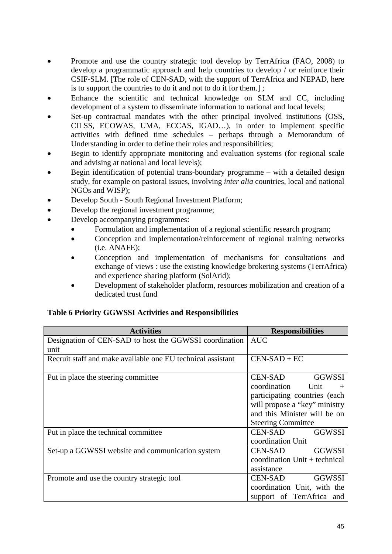- Promote and use the country strategic tool develop by TerrAfrica (FAO, 2008) to develop a programmatic approach and help countries to develop / or reinforce their CSIF-SLM. [The role of CEN-SAD, with the support of TerrAfrica and NEPAD, here is to support the countries to do it and not to do it for them.] ;
- Enhance the scientific and technical knowledge on SLM and CC, including development of a system to disseminate information to national and local levels;
- Set-up contractual mandates with the other principal involved institutions (OSS, CILSS, ECOWAS, UMA, ECCAS, IGAD…), in order to implement specific activities with defined time schedules – perhaps through a Memorandum of Understanding in order to define their roles and responsibilities;
- Begin to identify appropriate monitoring and evaluation systems (for regional scale and advising at national and local levels);
- Begin identification of potential trans-boundary programme with a detailed design study, for example on pastoral issues, involving *inter alia* countries, local and national NGOs and WISP);
- Develop South South Regional Investment Platform;
- Develop the regional investment programme;
- Develop accompanying programmes:
	- Formulation and implementation of a regional scientific research program;
	- Conception and implementation/reinforcement of regional training networks (i.e. ANAFE);
	- Conception and implementation of mechanisms for consultations and exchange of views : use the existing knowledge brokering systems (TerrAfrica) and experience sharing platform (SolArid);
	- Development of stakeholder platform, resources mobilization and creation of a dedicated trust fund

## <span id="page-57-0"></span>**Table 6 Priority GGWSSI Activities and Responsibilities**

| <b>Activities</b>                                           | <b>Responsibilities</b>       |
|-------------------------------------------------------------|-------------------------------|
| Designation of CEN-SAD to host the GGWSSI coordination      | <b>AUC</b>                    |
| unit                                                        |                               |
| Recruit staff and make available one EU technical assistant | $CEN-SAD + EC$                |
|                                                             |                               |
| Put in place the steering committee                         | <b>GGWSSI</b><br>CEN-SAD      |
|                                                             | coordination Unit<br>$^{+}$   |
|                                                             | participating countries (each |
|                                                             | will propose a "key" ministry |
|                                                             | and this Minister will be on  |
|                                                             | <b>Steering Committee</b>     |
| Put in place the technical committee                        | CEN-SAD<br><b>GGWSSI</b>      |
|                                                             | coordination Unit             |
| Set-up a GGWSSI website and communication system            | CEN-SAD GGWSSI                |
|                                                             | coordination Unit + technical |
|                                                             | assistance                    |
| Promote and use the country strategic tool                  | <b>GGWSSI</b><br>CEN-SAD      |
|                                                             | coordination Unit, with the   |
|                                                             | support of TerrAfrica and     |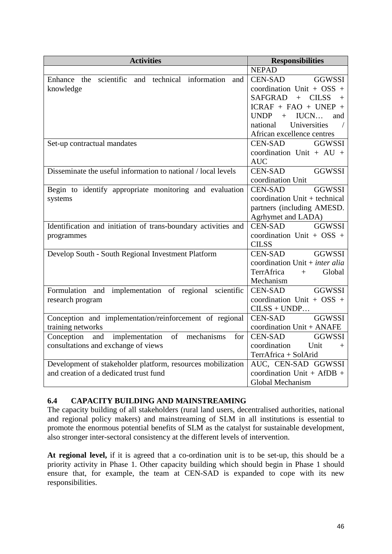| <b>Activities</b>                                              | <b>Responsibilities</b>               |
|----------------------------------------------------------------|---------------------------------------|
|                                                                | <b>NEPAD</b>                          |
| Enhance the scientific and technical information and           | <b>GGWSSI</b><br>CEN-SAD              |
| knowledge                                                      | coordination Unit + $OSS$ +           |
|                                                                | SAFGRAD + CILSS<br>$+$                |
|                                                                | $ICRAF + FAO + UNEP +$                |
|                                                                | IUCN<br><b>UNDP</b><br>$+$<br>and     |
|                                                                | Universities<br>national              |
|                                                                | African excellence centres            |
| Set-up contractual mandates                                    | <b>CEN-SAD</b><br><b>GGWSSI</b>       |
|                                                                | coordination Unit + $AU$ +            |
|                                                                | <b>AUC</b>                            |
| Disseminate the useful information to national / local levels  | <b>CEN-SAD</b><br><b>GGWSSI</b>       |
|                                                                | coordination Unit                     |
| Begin to identify appropriate monitoring and evaluation        | <b>CEN-SAD</b><br><b>GGWSSI</b>       |
| systems                                                        | coordination Unit + technical         |
|                                                                | partners (including AMESD.            |
|                                                                | Agrhymet and LADA)                    |
| Identification and initiation of trans-boundary activities and | <b>CEN-SAD</b><br><b>GGWSSI</b>       |
| programmes                                                     | coordination Unit + OSS +             |
|                                                                | <b>CILSS</b>                          |
| Develop South - South Regional Investment Platform             | CEN-SAD<br>GGWSSI                     |
|                                                                | coordination Unit + <i>inter alia</i> |
|                                                                | TerrAfrica<br>Global<br>$+$           |
|                                                                | Mechanism                             |
| Formulation and implementation of regional scientific          | <b>GGWSSI</b><br><b>CEN-SAD</b>       |
| research program                                               | coordination Unit + $OSS$ +           |
|                                                                | $CILSS + UNDP$                        |
| Conception and implementation/reinforcement of regional        | <b>CEN-SAD</b><br><b>GGWSSI</b>       |
| training networks                                              | coordination Unit + ANAFE             |
| of<br>Conception<br>implementation<br>mechanisms<br>and<br>for | CEN-SAD<br><b>GGWSSI</b>              |
| consultations and exchange of views                            | coordination<br>Unit<br>$+$           |
|                                                                | TerrAfrica + SolArid                  |
| Development of stakeholder platform, resources mobilization    | AUC, CEN-SAD GGWSSI                   |
| and creation of a dedicated trust fund                         | coordination Unit + AfDB +            |
|                                                                | Global Mechanism                      |

## <span id="page-58-0"></span>**6.4 CAPACITY BUILDING AND MAINSTREAMING**

The capacity building of all stakeholders (rural land users, decentralised authorities, national and regional policy makers) and mainstreaming of SLM in all institutions is essential to promote the enormous potential benefits of SLM as the catalyst for sustainable development, also stronger inter-sectoral consistency at the different levels of intervention.

**At regional level,** if it is agreed that a co-ordination unit is to be set-up, this should be a priority activity in Phase 1. Other capacity building which should begin in Phase 1 should ensure that, for example, the team at CEN-SAD is expanded to cope with its new responsibilities.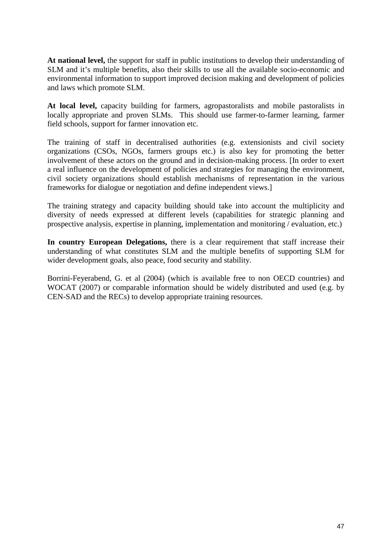**At national level,** the support for staff in public institutions to develop their understanding of SLM and it's multiple benefits, also their skills to use all the available socio-economic and environmental information to support improved decision making and development of policies and laws which promote SLM.

**At local level,** capacity building for farmers, agropastoralists and mobile pastoralists in locally appropriate and proven SLMs. This should use farmer-to-farmer learning, farmer field schools, support for farmer innovation etc.

The training of staff in decentralised authorities (e.g. extensionists and civil society organizations (CSOs, NGOs, farmers groups etc.) is also key for promoting the better involvement of these actors on the ground and in decision-making process. [In order to exert a real influence on the development of policies and strategies for managing the environment, civil society organizations should establish mechanisms of representation in the various frameworks for dialogue or negotiation and define independent views.]

The training strategy and capacity building should take into account the multiplicity and diversity of needs expressed at different levels (capabilities for strategic planning and prospective analysis, expertise in planning, implementation and monitoring / evaluation, etc.)

**In country European Delegations,** there is a clear requirement that staff increase their understanding of what constitutes SLM and the multiple benefits of supporting SLM for wider development goals, also peace, food security and stability.

Borrini-Feyerabend, G. et al (2004) (which is available free to non OECD countries) and WOCAT (2007) or comparable information should be widely distributed and used (e.g. by CEN-SAD and the RECs) to develop appropriate training resources.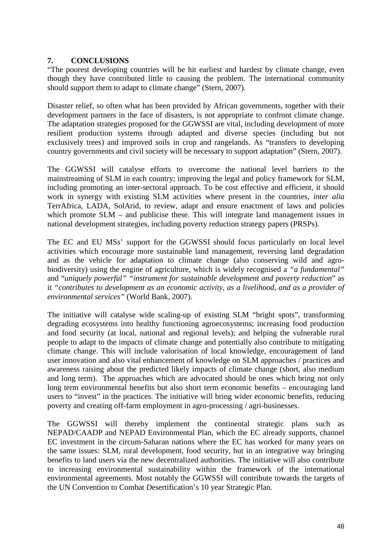## <span id="page-60-0"></span>**7. CONCLUSIONS**

"The poorest developing countries will be hit earliest and hardest by climate change, even though they have contributed little to causing the problem. The international community should support them to adapt to climate change" (Stern, 2007).

Disaster relief, so often what has been provided by African governments, together with their development partners in the face of disasters, is not appropriate to confront climate change. The adaptation strategies proposed for the GGWSSI are vital, including development of more resilient production systems through adapted and diverse species (including but not exclusively trees) and improved soils in crop and rangelands. As "transfers to developing country governments and civil society will be necessary to support adaptation" (Stern, 2007).

The GGWSSI will catalyse efforts to overcome the national level barriers to the mainstreaming of SLM in each country; improving the legal and policy framework for SLM, including promoting an inter-sectoral approach. To be cost effective and efficient, it should work in synergy with existing SLM activities where present in the countries, *inter alia*  TerrAfrica, LADA, SolArid, to review, adapt and ensure enactment of laws and policies which promote SLM – and publicise these. This will integrate land management issues in national development strategies, including poverty reduction strategy papers (PRSPs).

The EC and EU MSs' support for the GGWSSI should focus particularly on local level activities which encourage more sustainable land management, reversing land degradation and as the vehicle for adaptation to climate change (also conserving wild and agrobiodiversity) using the engine of agriculture, which is widely recognised a *"a fundamental"*  and "*uniquely powerful" "instrument for sustainable development and poverty reduction*" as it *"contributes to development as an economic activity, as a livelihood, and as a provider of environmental services"* (World Bank, 2007).

The initiative will catalyse wide scaling-up of existing SLM "bright spots", transforming degrading ecosystems into healthy functioning agroecosystems; increasing food production and food security (at local, national and regional levels); and helping the vulnerable rural people to adapt to the impacts of climate change and potentially also contribute to mitigating climate change. This will include valorisation of local knowledge, encouragement of land user innovation and also vital enhancement of knowledge on SLM approaches / practices and awareness raising about the predicted likely impacts of climate change (short, also medium and long term). The approaches which are advocated should be ones which bring not only long term environmental benefits but also short term economic benefits – encouraging land users to "invest" in the practices. The initiative will bring wider economic benefits, reducing poverty and creating off-farm employment in agro-processing / agri-businesses.

The GGWSSI will thereby implement the continental strategic plans such as NEPAD/CAADP and NEPAD Environmental Plan, which the EC already supports, channel EC investment in the circum-Saharan nations where the EC has worked for many years on the same issues: SLM, rural development, food security, but in an integrative way bringing benefits to land users via the new decentralized authorities. The initiative will also contribute to increasing environmental sustainability within the framework of the international environmental agreements. Most notably the GGWSSI will contribute towards the targets of the UN Convention to Combat Desertification's 10 year Strategic Plan.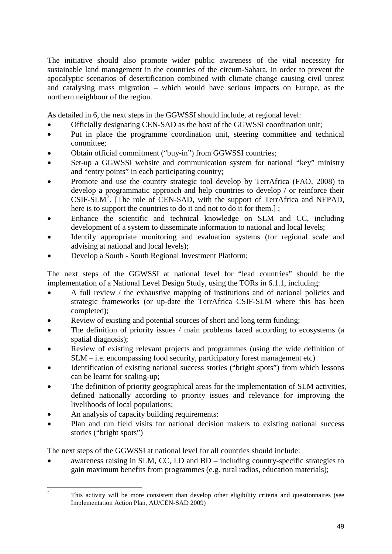The initiative should also promote wider public awareness of the vital necessity for sustainable land management in the countries of the circum-Sahara, in order to prevent the apocalyptic scenarios of desertification combined with climate change causing civil unrest and catalysing mass migration – which would have serious impacts on Europe, as the northern neighbour of the region.

As detailed in 6, the next steps in the GGWSSI should include, at regional level:

- Officially designating CEN-SAD as the host of the GGWSSI coordination unit;
- Put in place the programme coordination unit, steering committee and technical committee;
- Obtain official commitment ("buy-in") from GGWSSI countries;
- Set-up a GGWSSI website and communication system for national "key" ministry and "entry points" in each participating country;
- Promote and use the country strategic tool develop by TerrAfrica (FAO, 2008) to develop a programmatic approach and help countries to develop / or reinforce their  $CSIF-SLM<sup>2</sup>$  $CSIF-SLM<sup>2</sup>$  $CSIF-SLM<sup>2</sup>$ . [The role of CEN-SAD, with the support of TerrAfrica and NEPAD, here is to support the countries to do it and not to do it for them.];
- Enhance the scientific and technical knowledge on SLM and CC, including development of a system to disseminate information to national and local levels;
- Identify appropriate monitoring and evaluation systems (for regional scale and advising at national and local levels);
- Develop a South South Regional Investment Platform;

The next steps of the GGWSSI at national level for "lead countries" should be the implementation of a National Level Design Study, using the TORs in 6.1.1, including:

- A full review / the exhaustive mapping of institutions and of national policies and strategic frameworks (or up-date the TerrAfrica CSIF-SLM where this has been completed);
- Review of existing and potential sources of short and long term funding;
- The definition of priority issues / main problems faced according to ecosystems (a spatial diagnosis);
- Review of existing relevant projects and programmes (using the wide definition of SLM – i.e. encompassing food security, participatory forest management etc)
- Identification of existing national success stories ("bright spots") from which lessons can be learnt for scaling-up;
- The definition of priority geographical areas for the implementation of SLM activities, defined nationally according to priority issues and relevance for improving the livelihoods of local populations;
- An analysis of capacity building requirements:
- Plan and run field visits for national decision makers to existing national success stories ("bright spots")

The next steps of the GGWSSI at national level for all countries should include:

awareness raising in SLM, CC, LD and BD – including country-specific strategies to gain maximum benefits from programmes (e.g. rural radios, education materials);

<span id="page-61-0"></span><sup>&</sup>lt;sup>2</sup> This activity will be more consistent than develop other eligibility criteria and questionnaires (see Implementation Action Plan, AU/CEN-SAD 2009)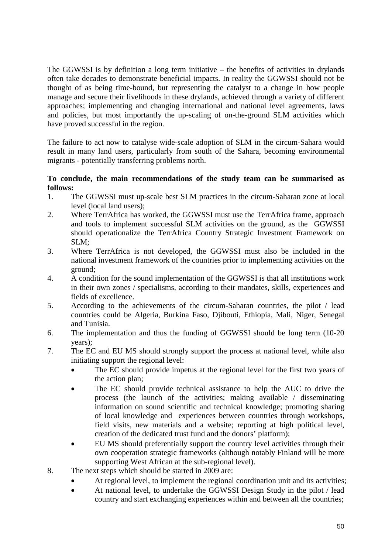The GGWSSI is by definition a long term initiative – the benefits of activities in drylands often take decades to demonstrate beneficial impacts. In reality the GGWSSI should not be thought of as being time-bound, but representing the catalyst to a change in how people manage and secure their livelihoods in these drylands, achieved through a variety of different approaches; implementing and changing international and national level agreements, laws and policies, but most importantly the up-scaling of on-the-ground SLM activities which have proved successful in the region.

The failure to act now to catalyse wide-scale adoption of SLM in the circum-Sahara would result in many land users, particularly from south of the Sahara, becoming environmental migrants - potentially transferring problems north.

## **To conclude, the main recommendations of the study team can be summarised as follows:**

- 1. The GGWSSI must up-scale best SLM practices in the circum-Saharan zone at local level (local land users);
- 2. Where TerrAfrica has worked, the GGWSSI must use the TerrAfrica frame, approach and tools to implement successful SLM activities on the ground, as the GGWSSI should operationalize the TerrAfrica Country Strategic Investment Framework on  $SLM$ :
- 3. Where TerrAfrica is not developed, the GGWSSI must also be included in the national investment framework of the countries prior to implementing activities on the ground;
- 4. A condition for the sound implementation of the GGWSSI is that all institutions work in their own zones / specialisms, according to their mandates, skills, experiences and fields of excellence.
- 5. According to the achievements of the circum-Saharan countries, the pilot / lead countries could be Algeria, Burkina Faso, Djibouti, Ethiopia, Mali, Niger, Senegal and Tunisia.
- 6. The implementation and thus the funding of GGWSSI should be long term (10-20 years);
- 7. The EC and EU MS should strongly support the process at national level, while also initiating support the regional level:
	- The EC should provide impetus at the regional level for the first two years of the action plan;
	- The EC should provide technical assistance to help the AUC to drive the process (the launch of the activities; making available / disseminating information on sound scientific and technical knowledge; promoting sharing of local knowledge and experiences between countries through workshops, field visits, new materials and a website; reporting at high political level, creation of the dedicated trust fund and the donors' platform);
	- EU MS should preferentially support the country level activities through their own cooperation strategic frameworks (although notably Finland will be more supporting West African at the sub-regional level).
- 8. The next steps which should be started in 2009 are:
	- At regional level, to implement the regional coordination unit and its activities;
	- At national level, to undertake the GGWSSI Design Study in the pilot / lead country and start exchanging experiences within and between all the countries;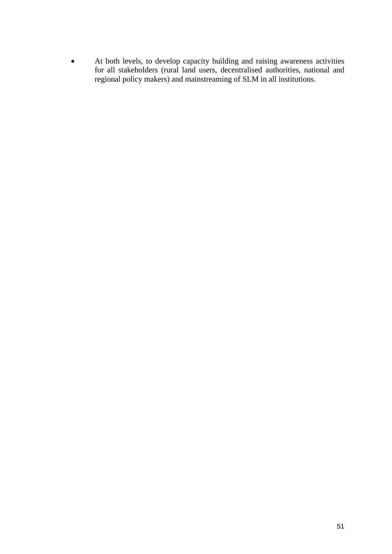• At both levels, to develop capacity building and raising awareness activities for all stakeholders (rural land users, decentralised authorities, national and regional policy makers) and mainstreaming of SLM in all institutions.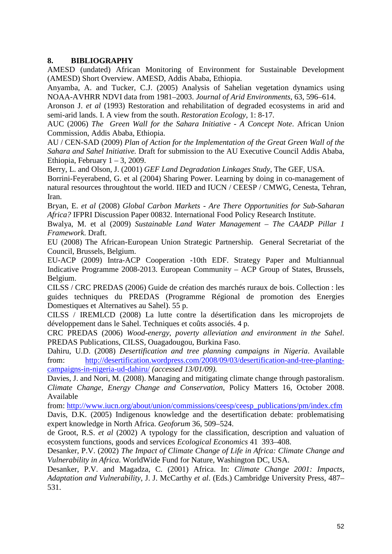## <span id="page-64-0"></span>**8. BIBLIOGRAPHY**

AMESD (undated) African Monitoring of Environment for Sustainable Development (AMESD) Short Overview. AMESD, Addis Ababa, Ethiopia.

Anyamba, A. and Tucker, C.J. (2005) Analysis of Sahelian vegetation dynamics using NOAA-AVHRR NDVI data from 1981–2003. *Journal of Arid Environments*, 63, 596–614.

Aronson J. *et al* (1993) Restoration and rehabilitation of degraded ecosystems in arid and semi-arid lands. I. A view from the south. *Restoration Ecology*, 1: 8-17.

AUC (2006) *The Green Wall for the Sahara Initiative - A Concept Note*. African Union Commission, Addis Ababa, Ethiopia.

AU / CEN-SAD (2009) *Plan of Action for the Implementation of the Great Green Wall of the Sahara and Sahel Initiative.* Draft for submission to the AU Executive Council Addis Ababa, Ethiopia, February  $1 - 3$ , 2009.

Berry, L. and Olson, J. (2001) *GEF Land Degradation Linkages Study*, The GEF, USA.

Borrini-Feyerabend, G. et al (2004) Sharing Power. Learning by doing in co-management of natural resources throughtout the world. IIED and IUCN / CEESP / CMWG, Cenesta, Tehran, Iran.

Bryan, E. *et al* (2008) *Global Carbon Markets - Are There Opportunities for Sub-Saharan Africa?* IFPRI Discussion Paper 00832. International Food Policy Research Institute.

Bwalya, M. et al (2009) *Sustainable Land Water Management – The CAADP Pillar 1 Framework*. Draft.

EU (2008) The African-European Union Strategic Partnership. General Secretariat of the Council, Brussels, Belgium.

EU-ACP (2009) Intra-ACP Cooperation -10th EDF. Strategy Paper and Multiannual Indicative Programme 2008-2013. European Community – ACP Group of States, Brussels, Belgium.

CILSS / CRC PREDAS (2006) Guide de création des marchés ruraux de bois. Collection : les guides techniques du PREDAS (Programme Régional de promotion des Energies Domestiques et Alternatives au Sahel). 55 p.

CILSS / IREMLCD (2008) La lutte contre la désertification dans les microprojets de développement dans le Sahel. Techniques et coûts associés. 4 p.

CRC PREDAS (2006) *Wood-energy, poverty alleviation and environment in the Sahel*. PREDAS Publications, CILSS, Ouagadougou, Burkina Faso.

Dahiru, U.D. (2008) *Desertification and tree planning campaigns in Nigeria*. Available from: [http://desertification.wordpress.com/2008/09/03/desertification-and-tree-planting](http://desertification.wordpress.com/2008/09/03/desertification-and-tree-planting-campaigns-in-nigeria-ud-dahiru/)[campaigns-in-nigeria-ud-dahiru/](http://desertification.wordpress.com/2008/09/03/desertification-and-tree-planting-campaigns-in-nigeria-ud-dahiru/) *(accessed 13/01/09).*

Davies, J. and Nori, M. (2008). Managing and mitigating climate change through pastoralism. *Climate Change, Energy Change and Conservation*, Policy Matters 16, October 2008. Available

from: [http://www.iucn.org/about/union/commissions/ceesp/ceesp\\_publications/pm/index.cfm](http://www.iucn.org/about/union/commissions/ceesp/ceesp_publications/pm/index.cfm) Davis, D.K. (2005) Indigenous knowledge and the desertification debate: problematising expert knowledge in North Africa. *Geoforum* 36, 509–524.

de Groot, R.S. *et al* (2002) A typology for the classification, description and valuation of ecosystem functions, goods and services *Ecological Economics* 41 393–408.

Desanker, P.V. (2002) *The Impact of Climate Change of Life in Africa: Climate Change and Vulnerability in Africa*. WorldWide Fund for Nature, Washington DC, USA.

Desanker, P.V. and Magadza, C. (2001) Africa. In: *Climate Change 2001: Impacts, Adaptation and Vulnerability*, J. J. McCarthy *et al*. (Eds.) Cambridge University Press, 487– 531.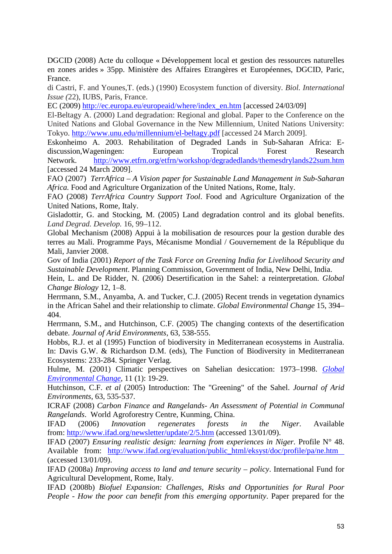DGCID (2008) Acte du colloque « Développement local et gestion des ressources naturelles en zones arides » 35pp. Ministère des Affaires Etrangères et Européennes, DGCID, Paric, France.

di Castri, F. and Younes,T. (eds.) (1990) Ecosystem function of diversity. *Biol. International Issue (*22), IUBS, Paris, France.

EC (2009) [http://ec.europa.eu/europeaid/where/index\\_en.htm](http://ec.europa.eu/europeaid/where/index_en.htm) [accessed 24/03/09]

El-Beltagy A. (2000) Land degradation: Regional and global. Paper to the Conference on the United Nations and Global Governance in the New Millennium, United Nations University: Tokyo. http://www.unu.edu/millennium/el-beltagy.pdf [accessed 24 March 2009].

Eskonheimo A. 2003. Rehabilitation of Degraded Lands in Sub-Saharan Africa: Ediscussion,Wageningen: European Tropical Forest Research Network. http://www.etfrn.org/etfrn/workshop/degradedlands/themesdrylands22sum.htm [accessed 24 March 2009].

FAO (2007) *TerrAfrica – A Vision paper for Sustainable Land Management in Sub-Saharan Africa.* Food and Agriculture Organization of the United Nations, Rome, Italy.

FAO (2008) *TerrAfrica Country Support Tool*. Food and Agriculture Organization of the United Nations, Rome, Italy.

Gisladottir, G. and Stocking, M. (2005) Land degradation control and its global benefits. *Land Degrad. Develop.* 16, 99–112.

Global Mechanism (2008) Appui à la mobilisation de resources pour la gestion durable des terres au Mali. Programme Pays, Mécanisme Mondial / Gouvernement de la République du Mali, Janvier 2008.

Gov of India (2001) *Report of the Task Force on Greening India for Livelihood Security and Sustainable Development*. Planning Commission, Government of India, New Delhi, India.

Hein, L. and De Ridder, N. (2006) Desertification in the Sahel: a reinterpretation. *Global Change Biology* 12, 1–8.

Herrmann, S.M., Anyamba, A. and Tucker, C.J. (2005) Recent trends in vegetation dynamics in the African Sahel and their relationship to climate. *Global Environmental Change* 15, 394– 404.

Herrmann, S.M., and Hutchinson, C.F. (2005) The changing contexts of the desertification debate. *Journal of Arid Environments*, 63, 538-555.

Hobbs, R.J. et al (1995) Function of biodiversity in Mediterranean ecosystems in Australia. In: Davis G.W. & Richardson D.M. (eds), The Function of Biodiversity in Mediterranean Ecosystems: 233-284. Springer Verlag.

Hulme, M. (2001) Climatic perspectives on Sahelian desiccation: 1973–1998. *[Global](http://www.sciencedirect.com/science/journal/09593780)  [Environmental Change,](http://www.sciencedirect.com/science/journal/09593780)* 11 (1): 19-29.

Hutchinson, C.F. *et al* (2005) Introduction: The "Greening" of the Sahel. *Journal of Arid Environments*, 63, 535-537.

ICRAF (2008) *Carbon Finance and Rangelands- An Assessment of Potential in Communal Rangelands*. World Agroforestry Centre, Kunming, China.

IFAD (2006) *Innovation regenerates forests in the Niger*. Available from:<http://www.ifad.org/newsletter/update/2/5.htm> (accessed 13/01/09).

IFAD (2007) *Ensuring realistic design: learning from experiences in Niger.* Profile N° 48. Available from: [http://www.ifad.org/evaluation/public\\_html/eksyst/doc/profile/pa/ne.htm](http://www.ifad.org/evaluation/public_html/eksyst/doc/profile/pa/ne.htm) (accessed 13/01/09).

IFAD (2008a) *Improving access to land and tenure security – policy*. International Fund for Agricultural Development, Rome, Italy.

IFAD (2008b) *Biofuel Expansion: Challenges, Risks and Opportunities for Rural Poor People - How the poor can benefit from this emerging opportunity*. Paper prepared for the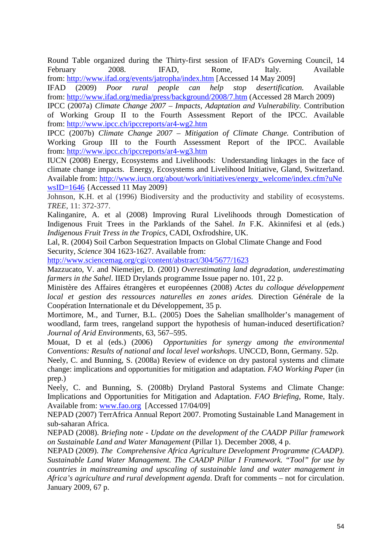Round Table organized during the Thirty-first session of IFAD's Governing Council, 14 February 2008. IFAD, Rome, Italy. Available from:<http://www.ifad.org/events/jatropha/index.htm> [Accessed 14 May 2009]

IFAD (2009) *Poor rural people can help stop desertification.* Available from: <http://www.ifad.org/media/press/background/2008/7.htm> (Accessed 28 March 2009)

IPCC (2007a) *Climate Change 2007 – Impacts, Adaptation and Vulnerability.* Contribution of Working Group II to the Fourth Assessment Report of the IPCC. Available from: http://www.ipcc.ch/ipccreports/ar4-wg2.htm

IPCC (2007b) *Climate Change 2007 – Mitigation of Climate Change.* Contribution of Working Group III to the Fourth Assessment Report of the IPCC. Available from: http://www.ipcc.ch/ipccreports/ar4-wg3.htm

IUCN (2008) Energy, Ecosystems and Livelihoods: Understanding linkages in the face of climate change impacts. Energy, Ecosystems and Livelihood Initiative, Gland, Switzerland. Available from: http://www.iucn.org/about/work/initiatives/energy\_welcome/index.cfm?uNe wsID=1646 {Accessed 11 May 2009}

Johnson, K.H. et al (1996) Biodiversity and the productivity and stability of ecosystems. *TREE*, 11: 372-377.

Kalinganire, A. et al (2008) Improving Rural Livelihoods through Domestication of Indigenous Fruit Trees in the Parklands of the Sahel. *In* F.K. Akinnifesi et al (eds.) *Indigenous Fruit Tress in the Tropics*, CADI, Oxfrodshire, UK.

Lal, R. (2004) Soil Carbon Sequestration Impacts on Global Climate Change and Food Security, *Science* 304 1623-1627. Available from:

http://www.sciencemag.org/cgi/content/abstract/304/5677/1623

Mazzucato, V. and Niemeijer, D. (2001) *Overestimating land degradation, underestimating farmers in the Sahel*. IIED Drylands programme Issue paper no. 101, 22 p.

Ministère des Affaires étrangères et européennes (2008) *Actes du colloque développement local et gestion des ressources naturelles en zones arides.* Direction Générale de la Coopération Internationale et du Développement, 35 p.

Mortimore, M., and Turner, B.L. (2005) Does the Sahelian smallholder's management of woodland, farm trees, rangeland support the hypothesis of human-induced desertification? *Journal of Arid Environments*, 63, 567–595.

Mouat, D et al (eds.) (2006) *Opportunities for synergy among the environmental Conventions: Results of national and local level workshops*. UNCCD, Bonn, Germany. 52p.

Neely, C. and Bunning, S. (2008a) Review of evidence on dry pastoral systems and climate change: implications and opportunities for mitigation and adaptation. *FAO Working Paper* (in prep.)

Neely, C. and Bunning, S. (2008b) Dryland Pastoral Systems and Climate Change: Implications and Opportunities for Mitigation and Adaptation. *FAO Briefing*, Rome, Italy. Available from: [www.fao.org](http://www.fao.org/) [Accessed 17/04/09]

NEPAD (2007) TerrAfrica Annual Report 2007. Promoting Sustainable Land Management in sub-saharan Africa.

NEPAD (2008). *Briefing note - Update on the development of the CAADP Pillar framework on Sustainable Land and Water Management* (Pillar 1). December 2008, 4 p.

NEPAD (2009). *The Comprehensive Africa Agriculture Development Programme (CAADP). Sustainable Land Water Management. The CAADP Pillar I Framework. "Tool" for use by countries in mainstreaming and upscaling of sustainable land and water management in Africa's agriculture and rural development agenda*. Draft for comments – not for circulation. January 2009, 67 p.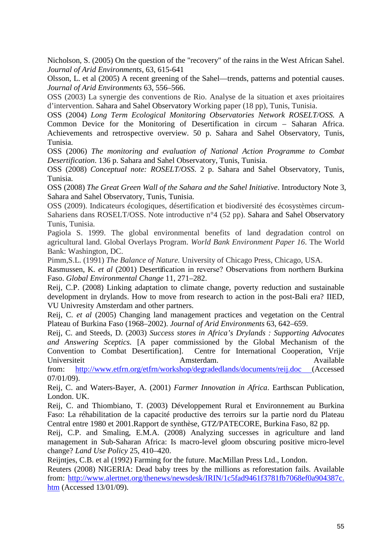Nicholson, S. (2005) On the question of the "recovery" of the rains in the West African Sahel. *Journal of Arid Environments*, 63, 615-641

Olsson, L. et al (2005) A recent greening of the Sahel—trends, patterns and potential causes. *Journal of Arid Environments* 63, 556–566.

OSS (2003) La synergie des conventions de Rio. Analyse de la situation et axes prioitaires d'intervention. Sahara and Sahel Observatory Working paper (18 pp), Tunis, Tunisia.

OSS (2004) *Long Term Ecological Monitoring Observatories Network ROSELT/OSS.* A Common Device for the Monitoring of Desertification in circum – Saharan Africa. Achievements and retrospective overview. 50 p. Sahara and Sahel Observatory, Tunis, Tunisia.

OSS (2006) *The monitoring and evaluation of National Action Programme to Combat Desertification*. 136 p. Sahara and Sahel Observatory, Tunis, Tunisia.

OSS (2008) *Conceptual note: ROSELT/OSS*. 2 p. Sahara and Sahel Observatory, Tunis, Tunisia.

OSS (2008) *The Great Green Wall of the Sahara and the Sahel Initiative*. Introductory Note 3, Sahara and Sahel Observatory, Tunis, Tunisia.

OSS (2009). Indicateurs écologiques, désertification et biodiversité des écosystèmes circum-Sahariens dans ROSELT/OSS. Note introductive n°4 (52 pp). Sahara and Sahel Observatory Tunis, Tunisia.

Pagiola S. 1999. The global environmental benefits of land degradation control on agricultural land. Global Overlays Program. *World Bank Environment Paper 16*. The World Bank: Washington, DC.

Pimm,S.L. (1991) *The Balance of Nature.* University of Chicago Press, Chicago, USA.

Rasmussen, K. *et al* (2001) Desertification in reverse? Observations from northern Burkina Faso. *Global Environmental Change* 11, 271–282.

Reij, C.P. (2008) Linking adaptation to climate change, poverty reduction and sustainable development in drylands. How to move from research to action in the post-Bali era? IIED, VU Univresity Amsterdam and other partners.

Reij, C. *et al* (2005) Changing land management practices and vegetation on the Central Plateau of Burkina Faso (1968–2002). *Journal of Arid Environments* 63, 642–659.

Reij, C. and Steeds, D. (2003) *Success stores in Africa's Drylands : Supporting Advocates and Answering Sceptics.* [A paper commissioned by the Global Mechanism of the Convention to Combat Desertification]. Centre for International Cooperation, Vrije Universiteit **Amsterdam**. Amsterdam. Available

from: <http://www.etfrn.org/etfrn/workshop/degradedlands/documents/reij.doc> (Accessed 07/01/09).

Reij, C. and Waters-Bayer, A. (2001) *Farmer Innovation in Africa*. Earthscan Publication, London. UK.

Reij, C. and Thiombiano, T. (2003) Développement Rural et Environnement au Burkina Faso: La réhabilitation de la capacité productive des terroirs sur la partie nord du Plateau Central entre 1980 et 2001.Rapport de synthèse, GTZ/PATECORE, Burkina Faso, 82 pp.

Reij, C.P. and Smaling, E.M.A. (2008) Analyzing successes in agriculture and land management in Sub-Saharan Africa: Is macro-level gloom obscuring positive micro-level change? *Land Use Policy* 25, 410–420.

Reijntjes, C.B. et al (1992) Farming for the future. MacMillan Press Ltd., London.

Reuters (2008) NIGERIA: Dead baby trees by the millions as reforestation fails. Available from: http://www.alertnet.org/thenews/newsdesk/IRIN/1c5fad9461f3781fb7068ef0a904387c. htm (Accessed 13/01/09).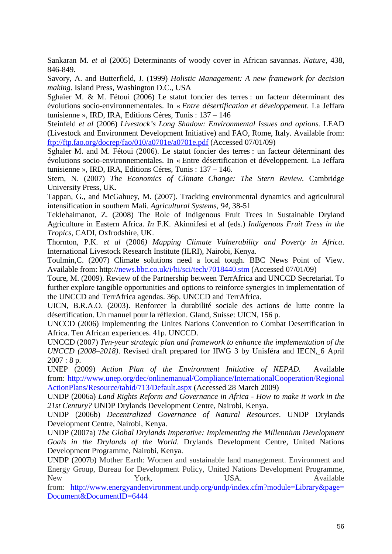Sankaran M. *et al* (2005) Determinants of woody cover in African savannas. *Nature*, 438, 846-849.

Savory, A. and Butterfield, J. (1999) *Holistic Management: A new framework for decision making*. Island Press, Washington D.C., USA

Sghaïer M. & M. Fétoui (2006) Le statut foncier des terres : un facteur déterminant des évolutions socio-environnementales. In « *Entre désertification et développement*. La Jeffara tunisienne », IRD, IRA, Editions Céres, Tunis : 137 – 146

Steinfeld *et al* (2006) *Livestock's Long Shadow: Environmental Issues and options.* LEAD (Livestock and Environment Development Initiative) and FAO, Rome, Italy. Available from: <ftp://ftp.fao.org/docrep/fao/010/a0701e/a0701e.pdf> (Accessed 07/01/09)

Sghaïer M. and M. Fétoui (2006). Le statut foncier des terres : un facteur déterminant des évolutions socio-environnementales. In « Entre désertification et développement. La Jeffara tunisienne », IRD, IRA, Editions Céres, Tunis : 137 – 146.

Stern, N. (2007) *The Economics of Climate Change: The Stern Review.* Cambridge University Press, UK.

Tappan, G., and McGahuey, M. (2007). Tracking environmental dynamics and agricultural intensification in southern Mali. *Agricultural Systems, 94*, 38-51

Teklehaimanot, Z. (2008) The Role of Indigenous Fruit Trees in Sustainable Dryland Agriculture in Eastern Africa. *In* F.K. Akinnifesi et al (eds.) *Indigenous Fruit Tress in the Tropics*, CADI, Oxfrodshire, UK.

Thornton, P.K. *et al* (2006*) Mapping Climate Vulnerability and Poverty in Africa*. International Livestock Research Institute (ILRI), Nairobi, Kenya.

Toulmin,C. (2007) Climate solutions need a local tough. BBC News Point of View. Available from: http://<u>new[s.bbc.co.uk/i/hi/sci/tech/7018440.stm](http://www.bbc.co.uk/i/hi/sci/tech/7018440.stm)</u> (Accessed 07/01/09)

Toure, M. (2009). Review of the Partnership between TerrAfrica and UNCCD Secretariat. To further explore tangible opportunities and options to reinforce synergies in implementation of the UNCCD and TerrAfrica agendas. 36p. UNCCD and TerrAfrica.

UICN, B.R.A.O. (2003). Renforcer la durabilité sociale des actions de lutte contre la désertification. Un manuel pour la réflexion. Gland, Suisse: UICN, 156 p.

UNCCD (2006) Implementing the Unites Nations Convention to Combat Desertification in Africa. Ten African experiences. 41p. UNCCD.

UNCCD (2007) *Ten-year strategic plan and framework to enhance the implementation of the UNCCD (2008–2018)*. Revised draft prepared for IIWG 3 by Unisféra and IECN, 6 April  $2007 : 8 p.$ 

UNEP (2009) *Action Plan of the Environment Initiative of NEPAD.* Available from: [http://www.unep.org/dec/onlinemanual/Compliance/InternationalCooperation/Regional](http://www.unep.org/dec/onlinemanual/Compliance/InternationalCooperation/RegionalActionPlans/Resource/tabid/713/Default.aspx) [ActionPlans/Resource/tabid/713/Default.aspx](http://www.unep.org/dec/onlinemanual/Compliance/InternationalCooperation/RegionalActionPlans/Resource/tabid/713/Default.aspx) (Accessed 28 March 2009)

UNDP (2006a) *Land Rights Reform and Governance in Africa - How to make it work in the 21st Century?* UNDP Drylands Development Centre, Nairobi, Kenya.

UNDP (2006b) *Decentralized Governance of Natural Resources*. UNDP Drylands Development Centre, Nairobi, Kenya.

UNDP (2007a) *The Global Drylands Imperative: Implementing the Millennium Development Goals in the Drylands of the World*. Drylands Development Centre, United Nations Development Programme, Nairobi, Kenya.

UNDP (2007b) Mother Earth: Women and sustainable land management. Environment and Energy Group, Bureau for Development Policy, United Nations Development Programme, New York, VSA. USA. Available

from: http://www.energyandenvironment.undp.org/undp/index.cfm?module=Library&page= Document&DocumentID=6444